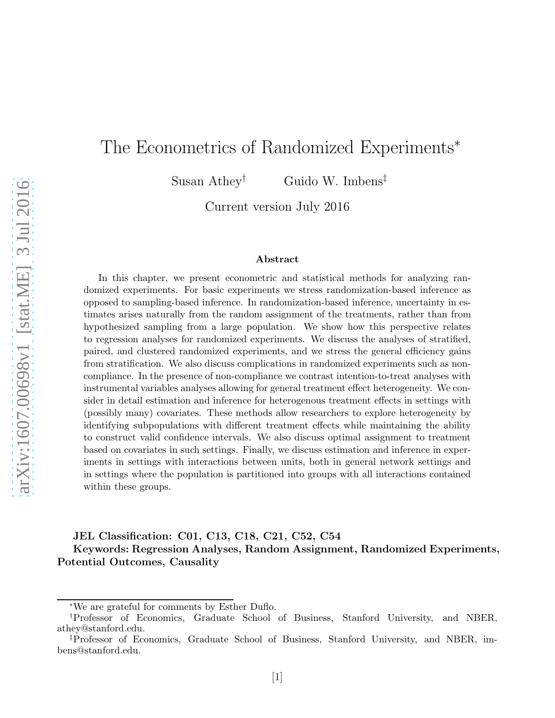# The Econometrics of Randomized Experiments<sup>\*</sup>

Susan Athey<sup>†</sup> Guido W. Imbens<sup>‡</sup>

Current version July 2016

#### Abstract

In this chapter, we present econometric and statistical methods for analyzing randomized experiments. For basic experiments we stress randomization-based inference as opposed to sampling-based inference. In randomization-based inference, uncertainty in estimates arises naturally from the random assignment of the treatments, rather than from hypothesized sampling from a large population. We show how this perspective relates to regression analyses for randomized experiments. We discuss the analyses of stratified, paired, and clustered randomized experiments, and we stress the general efficiency gains from stratification. We also discuss complications in randomized experiments such as noncompliance. In the presence of non-compliance we contrast intention-to-treat analyses with instrumental variables analyses allowing for general treatment effect heterogeneity. We consider in detail estimation and inference for heterogenous treatment effects in settings with (possibly many) covariates. These methods allow researchers to explore heterogeneity by identifying subpopulations with different treatment effects while maintaining the ability to construct valid confidence intervals. We also discuss optimal assignment to treatment based on covariates in such settings. Finally, we discuss estimation and inference in experiments in settings with interactions between units, both in general network settings and in settings where the population is partitioned into groups with all interactions contained within these groups.

JEL Classification: C01, C13, C18, C21, C52, C54 Keywords: Regression Analyses, Random Assignment, Randomized Experiments, Potential Outcomes, Causality

<sup>∗</sup>We are grateful for comments by Esther Duflo.

<sup>†</sup>Professor of Economics, Graduate School of Business, Stanford University, and NBER, athey@stanford.edu.

<sup>‡</sup>Professor of Economics, Graduate School of Business, Stanford University, and NBER, imbens@stanford.edu.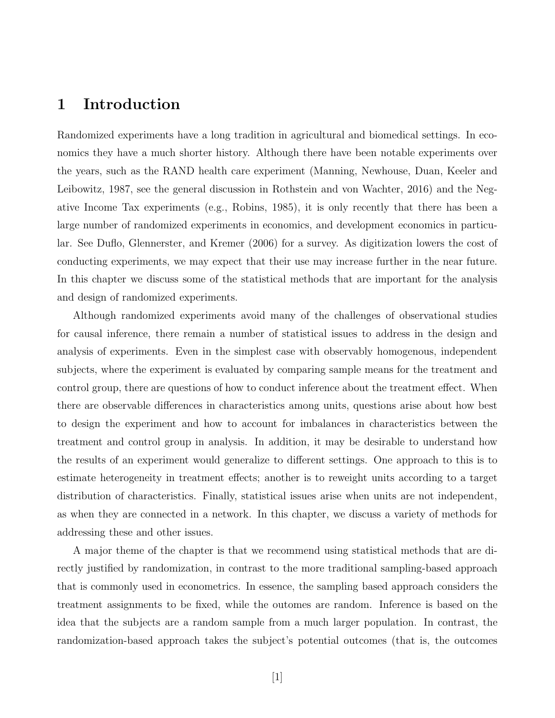# 1 Introduction

Randomized experiments have a long tradition in agricultural and biomedical settings. In economics they have a much shorter history. Although there have been notable experiments over the years, such as the RAND health care experiment (Manning, Newhouse, Duan, Keeler and Leibowitz, 1987, see the general discussion in Rothstein and von Wachter, 2016) and the Negative Income Tax experiments (e.g., Robins, 1985), it is only recently that there has been a large number of randomized experiments in economics, and development economics in particular. See Duflo, Glennerster, and Kremer (2006) for a survey. As digitization lowers the cost of conducting experiments, we may expect that their use may increase further in the near future. In this chapter we discuss some of the statistical methods that are important for the analysis and design of randomized experiments.

Although randomized experiments avoid many of the challenges of observational studies for causal inference, there remain a number of statistical issues to address in the design and analysis of experiments. Even in the simplest case with observably homogenous, independent subjects, where the experiment is evaluated by comparing sample means for the treatment and control group, there are questions of how to conduct inference about the treatment effect. When there are observable differences in characteristics among units, questions arise about how best to design the experiment and how to account for imbalances in characteristics between the treatment and control group in analysis. In addition, it may be desirable to understand how the results of an experiment would generalize to different settings. One approach to this is to estimate heterogeneity in treatment effects; another is to reweight units according to a target distribution of characteristics. Finally, statistical issues arise when units are not independent, as when they are connected in a network. In this chapter, we discuss a variety of methods for addressing these and other issues.

A major theme of the chapter is that we recommend using statistical methods that are directly justified by randomization, in contrast to the more traditional sampling-based approach that is commonly used in econometrics. In essence, the sampling based approach considers the treatment assignments to be fixed, while the outomes are random. Inference is based on the idea that the subjects are a random sample from a much larger population. In contrast, the randomization-based approach takes the subject's potential outcomes (that is, the outcomes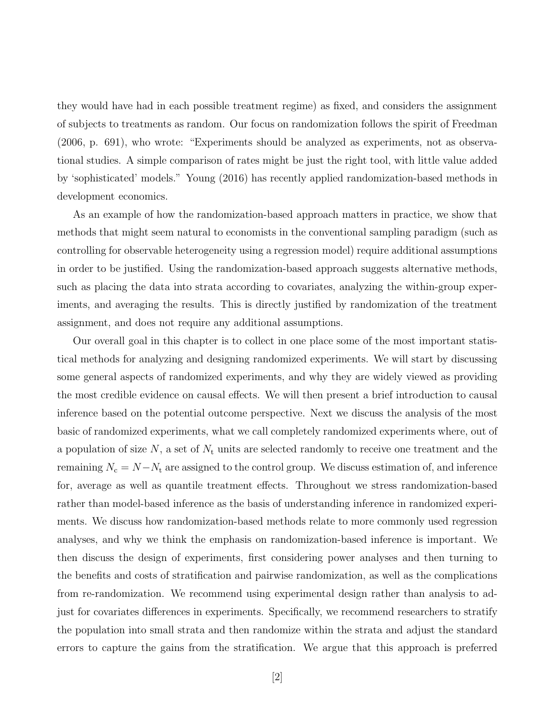they would have had in each possible treatment regime) as fixed, and considers the assignment of subjects to treatments as random. Our focus on randomization follows the spirit of Freedman (2006, p. 691), who wrote: "Experiments should be analyzed as experiments, not as observational studies. A simple comparison of rates might be just the right tool, with little value added by 'sophisticated' models." Young (2016) has recently applied randomization-based methods in development economics.

As an example of how the randomization-based approach matters in practice, we show that methods that might seem natural to economists in the conventional sampling paradigm (such as controlling for observable heterogeneity using a regression model) require additional assumptions in order to be justified. Using the randomization-based approach suggests alternative methods, such as placing the data into strata according to covariates, analyzing the within-group experiments, and averaging the results. This is directly justified by randomization of the treatment assignment, and does not require any additional assumptions.

Our overall goal in this chapter is to collect in one place some of the most important statistical methods for analyzing and designing randomized experiments. We will start by discussing some general aspects of randomized experiments, and why they are widely viewed as providing the most credible evidence on causal effects. We will then present a brief introduction to causal inference based on the potential outcome perspective. Next we discuss the analysis of the most basic of randomized experiments, what we call completely randomized experiments where, out of a population of size  $N$ , a set of  $N_t$  units are selected randomly to receive one treatment and the remaining  $N_c = N - N_t$  are assigned to the control group. We discuss estimation of, and inference for, average as well as quantile treatment effects. Throughout we stress randomization-based rather than model-based inference as the basis of understanding inference in randomized experiments. We discuss how randomization-based methods relate to more commonly used regression analyses, and why we think the emphasis on randomization-based inference is important. We then discuss the design of experiments, first considering power analyses and then turning to the benefits and costs of stratification and pairwise randomization, as well as the complications from re-randomization. We recommend using experimental design rather than analysis to adjust for covariates differences in experiments. Specifically, we recommend researchers to stratify the population into small strata and then randomize within the strata and adjust the standard errors to capture the gains from the stratification. We argue that this approach is preferred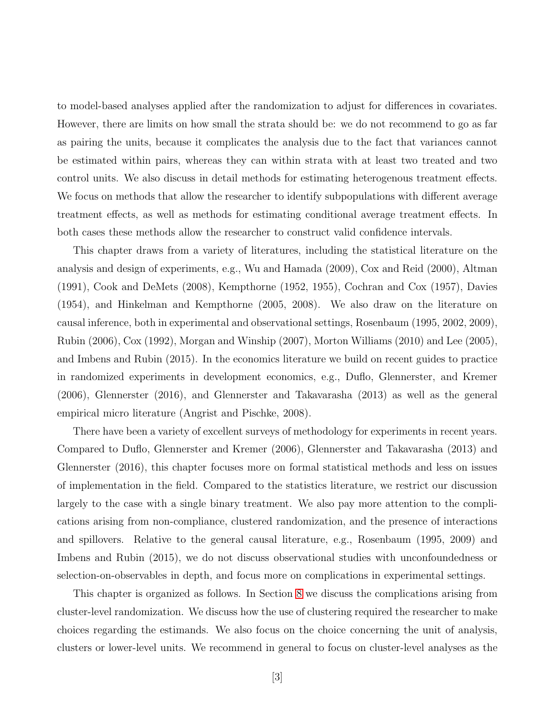to model-based analyses applied after the randomization to adjust for differences in covariates. However, there are limits on how small the strata should be: we do not recommend to go as far as pairing the units, because it complicates the analysis due to the fact that variances cannot be estimated within pairs, whereas they can within strata with at least two treated and two control units. We also discuss in detail methods for estimating heterogenous treatment effects. We focus on methods that allow the researcher to identify subpopulations with different average treatment effects, as well as methods for estimating conditional average treatment effects. In both cases these methods allow the researcher to construct valid confidence intervals.

This chapter draws from a variety of literatures, including the statistical literature on the analysis and design of experiments, e.g., Wu and Hamada (2009), Cox and Reid (2000), Altman (1991), Cook and DeMets (2008), Kempthorne (1952, 1955), Cochran and Cox (1957), Davies (1954), and Hinkelman and Kempthorne (2005, 2008). We also draw on the literature on causal inference, both in experimental and observational settings, Rosenbaum (1995, 2002, 2009), Rubin (2006), Cox (1992), Morgan and Winship (2007), Morton Williams (2010) and Lee (2005), and Imbens and Rubin (2015). In the economics literature we build on recent guides to practice in randomized experiments in development economics, e.g., Duflo, Glennerster, and Kremer (2006), Glennerster (2016), and Glennerster and Takavarasha (2013) as well as the general empirical micro literature (Angrist and Pischke, 2008).

There have been a variety of excellent surveys of methodology for experiments in recent years. Compared to Duflo, Glennerster and Kremer (2006), Glennerster and Takavarasha (2013) and Glennerster (2016), this chapter focuses more on formal statistical methods and less on issues of implementation in the field. Compared to the statistics literature, we restrict our discussion largely to the case with a single binary treatment. We also pay more attention to the complications arising from non-compliance, clustered randomization, and the presence of interactions and spillovers. Relative to the general causal literature, e.g., Rosenbaum (1995, 2009) and Imbens and Rubin (2015), we do not discuss observational studies with unconfoundedness or selection-on-observables in depth, and focus more on complications in experimental settings.

This chapter is organized as follows. In Section [8](#page-41-0) we discuss the complications arising from cluster-level randomization. We discuss how the use of clustering required the researcher to make choices regarding the estimands. We also focus on the choice concerning the unit of analysis, clusters or lower-level units. We recommend in general to focus on cluster-level analyses as the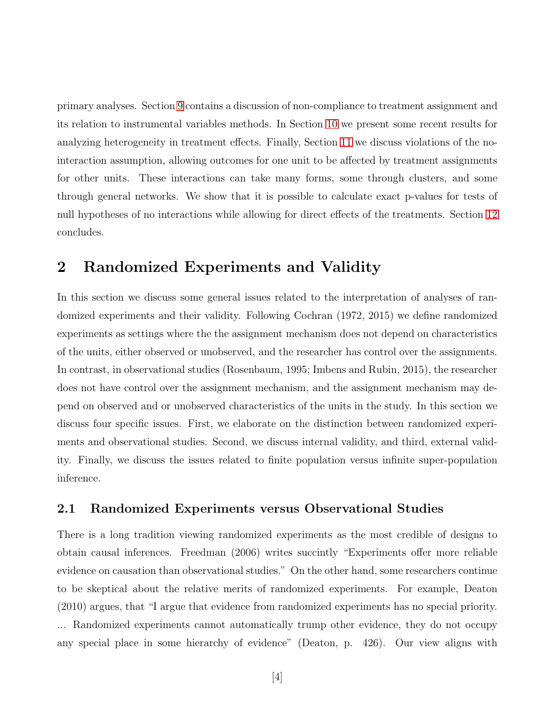primary analyses. Section [9](#page-46-0) contains a discussion of non-compliance to treatment assignment and its relation to instrumental variables methods. In Section [10](#page-56-0) we present some recent results for analyzing heterogeneity in treatment effects. Finally, Section [11](#page-66-0) we discuss violations of the nointeraction assumption, allowing outcomes for one unit to be affected by treatment assignments for other units. These interactions can take many forms, some through clusters, and some through general networks. We show that it is possible to calculate exact p-values for tests of null hypotheses of no interactions while allowing for direct effects of the treatments. Section [12](#page-71-0) concludes.

# 2 Randomized Experiments and Validity

In this section we discuss some general issues related to the interpretation of analyses of randomized experiments and their validity. Following Cochran (1972, 2015) we define randomized experiments as settings where the the assignment mechanism does not depend on characteristics of the units, either observed or unobserved, and the researcher has control over the assignments. In contrast, in observational studies (Rosenbaum, 1995; Imbens and Rubin, 2015), the researcher does not have control over the assignment mechanism, and the assignment mechanism may depend on observed and or unobserved characteristics of the units in the study. In this section we discuss four specific issues. First, we elaborate on the distinction between randomized experiments and observational studies. Second, we discuss internal validity, and third, external validity. Finally, we discuss the issues related to finite population versus infinite super-population inference.

### 2.1 Randomized Experiments versus Observational Studies

There is a long tradition viewing randomized experiments as the most credible of designs to obtain causal inferences. Freedman (2006) writes succintly "Experiments offer more reliable evidence on causation than observational studies." On the other hand, some researchers continue to be skeptical about the relative merits of randomized experiments. For example, Deaton (2010) argues, that "I argue that evidence from randomized experiments has no special priority. ... Randomized experiments cannot automatically trump other evidence, they do not occupy any special place in some hierarchy of evidence" (Deaton, p. 426). Our view aligns with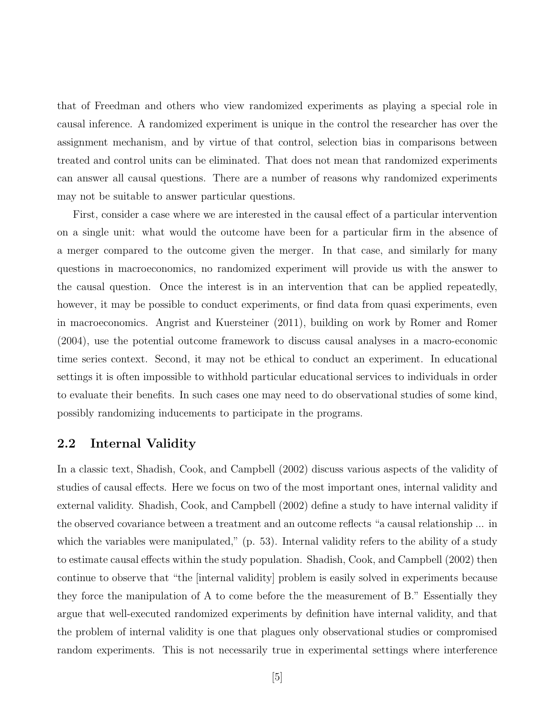that of Freedman and others who view randomized experiments as playing a special role in causal inference. A randomized experiment is unique in the control the researcher has over the assignment mechanism, and by virtue of that control, selection bias in comparisons between treated and control units can be eliminated. That does not mean that randomized experiments can answer all causal questions. There are a number of reasons why randomized experiments may not be suitable to answer particular questions.

First, consider a case where we are interested in the causal effect of a particular intervention on a single unit: what would the outcome have been for a particular firm in the absence of a merger compared to the outcome given the merger. In that case, and similarly for many questions in macroeconomics, no randomized experiment will provide us with the answer to the causal question. Once the interest is in an intervention that can be applied repeatedly, however, it may be possible to conduct experiments, or find data from quasi experiments, even in macroeconomics. Angrist and Kuersteiner (2011), building on work by Romer and Romer (2004), use the potential outcome framework to discuss causal analyses in a macro-economic time series context. Second, it may not be ethical to conduct an experiment. In educational settings it is often impossible to withhold particular educational services to individuals in order to evaluate their benefits. In such cases one may need to do observational studies of some kind, possibly randomizing inducements to participate in the programs.

### 2.2 Internal Validity

In a classic text, Shadish, Cook, and Campbell (2002) discuss various aspects of the validity of studies of causal effects. Here we focus on two of the most important ones, internal validity and external validity. Shadish, Cook, and Campbell (2002) define a study to have internal validity if the observed covariance between a treatment and an outcome reflects "a causal relationship ... in which the variables were manipulated," (p. 53). Internal validity refers to the ability of a study to estimate causal effects within the study population. Shadish, Cook, and Campbell (2002) then continue to observe that "the [internal validity] problem is easily solved in experiments because they force the manipulation of A to come before the the measurement of B." Essentially they argue that well-executed randomized experiments by definition have internal validity, and that the problem of internal validity is one that plagues only observational studies or compromised random experiments. This is not necessarily true in experimental settings where interference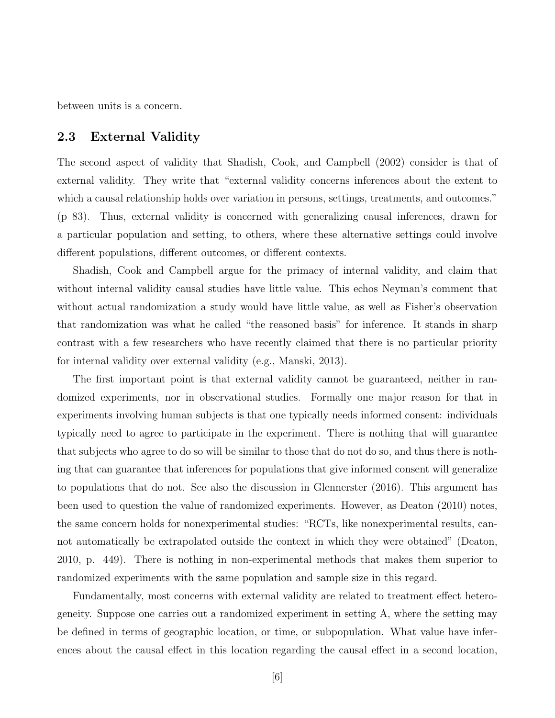between units is a concern.

### 2.3 External Validity

The second aspect of validity that Shadish, Cook, and Campbell (2002) consider is that of external validity. They write that "external validity concerns inferences about the extent to which a causal relationship holds over variation in persons, settings, treatments, and outcomes." (p 83). Thus, external validity is concerned with generalizing causal inferences, drawn for a particular population and setting, to others, where these alternative settings could involve different populations, different outcomes, or different contexts.

Shadish, Cook and Campbell argue for the primacy of internal validity, and claim that without internal validity causal studies have little value. This echos Neyman's comment that without actual randomization a study would have little value, as well as Fisher's observation that randomization was what he called "the reasoned basis" for inference. It stands in sharp contrast with a few researchers who have recently claimed that there is no particular priority for internal validity over external validity (e.g., Manski, 2013).

The first important point is that external validity cannot be guaranteed, neither in randomized experiments, nor in observational studies. Formally one major reason for that in experiments involving human subjects is that one typically needs informed consent: individuals typically need to agree to participate in the experiment. There is nothing that will guarantee that subjects who agree to do so will be similar to those that do not do so, and thus there is nothing that can guarantee that inferences for populations that give informed consent will generalize to populations that do not. See also the discussion in Glennerster (2016). This argument has been used to question the value of randomized experiments. However, as Deaton (2010) notes, the same concern holds for nonexperimental studies: "RCTs, like nonexperimental results, cannot automatically be extrapolated outside the context in which they were obtained" (Deaton, 2010, p. 449). There is nothing in non-experimental methods that makes them superior to randomized experiments with the same population and sample size in this regard.

Fundamentally, most concerns with external validity are related to treatment effect heterogeneity. Suppose one carries out a randomized experiment in setting A, where the setting may be defined in terms of geographic location, or time, or subpopulation. What value have inferences about the causal effect in this location regarding the causal effect in a second location,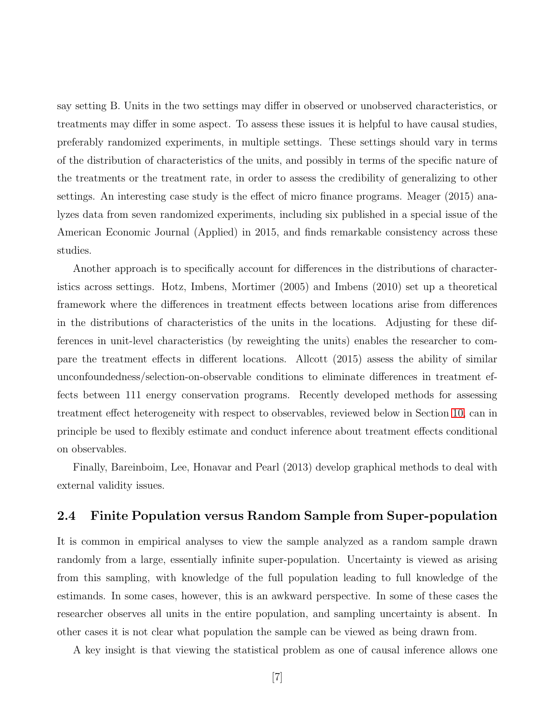say setting B. Units in the two settings may differ in observed or unobserved characteristics, or treatments may differ in some aspect. To assess these issues it is helpful to have causal studies, preferably randomized experiments, in multiple settings. These settings should vary in terms of the distribution of characteristics of the units, and possibly in terms of the specific nature of the treatments or the treatment rate, in order to assess the credibility of generalizing to other settings. An interesting case study is the effect of micro finance programs. Meager (2015) analyzes data from seven randomized experiments, including six published in a special issue of the American Economic Journal (Applied) in 2015, and finds remarkable consistency across these studies.

Another approach is to specifically account for differences in the distributions of characteristics across settings. Hotz, Imbens, Mortimer (2005) and Imbens (2010) set up a theoretical framework where the differences in treatment effects between locations arise from differences in the distributions of characteristics of the units in the locations. Adjusting for these differences in unit-level characteristics (by reweighting the units) enables the researcher to compare the treatment effects in different locations. Allcott (2015) assess the ability of similar unconfoundedness/selection-on-observable conditions to eliminate differences in treatment effects between 111 energy conservation programs. Recently developed methods for assessing treatment effect heterogeneity with respect to observables, reviewed below in Section [10,](#page-56-0) can in principle be used to flexibly estimate and conduct inference about treatment effects conditional on observables.

Finally, Bareinboim, Lee, Honavar and Pearl (2013) develop graphical methods to deal with external validity issues.

### 2.4 Finite Population versus Random Sample from Super-population

It is common in empirical analyses to view the sample analyzed as a random sample drawn randomly from a large, essentially infinite super-population. Uncertainty is viewed as arising from this sampling, with knowledge of the full population leading to full knowledge of the estimands. In some cases, however, this is an awkward perspective. In some of these cases the researcher observes all units in the entire population, and sampling uncertainty is absent. In other cases it is not clear what population the sample can be viewed as being drawn from.

A key insight is that viewing the statistical problem as one of causal inference allows one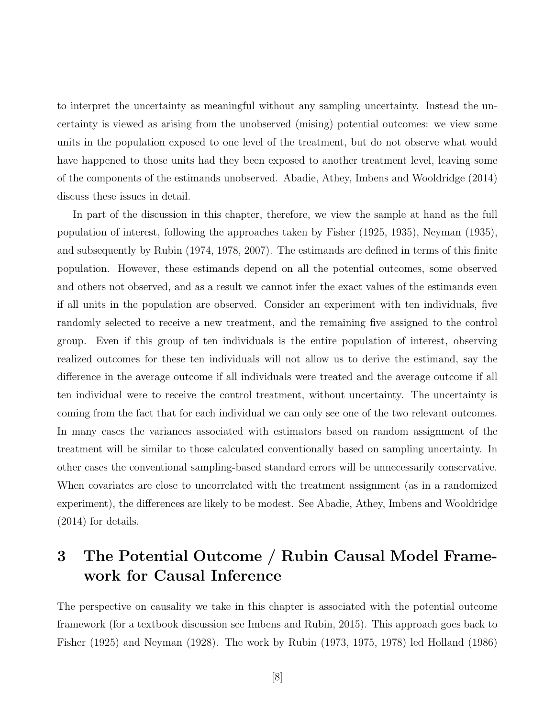to interpret the uncertainty as meaningful without any sampling uncertainty. Instead the uncertainty is viewed as arising from the unobserved (mising) potential outcomes: we view some units in the population exposed to one level of the treatment, but do not observe what would have happened to those units had they been exposed to another treatment level, leaving some of the components of the estimands unobserved. Abadie, Athey, Imbens and Wooldridge (2014) discuss these issues in detail.

In part of the discussion in this chapter, therefore, we view the sample at hand as the full population of interest, following the approaches taken by Fisher (1925, 1935), Neyman (1935), and subsequently by Rubin (1974, 1978, 2007). The estimands are defined in terms of this finite population. However, these estimands depend on all the potential outcomes, some observed and others not observed, and as a result we cannot infer the exact values of the estimands even if all units in the population are observed. Consider an experiment with ten individuals, five randomly selected to receive a new treatment, and the remaining five assigned to the control group. Even if this group of ten individuals is the entire population of interest, observing realized outcomes for these ten individuals will not allow us to derive the estimand, say the difference in the average outcome if all individuals were treated and the average outcome if all ten individual were to receive the control treatment, without uncertainty. The uncertainty is coming from the fact that for each individual we can only see one of the two relevant outcomes. In many cases the variances associated with estimators based on random assignment of the treatment will be similar to those calculated conventionally based on sampling uncertainty. In other cases the conventional sampling-based standard errors will be unnecessarily conservative. When covariates are close to uncorrelated with the treatment assignment (as in a randomized experiment), the differences are likely to be modest. See Abadie, Athey, Imbens and Wooldridge (2014) for details.

# 3 The Potential Outcome / Rubin Causal Model Framework for Causal Inference

The perspective on causality we take in this chapter is associated with the potential outcome framework (for a textbook discussion see Imbens and Rubin, 2015). This approach goes back to Fisher (1925) and Neyman (1928). The work by Rubin (1973, 1975, 1978) led Holland (1986)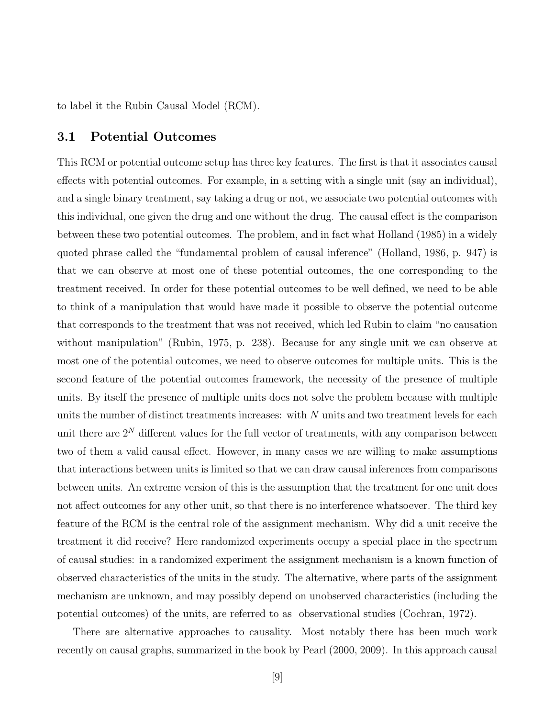to label it the Rubin Causal Model (RCM).

### 3.1 Potential Outcomes

This RCM or potential outcome setup has three key features. The first is that it associates causal effects with potential outcomes. For example, in a setting with a single unit (say an individual), and a single binary treatment, say taking a drug or not, we associate two potential outcomes with this individual, one given the drug and one without the drug. The causal effect is the comparison between these two potential outcomes. The problem, and in fact what Holland (1985) in a widely quoted phrase called the "fundamental problem of causal inference" (Holland, 1986, p. 947) is that we can observe at most one of these potential outcomes, the one corresponding to the treatment received. In order for these potential outcomes to be well defined, we need to be able to think of a manipulation that would have made it possible to observe the potential outcome that corresponds to the treatment that was not received, which led Rubin to claim "no causation without manipulation" (Rubin, 1975, p. 238). Because for any single unit we can observe at most one of the potential outcomes, we need to observe outcomes for multiple units. This is the second feature of the potential outcomes framework, the necessity of the presence of multiple units. By itself the presence of multiple units does not solve the problem because with multiple units the number of distinct treatments increases: with  $N$  units and two treatment levels for each unit there are  $2^N$  different values for the full vector of treatments, with any comparison between two of them a valid causal effect. However, in many cases we are willing to make assumptions that interactions between units is limited so that we can draw causal inferences from comparisons between units. An extreme version of this is the assumption that the treatment for one unit does not affect outcomes for any other unit, so that there is no interference whatsoever. The third key feature of the RCM is the central role of the assignment mechanism. Why did a unit receive the treatment it did receive? Here randomized experiments occupy a special place in the spectrum of causal studies: in a randomized experiment the assignment mechanism is a known function of observed characteristics of the units in the study. The alternative, where parts of the assignment mechanism are unknown, and may possibly depend on unobserved characteristics (including the potential outcomes) of the units, are referred to as observational studies (Cochran, 1972).

There are alternative approaches to causality. Most notably there has been much work recently on causal graphs, summarized in the book by Pearl (2000, 2009). In this approach causal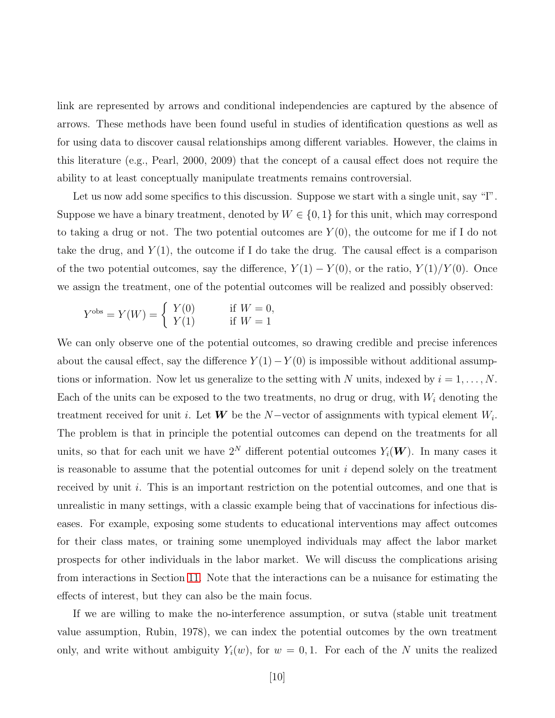link are represented by arrows and conditional independencies are captured by the absence of arrows. These methods have been found useful in studies of identification questions as well as for using data to discover causal relationships among different variables. However, the claims in this literature (e.g., Pearl, 2000, 2009) that the concept of a causal effect does not require the ability to at least conceptually manipulate treatments remains controversial.

Let us now add some specifics to this discussion. Suppose we start with a single unit, say "I". Suppose we have a binary treatment, denoted by  $W \in \{0,1\}$  for this unit, which may correspond to taking a drug or not. The two potential outcomes are  $Y(0)$ , the outcome for me if I do not take the drug, and  $Y(1)$ , the outcome if I do take the drug. The causal effect is a comparison of the two potential outcomes, say the difference,  $Y(1) - Y(0)$ , or the ratio,  $Y(1)/Y(0)$ . Once we assign the treatment, one of the potential outcomes will be realized and possibly observed:

$$
Y^{\text{obs}} = Y(W) = \begin{cases} Y(0) & \text{if } W = 0, \\ Y(1) & \text{if } W = 1 \end{cases}
$$

We can only observe one of the potential outcomes, so drawing credible and precise inferences about the causal effect, say the difference  $Y(1) - Y(0)$  is impossible without additional assumptions or information. Now let us generalize to the setting with N units, indexed by  $i = 1, \ldots, N$ . Each of the units can be exposed to the two treatments, no drug or drug, with  $W_i$  denoting the treatment received for unit *i*. Let **W** be the N-vector of assignments with typical element  $W_i$ . The problem is that in principle the potential outcomes can depend on the treatments for all units, so that for each unit we have  $2^N$  different potential outcomes  $Y_i(\boldsymbol{W})$ . In many cases it is reasonable to assume that the potential outcomes for unit  $i$  depend solely on the treatment received by unit i. This is an important restriction on the potential outcomes, and one that is unrealistic in many settings, with a classic example being that of vaccinations for infectious diseases. For example, exposing some students to educational interventions may affect outcomes for their class mates, or training some unemployed individuals may affect the labor market prospects for other individuals in the labor market. We will discuss the complications arising from interactions in Section [11.](#page-66-0) Note that the interactions can be a nuisance for estimating the effects of interest, but they can also be the main focus.

If we are willing to make the no-interference assumption, or sutva (stable unit treatment value assumption, Rubin, 1978), we can index the potential outcomes by the own treatment only, and write without ambiguity  $Y_i(w)$ , for  $w = 0, 1$ . For each of the N units the realized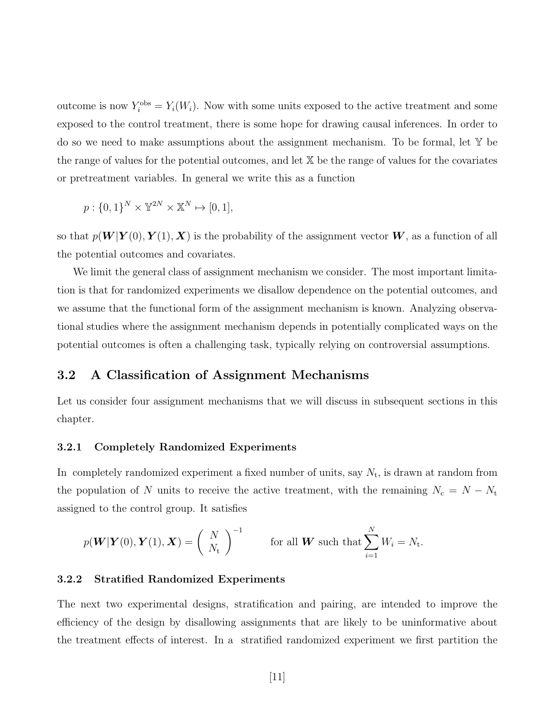outcome is now  $Y_i^{\text{obs}} = Y_i(W_i)$ . Now with some units exposed to the active treatment and some exposed to the control treatment, there is some hope for drawing causal inferences. In order to do so we need to make assumptions about the assignment mechanism. To be formal, let Y be the range of values for the potential outcomes, and let X be the range of values for the covariates or pretreatment variables. In general we write this as a function

$$
p: \{0,1\}^N \times \mathbb{Y}^{2N} \times \mathbb{X}^N \mapsto [0,1],
$$

so that  $p(\mathbf{W}|\mathbf{Y}(0), \mathbf{Y}(1), \mathbf{X})$  is the probability of the assignment vector  $\mathbf{W}$ , as a function of all the potential outcomes and covariates.

We limit the general class of assignment mechanism we consider. The most important limitation is that for randomized experiments we disallow dependence on the potential outcomes, and we assume that the functional form of the assignment mechanism is known. Analyzing observational studies where the assignment mechanism depends in potentially complicated ways on the potential outcomes is often a challenging task, typically relying on controversial assumptions.

## 3.2 A Classification of Assignment Mechanisms

Let us consider four assignment mechanisms that we will discuss in subsequent sections in this chapter.

#### 3.2.1 Completely Randomized Experiments

In completely randomized experiment a fixed number of units, say  $N_t$ , is drawn at random from the population of N units to receive the active treatment, with the remaining  $N_c = N - N_t$ assigned to the control group. It satisfies

$$
p(\mathbf{W}|\mathbf{Y}(0),\mathbf{Y}(1),\mathbf{X})=\left(\begin{array}{c}N\\N_{\mathrm{t}}\end{array}\right)^{-1}\qquad\text{for all }\mathbf{W}\text{ such that }\sum_{i=1}^{N}W_{i}=N_{\mathrm{t}}.
$$

#### <span id="page-11-0"></span>3.2.2 Stratified Randomized Experiments

The next two experimental designs, stratification and pairing, are intended to improve the efficiency of the design by disallowing assignments that are likely to be uninformative about the treatment effects of interest. In a stratified randomized experiment we first partition the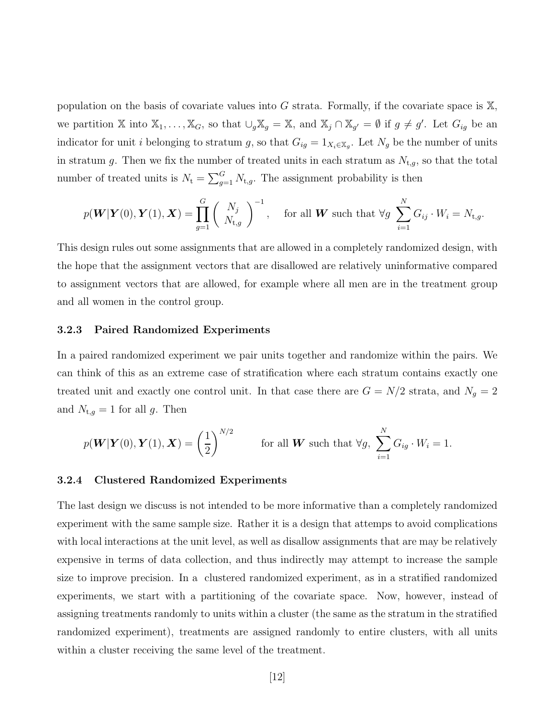population on the basis of covariate values into G strata. Formally, if the covariate space is  $X$ , we partition X into  $\mathbb{X}_1, \ldots, \mathbb{X}_G$ , so that  $\cup_g \mathbb{X}_g = \mathbb{X}$ , and  $\mathbb{X}_j \cap \mathbb{X}_{g'} = \emptyset$  if  $g \neq g'$ . Let  $G_{ig}$  be an indicator for unit i belonging to stratum g, so that  $G_{ig} = 1_{X_i \in X_g}$ . Let  $N_g$  be the number of units in stratum g. Then we fix the number of treated units in each stratum as  $N_{t,g}$ , so that the total number of treated units is  $N_t = \sum_{g=1}^G N_{t,g}$ . The assignment probability is then

$$
p(\mathbf{W}|\mathbf{Y}(0),\mathbf{Y}(1),\mathbf{X})=\prod_{g=1}^G\left(\begin{array}{c}N_j\\N_{\mathrm{t},g}\end{array}\right)^{-1},\quad\text{ for all }\mathbf{W}\text{ such that }\forall g\sum_{i=1}^NG_{ij}\cdot W_i=N_{\mathrm{t},g}.
$$

This design rules out some assignments that are allowed in a completely randomized design, with the hope that the assignment vectors that are disallowed are relatively uninformative compared to assignment vectors that are allowed, for example where all men are in the treatment group and all women in the control group.

#### 3.2.3 Paired Randomized Experiments

In a paired randomized experiment we pair units together and randomize within the pairs. We can think of this as an extreme case of stratification where each stratum contains exactly one treated unit and exactly one control unit. In that case there are  $G = N/2$  strata, and  $N_g = 2$ and  $N_{t,g} = 1$  for all g. Then

$$
p(\mathbf{W}|\mathbf{Y}(0),\mathbf{Y}(1),\mathbf{X}) = \left(\frac{1}{2}\right)^{N/2} \quad \text{for all } \mathbf{W} \text{ such that } \forall g, \ \sum_{i=1}^{N} G_{ig} \cdot W_i = 1.
$$

### 3.2.4 Clustered Randomized Experiments

The last design we discuss is not intended to be more informative than a completely randomized experiment with the same sample size. Rather it is a design that attemps to avoid complications with local interactions at the unit level, as well as disallow assignments that are may be relatively expensive in terms of data collection, and thus indirectly may attempt to increase the sample size to improve precision. In a clustered randomized experiment, as in a stratified randomized experiments, we start with a partitioning of the covariate space. Now, however, instead of assigning treatments randomly to units within a cluster (the same as the stratum in the stratified randomized experiment), treatments are assigned randomly to entire clusters, with all units within a cluster receiving the same level of the treatment.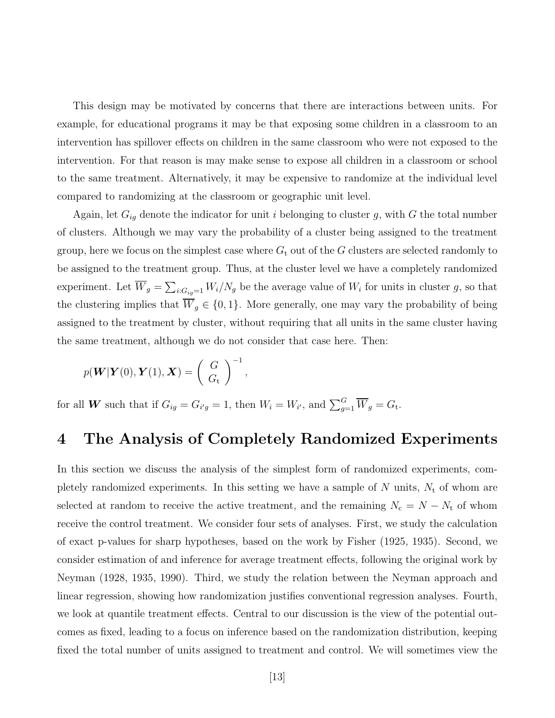This design may be motivated by concerns that there are interactions between units. For example, for educational programs it may be that exposing some children in a classroom to an intervention has spillover effects on children in the same classroom who were not exposed to the intervention. For that reason is may make sense to expose all children in a classroom or school to the same treatment. Alternatively, it may be expensive to randomize at the individual level compared to randomizing at the classroom or geographic unit level.

Again, let  $G_{ig}$  denote the indicator for unit i belonging to cluster g, with G the total number of clusters. Although we may vary the probability of a cluster being assigned to the treatment group, here we focus on the simplest case where  $G_t$  out of the G clusters are selected randomly to be assigned to the treatment group. Thus, at the cluster level we have a completely randomized experiment. Let  $\overline{W}_g = \sum_{i:G_{ig}=1} W_i/N_g$  be the average value of  $W_i$  for units in cluster g, so that the clustering implies that  $\overline{W}_g \in \{0, 1\}$ . More generally, one may vary the probability of being assigned to the treatment by cluster, without requiring that all units in the same cluster having the same treatment, although we do not consider that case here. Then:

$$
p(\mathbf{W}|\mathbf{Y}(0),\mathbf{Y}(1),\mathbf{X})=\left(\begin{array}{c} G \\ G_{\rm t} \end{array}\right)^{-1},
$$

for all **W** such that if  $G_{ig} = G_{i'g} = 1$ , then  $W_i = W_{i'}$ , and  $\sum_{g=1}^{G} \overline{W}_g = G_t$ .

# 4 The Analysis of Completely Randomized Experiments

In this section we discuss the analysis of the simplest form of randomized experiments, completely randomized experiments. In this setting we have a sample of  $N$  units,  $N_t$  of whom are selected at random to receive the active treatment, and the remaining  $N_c = N - N_t$  of whom receive the control treatment. We consider four sets of analyses. First, we study the calculation of exact p-values for sharp hypotheses, based on the work by Fisher (1925, 1935). Second, we consider estimation of and inference for average treatment effects, following the original work by Neyman (1928, 1935, 1990). Third, we study the relation between the Neyman approach and linear regression, showing how randomization justifies conventional regression analyses. Fourth, we look at quantile treatment effects. Central to our discussion is the view of the potential outcomes as fixed, leading to a focus on inference based on the randomization distribution, keeping fixed the total number of units assigned to treatment and control. We will sometimes view the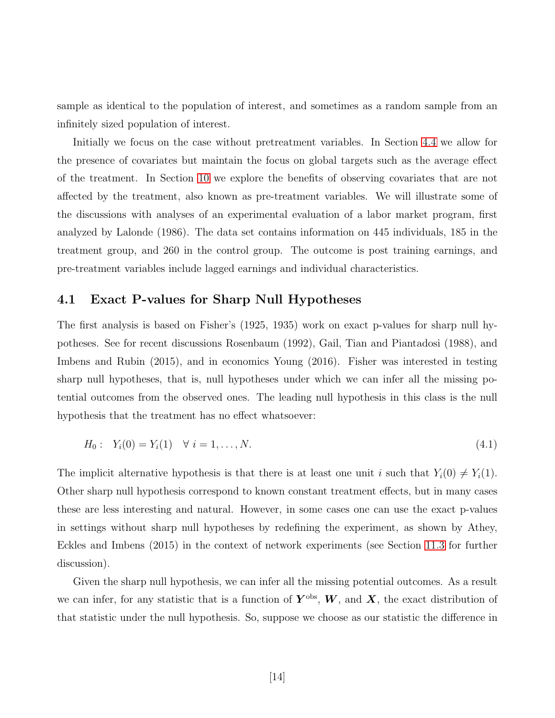sample as identical to the population of interest, and sometimes as a random sample from an infinitely sized population of interest.

Initially we focus on the case without pretreatment variables. In Section [4.4](#page-21-0) we allow for the presence of covariates but maintain the focus on global targets such as the average effect of the treatment. In Section [10](#page-56-0) we explore the benefits of observing covariates that are not affected by the treatment, also known as pre-treatment variables. We will illustrate some of the discussions with analyses of an experimental evaluation of a labor market program, first analyzed by Lalonde (1986). The data set contains information on 445 individuals, 185 in the treatment group, and 260 in the control group. The outcome is post training earnings, and pre-treatment variables include lagged earnings and individual characteristics.

## 4.1 Exact P-values for Sharp Null Hypotheses

The first analysis is based on Fisher's (1925, 1935) work on exact p-values for sharp null hypotheses. See for recent discussions Rosenbaum (1992), Gail, Tian and Piantadosi (1988), and Imbens and Rubin (2015), and in economics Young (2016). Fisher was interested in testing sharp null hypotheses, that is, null hypotheses under which we can infer all the missing potential outcomes from the observed ones. The leading null hypothesis in this class is the null hypothesis that the treatment has no effect whatsoever:

$$
H_0: Y_i(0) = Y_i(1) \quad \forall \ i = 1, ..., N. \tag{4.1}
$$

The implicit alternative hypothesis is that there is at least one unit i such that  $Y_i(0) \neq Y_i(1)$ . Other sharp null hypothesis correspond to known constant treatment effects, but in many cases these are less interesting and natural. However, in some cases one can use the exact p-values in settings without sharp null hypotheses by redefining the experiment, as shown by Athey, Eckles and Imbens (2015) in the context of network experiments (see Section [11.3](#page-69-0) for further discussion).

Given the sharp null hypothesis, we can infer all the missing potential outcomes. As a result we can infer, for any statistic that is a function of  $Y^{\text{obs}}$ ,  $W$ , and  $X$ , the exact distribution of that statistic under the null hypothesis. So, suppose we choose as our statistic the difference in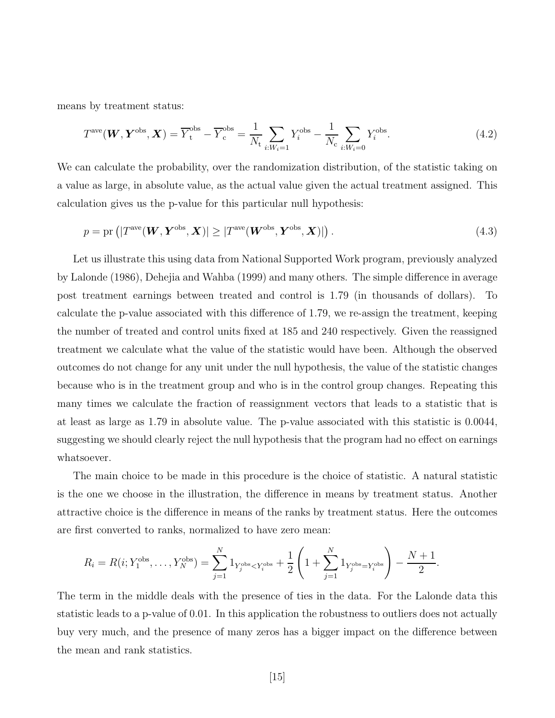means by treatment status:

$$
T^{\text{ave}}(\boldsymbol{W}, \boldsymbol{Y}^{\text{obs}}, \boldsymbol{X}) = \overline{Y}^{\text{obs}}_{t} - \overline{Y}^{\text{obs}}_{c} = \frac{1}{N_{t}} \sum_{i: W_{i}=1} Y^{\text{obs}}_{i} - \frac{1}{N_{c}} \sum_{i: W_{i}=0} Y^{\text{obs}}_{i}.
$$
\n(4.2)

We can calculate the probability, over the randomization distribution, of the statistic taking on a value as large, in absolute value, as the actual value given the actual treatment assigned. This calculation gives us the p-value for this particular null hypothesis:

$$
p = \text{pr}\left(|T^{\text{ave}}(\boldsymbol{W}, \boldsymbol{Y}^{\text{obs}}, \boldsymbol{X})| \geq |T^{\text{ave}}(\boldsymbol{W}^{\text{obs}}, \boldsymbol{Y}^{\text{obs}}, \boldsymbol{X})|\right). \tag{4.3}
$$

Let us illustrate this using data from National Supported Work program, previously analyzed by Lalonde (1986), Dehejia and Wahba (1999) and many others. The simple difference in average post treatment earnings between treated and control is 1.79 (in thousands of dollars). To calculate the p-value associated with this difference of 1.79, we re-assign the treatment, keeping the number of treated and control units fixed at 185 and 240 respectively. Given the reassigned treatment we calculate what the value of the statistic would have been. Although the observed outcomes do not change for any unit under the null hypothesis, the value of the statistic changes because who is in the treatment group and who is in the control group changes. Repeating this many times we calculate the fraction of reassignment vectors that leads to a statistic that is at least as large as 1.79 in absolute value. The p-value associated with this statistic is 0.0044, suggesting we should clearly reject the null hypothesis that the program had no effect on earnings whatsoever.

The main choice to be made in this procedure is the choice of statistic. A natural statistic is the one we choose in the illustration, the difference in means by treatment status. Another attractive choice is the difference in means of the ranks by treatment status. Here the outcomes are first converted to ranks, normalized to have zero mean:

.

$$
R_i = R(i; Y_1^{\text{obs}}, \dots, Y_N^{\text{obs}}) = \sum_{j=1}^N 1_{Y_j^{\text{obs}} < Y_i^{\text{obs}}} + \frac{1}{2} \left( 1 + \sum_{j=1}^N 1_{Y_j^{\text{obs}} = Y_i^{\text{obs}}} \right) - \frac{N+1}{2}
$$

The term in the middle deals with the presence of ties in the data. For the Lalonde data this statistic leads to a p-value of 0.01. In this application the robustness to outliers does not actually buy very much, and the presence of many zeros has a bigger impact on the difference between the mean and rank statistics.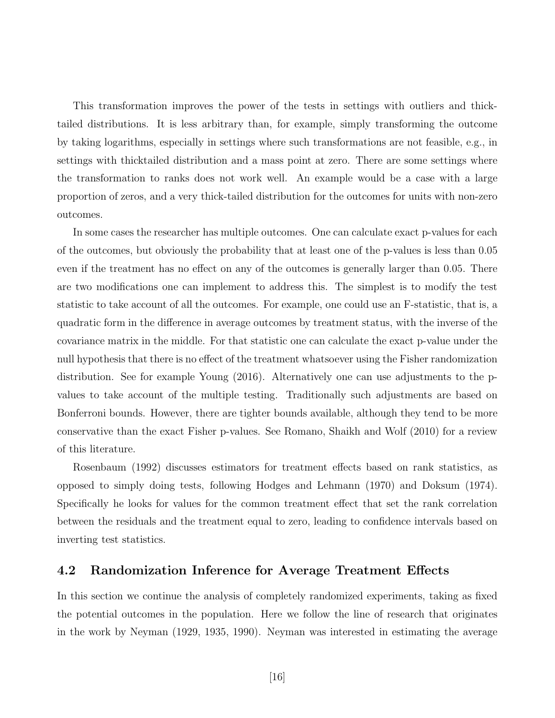This transformation improves the power of the tests in settings with outliers and thicktailed distributions. It is less arbitrary than, for example, simply transforming the outcome by taking logarithms, especially in settings where such transformations are not feasible, e.g., in settings with thicktailed distribution and a mass point at zero. There are some settings where the transformation to ranks does not work well. An example would be a case with a large proportion of zeros, and a very thick-tailed distribution for the outcomes for units with non-zero outcomes.

In some cases the researcher has multiple outcomes. One can calculate exact p-values for each of the outcomes, but obviously the probability that at least one of the p-values is less than 0.05 even if the treatment has no effect on any of the outcomes is generally larger than 0.05. There are two modifications one can implement to address this. The simplest is to modify the test statistic to take account of all the outcomes. For example, one could use an F-statistic, that is, a quadratic form in the difference in average outcomes by treatment status, with the inverse of the covariance matrix in the middle. For that statistic one can calculate the exact p-value under the null hypothesis that there is no effect of the treatment whatsoever using the Fisher randomization distribution. See for example Young (2016). Alternatively one can use adjustments to the pvalues to take account of the multiple testing. Traditionally such adjustments are based on Bonferroni bounds. However, there are tighter bounds available, although they tend to be more conservative than the exact Fisher p-values. See Romano, Shaikh and Wolf (2010) for a review of this literature.

Rosenbaum (1992) discusses estimators for treatment effects based on rank statistics, as opposed to simply doing tests, following Hodges and Lehmann (1970) and Doksum (1974). Specifically he looks for values for the common treatment effect that set the rank correlation between the residuals and the treatment equal to zero, leading to confidence intervals based on inverting test statistics.

### <span id="page-16-0"></span>4.2 Randomization Inference for Average Treatment Effects

In this section we continue the analysis of completely randomized experiments, taking as fixed the potential outcomes in the population. Here we follow the line of research that originates in the work by Neyman (1929, 1935, 1990). Neyman was interested in estimating the average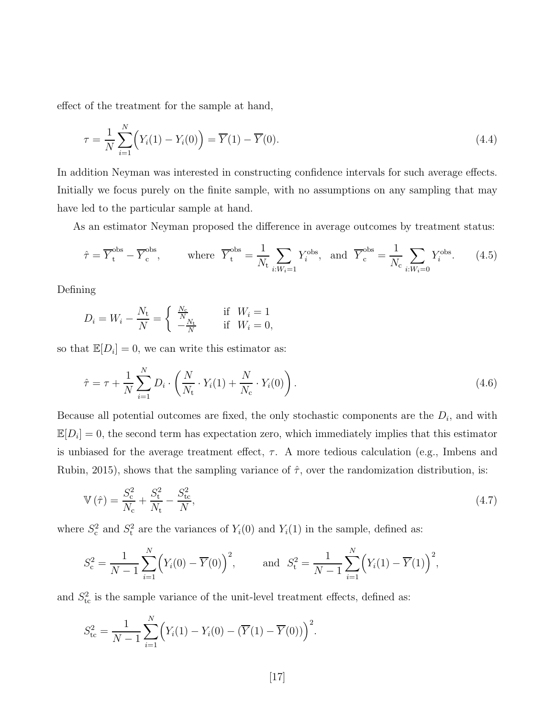effect of the treatment for the sample at hand,

$$
\tau = \frac{1}{N} \sum_{i=1}^{N} \left( Y_i(1) - Y_i(0) \right) = \overline{Y}(1) - \overline{Y}(0). \tag{4.4}
$$

In addition Neyman was interested in constructing confidence intervals for such average effects. Initially we focus purely on the finite sample, with no assumptions on any sampling that may have led to the particular sample at hand.

As an estimator Neyman proposed the difference in average outcomes by treatment status:

$$
\hat{\tau} = \overline{Y}_{t}^{\text{obs}} - \overline{Y}_{c}^{\text{obs}}, \quad \text{where } \overline{Y}_{t}^{\text{obs}} = \frac{1}{N_{t}} \sum_{i:W_{i}=1} Y_{i}^{\text{obs}}, \text{ and } \overline{Y}_{c}^{\text{obs}} = \frac{1}{N_{c}} \sum_{i:W_{i}=0} Y_{i}^{\text{obs}}.
$$
 (4.5)

Defining

<span id="page-17-0"></span>
$$
D_i = W_i - \frac{N_{\rm t}}{N} = \begin{cases} \frac{N_{\rm c}}{N} & \text{if } W_i = 1\\ -\frac{N_{\rm t}}{N} & \text{if } W_i = 0, \end{cases}
$$

so that  $\mathbb{E}[D_i] = 0$ , we can write this estimator as:

$$
\hat{\tau} = \tau + \frac{1}{N} \sum_{i=1}^{N} D_i \cdot \left( \frac{N}{N_t} \cdot Y_i(1) + \frac{N}{N_c} \cdot Y_i(0) \right). \tag{4.6}
$$

Because all potential outcomes are fixed, the only stochastic components are the  $D_i$ , and with  $\mathbb{E}[D_i] = 0$ , the second term has expectation zero, which immediately implies that this estimator is unbiased for the average treatment effect,  $\tau$ . A more tedious calculation (e.g., Imbens and Rubin, 2015), shows that the sampling variance of  $\hat{\tau}$ , over the randomization distribution, is:

$$
V(\hat{\tau}) = \frac{S_c^2}{N_c} + \frac{S_t^2}{N_t} - \frac{S_{tc}^2}{N},\tag{4.7}
$$

where  $S_c^2$  and  $S_t^2$  are the variances of  $Y_i(0)$  and  $Y_i(1)$  in the sample, defined as:

$$
S_c^2 = \frac{1}{N-1} \sum_{i=1}^N \Big( Y_i(0) - \overline{Y}(0) \Big)^2, \quad \text{and} \quad S_t^2 = \frac{1}{N-1} \sum_{i=1}^N \Big( Y_i(1) - \overline{Y}(1) \Big)^2,
$$

and  $S_{\text{tc}}^2$  is the sample variance of the unit-level treatment effects, defined as:

$$
S_{\rm tc}^2 = \frac{1}{N-1} \sum_{i=1}^N \Big( Y_i(1) - Y_i(0) - (\overline{Y}(1) - \overline{Y}(0)) \Big)^2.
$$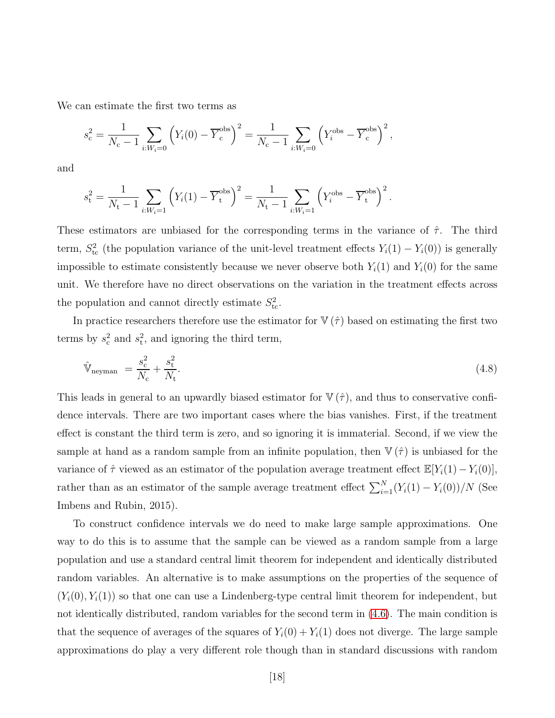We can estimate the first two terms as

$$
s_{\rm c}^{2} = \frac{1}{N_{\rm c} - 1} \sum_{i: W_{i} = 0} \left( Y_{i}(0) - \overline{Y}_{\rm c}^{\rm obs} \right)^{2} = \frac{1}{N_{\rm c} - 1} \sum_{i: W_{i} = 0} \left( Y_{i}^{\rm obs} - \overline{Y}_{\rm c}^{\rm obs} \right)^{2},
$$

and

$$
s_{t}^{2} = \frac{1}{N_{t} - 1} \sum_{i:W_{i} = 1} (Y_{i}(1) - \overline{Y}_{t}^{\text{obs}})^{2} = \frac{1}{N_{t} - 1} \sum_{i:W_{i} = 1} (Y_{i}^{\text{obs}} - \overline{Y}_{t}^{\text{obs}})^{2}.
$$

These estimators are unbiased for the corresponding terms in the variance of  $\hat{\tau}$ . The third term,  $S_{\text{tc}}^2$  (the population variance of the unit-level treatment effects  $Y_i(1) - Y_i(0)$ ) is generally impossible to estimate consistently because we never observe both  $Y_i(1)$  and  $Y_i(0)$  for the same unit. We therefore have no direct observations on the variation in the treatment effects across the population and cannot directly estimate  $S_{\text{tc}}^2$ .

In practice researchers therefore use the estimator for  $\nabla(\hat{\tau})$  based on estimating the first two terms by  $s_c^2$  and  $s_t^2$ , and ignoring the third term,

$$
\hat{\mathbb{V}}_{\text{negman}} = \frac{s_c^2}{N_c} + \frac{s_t^2}{N_t}.\tag{4.8}
$$

This leads in general to an upwardly biased estimator for  $\nabla(\hat{\tau})$ , and thus to conservative confidence intervals. There are two important cases where the bias vanishes. First, if the treatment effect is constant the third term is zero, and so ignoring it is immaterial. Second, if we view the sample at hand as a random sample from an infinite population, then  $\nabla(\hat{\tau})$  is unbiased for the variance of  $\hat{\tau}$  viewed as an estimator of the population average treatment effect  $\mathbb{E}[Y_i(1)-Y_i(0)],$ rather than as an estimator of the sample average treatment effect  $\sum_{i=1}^{N} (Y_i(1) - Y_i(0))/N$  (See Imbens and Rubin, 2015).

To construct confidence intervals we do need to make large sample approximations. One way to do this is to assume that the sample can be viewed as a random sample from a large population and use a standard central limit theorem for independent and identically distributed random variables. An alternative is to make assumptions on the properties of the sequence of  $(Y_i(0), Y_i(1))$  so that one can use a Lindenberg-type central limit theorem for independent, but not identically distributed, random variables for the second term in [\(4.6\)](#page-17-0). The main condition is that the sequence of averages of the squares of  $Y_i(0) + Y_i(1)$  does not diverge. The large sample approximations do play a very different role though than in standard discussions with random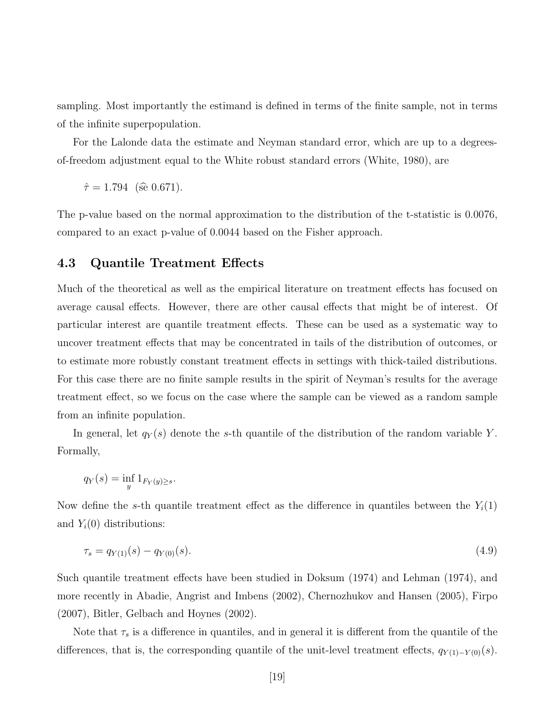sampling. Most importantly the estimand is defined in terms of the finite sample, not in terms of the infinite superpopulation.

For the Lalonde data the estimate and Neyman standard error, which are up to a degreesof-freedom adjustment equal to the White robust standard errors (White, 1980), are

 $\hat{\tau} = 1.794$  (se 0.671).

The p-value based on the normal approximation to the distribution of the t-statistic is 0.0076, compared to an exact p-value of 0.0044 based on the Fisher approach.

### 4.3 Quantile Treatment Effects

Much of the theoretical as well as the empirical literature on treatment effects has focused on average causal effects. However, there are other causal effects that might be of interest. Of particular interest are quantile treatment effects. These can be used as a systematic way to uncover treatment effects that may be concentrated in tails of the distribution of outcomes, or to estimate more robustly constant treatment effects in settings with thick-tailed distributions. For this case there are no finite sample results in the spirit of Neyman's results for the average treatment effect, so we focus on the case where the sample can be viewed as a random sample from an infinite population.

In general, let  $q_Y(s)$  denote the s-th quantile of the distribution of the random variable Y. Formally,

$$
q_Y(s) = \inf_y 1_{F_Y(y) \ge s}.
$$

Now define the s-th quantile treatment effect as the difference in quantiles between the  $Y_i(1)$ and  $Y_i(0)$  distributions:

$$
\tau_s = q_{Y(1)}(s) - q_{Y(0)}(s). \tag{4.9}
$$

Such quantile treatment effects have been studied in Doksum (1974) and Lehman (1974), and more recently in Abadie, Angrist and Imbens (2002), Chernozhukov and Hansen (2005), Firpo (2007), Bitler, Gelbach and Hoynes (2002).

Note that  $\tau_s$  is a difference in quantiles, and in general it is different from the quantile of the differences, that is, the corresponding quantile of the unit-level treatment effects,  $q_{Y(1)-Y(0)}(s)$ .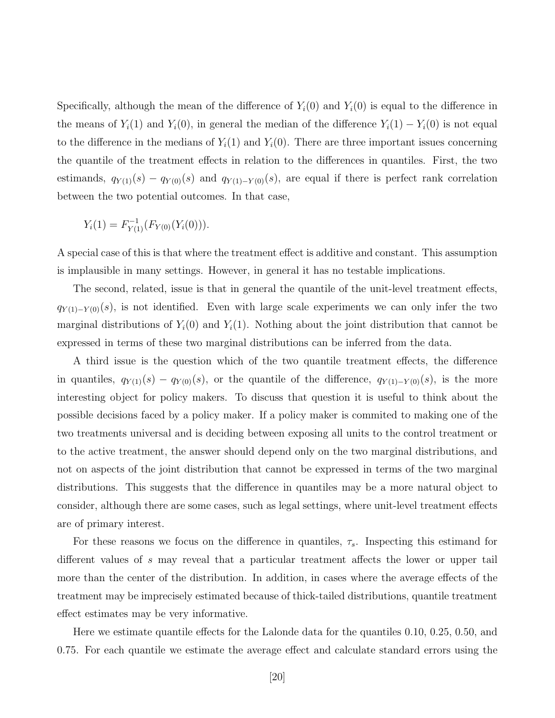Specifically, although the mean of the difference of  $Y_i(0)$  and  $Y_i(0)$  is equal to the difference in the means of  $Y_i(1)$  and  $Y_i(0)$ , in general the median of the difference  $Y_i(1) - Y_i(0)$  is not equal to the difference in the medians of  $Y_i(1)$  and  $Y_i(0)$ . There are three important issues concerning the quantile of the treatment effects in relation to the differences in quantiles. First, the two estimands,  $q_{Y(1)}(s) - q_{Y(0)}(s)$  and  $q_{Y(1)-Y(0)}(s)$ , are equal if there is perfect rank correlation between the two potential outcomes. In that case,

$$
Y_i(1) = F_{Y(1)}^{-1}(F_{Y(0)}(Y_i(0))).
$$

A special case of this is that where the treatment effect is additive and constant. This assumption is implausible in many settings. However, in general it has no testable implications.

The second, related, issue is that in general the quantile of the unit-level treatment effects,  $q_{Y(1)-Y(0)}(s)$ , is not identified. Even with large scale experiments we can only infer the two marginal distributions of  $Y_i(0)$  and  $Y_i(1)$ . Nothing about the joint distribution that cannot be expressed in terms of these two marginal distributions can be inferred from the data.

A third issue is the question which of the two quantile treatment effects, the difference in quantiles,  $q_{Y(1)}(s) - q_{Y(0)}(s)$ , or the quantile of the difference,  $q_{Y(1)-Y(0)}(s)$ , is the more interesting object for policy makers. To discuss that question it is useful to think about the possible decisions faced by a policy maker. If a policy maker is commited to making one of the two treatments universal and is deciding between exposing all units to the control treatment or to the active treatment, the answer should depend only on the two marginal distributions, and not on aspects of the joint distribution that cannot be expressed in terms of the two marginal distributions. This suggests that the difference in quantiles may be a more natural object to consider, although there are some cases, such as legal settings, where unit-level treatment effects are of primary interest.

For these reasons we focus on the difference in quantiles,  $\tau_s$ . Inspecting this estimand for different values of s may reveal that a particular treatment affects the lower or upper tail more than the center of the distribution. In addition, in cases where the average effects of the treatment may be imprecisely estimated because of thick-tailed distributions, quantile treatment effect estimates may be very informative.

Here we estimate quantile effects for the Lalonde data for the quantiles 0.10, 0.25, 0.50, and 0.75. For each quantile we estimate the average effect and calculate standard errors using the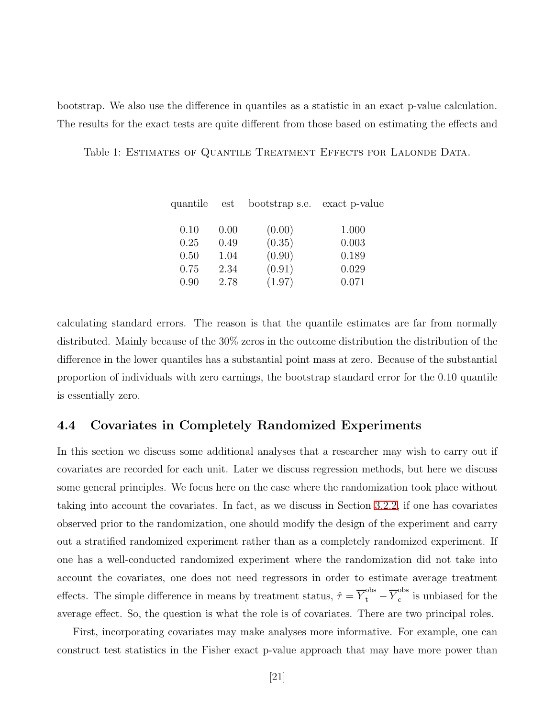bootstrap. We also use the difference in quantiles as a statistic in an exact p-value calculation. The results for the exact tests are quite different from those based on estimating the effects and

Table 1: Estimates of Quantile Treatment Effects for Lalonde Data.

| quantile | est  | bootstrap s.e. | exact p-value |
|----------|------|----------------|---------------|
| 0.10     | 0.00 | (0.00)         | 1.000         |
| 0.25     | 0.49 | (0.35)         | 0.003         |
| 0.50     | 1.04 | (0.90)         | 0.189         |
| 0.75     | 2.34 | (0.91)         | 0.029         |
| 0.90     | 2.78 | (1.97)         | 0.071         |

calculating standard errors. The reason is that the quantile estimates are far from normally distributed. Mainly because of the 30% zeros in the outcome distribution the distribution of the difference in the lower quantiles has a substantial point mass at zero. Because of the substantial proportion of individuals with zero earnings, the bootstrap standard error for the 0.10 quantile is essentially zero.

### <span id="page-21-0"></span>4.4 Covariates in Completely Randomized Experiments

In this section we discuss some additional analyses that a researcher may wish to carry out if covariates are recorded for each unit. Later we discuss regression methods, but here we discuss some general principles. We focus here on the case where the randomization took place without taking into account the covariates. In fact, as we discuss in Section [3.2.2,](#page-11-0) if one has covariates observed prior to the randomization, one should modify the design of the experiment and carry out a stratified randomized experiment rather than as a completely randomized experiment. If one has a well-conducted randomized experiment where the randomization did not take into account the covariates, one does not need regressors in order to estimate average treatment effects. The simple difference in means by treatment status,  $\hat{\tau} = \overline{Y}_{t}^{\text{obs}} - \overline{Y}_{c}^{\text{obs}}$  $\frac{1}{c}$  is unbiased for the average effect. So, the question is what the role is of covariates. There are two principal roles.

First, incorporating covariates may make analyses more informative. For example, one can construct test statistics in the Fisher exact p-value approach that may have more power than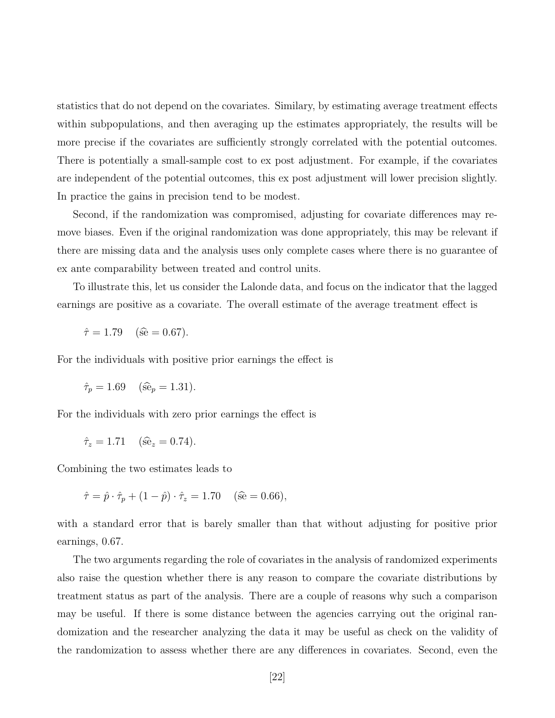statistics that do not depend on the covariates. Similary, by estimating average treatment effects within subpopulations, and then averaging up the estimates appropriately, the results will be more precise if the covariates are sufficiently strongly correlated with the potential outcomes. There is potentially a small-sample cost to ex post adjustment. For example, if the covariates are independent of the potential outcomes, this ex post adjustment will lower precision slightly. In practice the gains in precision tend to be modest.

Second, if the randomization was compromised, adjusting for covariate differences may remove biases. Even if the original randomization was done appropriately, this may be relevant if there are missing data and the analysis uses only complete cases where there is no guarantee of ex ante comparability between treated and control units.

To illustrate this, let us consider the Lalonde data, and focus on the indicator that the lagged earnings are positive as a covariate. The overall estimate of the average treatment effect is

 $\hat{\tau} = 1.79$  (se = 0.67).

For the individuals with positive prior earnings the effect is

$$
\hat{\tau}_p = 1.69
$$
 ( $\hat{\text{se}}_p = 1.31$ ).

For the individuals with zero prior earnings the effect is

$$
\hat{\tau}_z = 1.71
$$
 ( $\hat{\text{se}}_z = 0.74$ ).

Combining the two estimates leads to

$$
\hat{\tau} = \hat{p} \cdot \hat{\tau}_p + (1 - \hat{p}) \cdot \hat{\tau}_z = 1.70
$$
 (sê = 0.66),

with a standard error that is barely smaller than that without adjusting for positive prior earnings, 0.67.

The two arguments regarding the role of covariates in the analysis of randomized experiments also raise the question whether there is any reason to compare the covariate distributions by treatment status as part of the analysis. There are a couple of reasons why such a comparison may be useful. If there is some distance between the agencies carrying out the original randomization and the researcher analyzing the data it may be useful as check on the validity of the randomization to assess whether there are any differences in covariates. Second, even the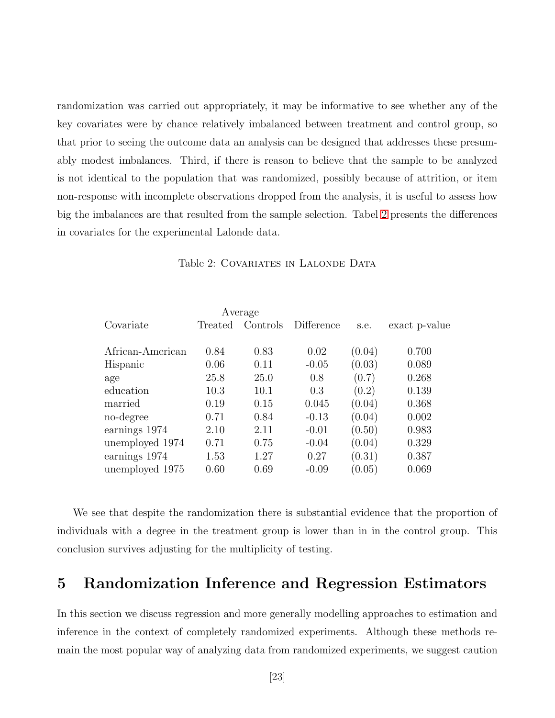randomization was carried out appropriately, it may be informative to see whether any of the key covariates were by chance relatively imbalanced between treatment and control group, so that prior to seeing the outcome data an analysis can be designed that addresses these presumably modest imbalances. Third, if there is reason to believe that the sample to be analyzed is not identical to the population that was randomized, possibly because of attrition, or item non-response with incomplete observations dropped from the analysis, it is useful to assess how big the imbalances are that resulted from the sample selection. Tabel [2](#page-23-0) presents the differences in covariates for the experimental Lalonde data.

|                  | Average |          |            |        |               |
|------------------|---------|----------|------------|--------|---------------|
| Covariate        | Treated | Controls | Difference | s.e.   | exact p-value |
|                  |         |          |            |        |               |
| African-American | 0.84    | 0.83     | 0.02       | (0.04) | 0.700         |
| Hispanic         | 0.06    | 0.11     | $-0.05$    | (0.03) | 0.089         |
| age              | 25.8    | 25.0     | 0.8        | (0.7)  | 0.268         |
| education        | 10.3    | 10.1     | 0.3        | (0.2)  | 0.139         |
| married          | 0.19    | 0.15     | 0.045      | (0.04) | 0.368         |
| no-degree        | 0.71    | 0.84     | $-0.13$    | (0.04) | 0.002         |
| earnings 1974    | 2.10    | 2.11     | $-0.01$    | (0.50) | 0.983         |
| unemployed 1974  | 0.71    | 0.75     | $-0.04$    | (0.04) | 0.329         |
| earnings 1974    | 1.53    | 1.27     | 0.27       | (0.31) | 0.387         |
| unemployed 1975  | 0.60    | 0.69     | $-0.09$    | (0.05) | 0.069         |

#### <span id="page-23-0"></span>Table 2: COVARIATES IN LALONDE DATA

We see that despite the randomization there is substantial evidence that the proportion of individuals with a degree in the treatment group is lower than in in the control group. This conclusion survives adjusting for the multiplicity of testing.

# 5 Randomization Inference and Regression Estimators

In this section we discuss regression and more generally modelling approaches to estimation and inference in the context of completely randomized experiments. Although these methods remain the most popular way of analyzing data from randomized experiments, we suggest caution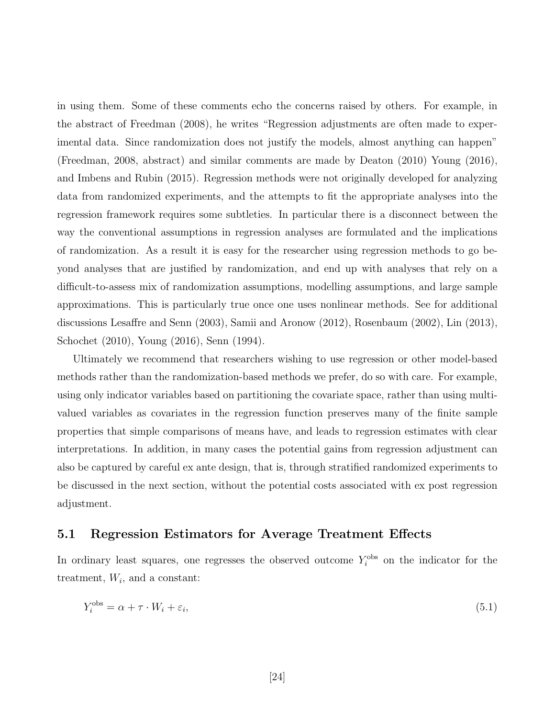in using them. Some of these comments echo the concerns raised by others. For example, in the abstract of Freedman (2008), he writes "Regression adjustments are often made to experimental data. Since randomization does not justify the models, almost anything can happen" (Freedman, 2008, abstract) and similar comments are made by Deaton (2010) Young (2016), and Imbens and Rubin (2015). Regression methods were not originally developed for analyzing data from randomized experiments, and the attempts to fit the appropriate analyses into the regression framework requires some subtleties. In particular there is a disconnect between the way the conventional assumptions in regression analyses are formulated and the implications of randomization. As a result it is easy for the researcher using regression methods to go beyond analyses that are justified by randomization, and end up with analyses that rely on a difficult-to-assess mix of randomization assumptions, modelling assumptions, and large sample approximations. This is particularly true once one uses nonlinear methods. See for additional discussions Lesaffre and Senn (2003), Samii and Aronow (2012), Rosenbaum (2002), Lin (2013), Schochet (2010), Young (2016), Senn (1994).

Ultimately we recommend that researchers wishing to use regression or other model-based methods rather than the randomization-based methods we prefer, do so with care. For example, using only indicator variables based on partitioning the covariate space, rather than using multivalued variables as covariates in the regression function preserves many of the finite sample properties that simple comparisons of means have, and leads to regression estimates with clear interpretations. In addition, in many cases the potential gains from regression adjustment can also be captured by careful ex ante design, that is, through stratified randomized experiments to be discussed in the next section, without the potential costs associated with ex post regression adjustment.

### 5.1 Regression Estimators for Average Treatment Effects

In ordinary least squares, one regresses the observed outcome  $Y_i^{\text{obs}}$  on the indicator for the treatment,  $W_i$ , and a constant:

<span id="page-24-0"></span>
$$
Y_i^{\text{obs}} = \alpha + \tau \cdot W_i + \varepsilon_i,\tag{5.1}
$$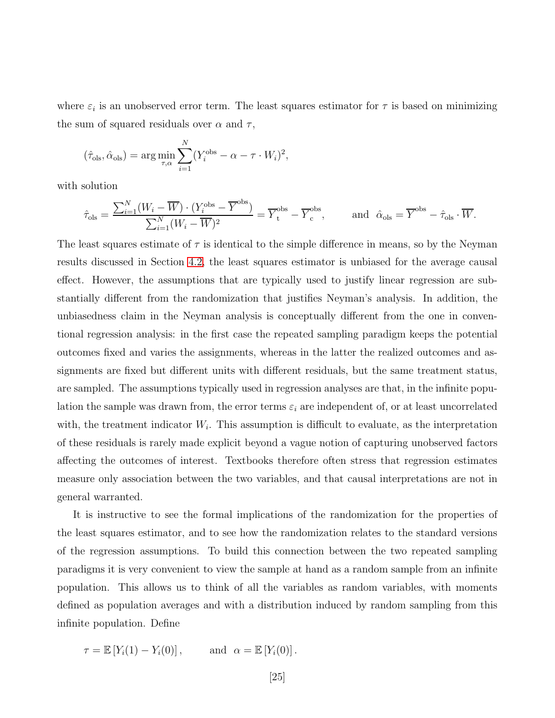where  $\varepsilon_i$  is an unobserved error term. The least squares estimator for  $\tau$  is based on minimizing the sum of squared residuals over  $\alpha$  and  $\tau$ ,

$$
(\hat{\tau}_{\text{ols}}, \hat{\alpha}_{\text{ols}}) = \arg \min_{\tau, \alpha} \sum_{i=1}^{N} (Y_i^{\text{obs}} - \alpha - \tau \cdot W_i)^2,
$$

with solution

$$
\hat{\tau}_{\text{ols}} = \frac{\sum_{i=1}^{N} (W_i - \overline{W}) \cdot (Y_i^{\text{obs}} - \overline{Y}^{\text{obs}})}{\sum_{i=1}^{N} (W_i - \overline{W})^2} = \overline{Y}_t^{\text{obs}} - \overline{Y}_c^{\text{obs}}, \quad \text{and } \hat{\alpha}_{\text{ols}} = \overline{Y}^{\text{obs}} - \hat{\tau}_{\text{ols}} \cdot \overline{W}.
$$

The least squares estimate of  $\tau$  is identical to the simple difference in means, so by the Neyman results discussed in Section [4.2,](#page-16-0) the least squares estimator is unbiased for the average causal effect. However, the assumptions that are typically used to justify linear regression are substantially different from the randomization that justifies Neyman's analysis. In addition, the unbiasedness claim in the Neyman analysis is conceptually different from the one in conventional regression analysis: in the first case the repeated sampling paradigm keeps the potential outcomes fixed and varies the assignments, whereas in the latter the realized outcomes and assignments are fixed but different units with different residuals, but the same treatment status, are sampled. The assumptions typically used in regression analyses are that, in the infinite population the sample was drawn from, the error terms  $\varepsilon_i$  are independent of, or at least uncorrelated with, the treatment indicator  $W_i$ . This assumption is difficult to evaluate, as the interpretation of these residuals is rarely made explicit beyond a vague notion of capturing unobserved factors affecting the outcomes of interest. Textbooks therefore often stress that regression estimates measure only association between the two variables, and that causal interpretations are not in general warranted.

It is instructive to see the formal implications of the randomization for the properties of the least squares estimator, and to see how the randomization relates to the standard versions of the regression assumptions. To build this connection between the two repeated sampling paradigms it is very convenient to view the sample at hand as a random sample from an infinite population. This allows us to think of all the variables as random variables, with moments defined as population averages and with a distribution induced by random sampling from this infinite population. Define

$$
\tau = \mathbb{E}[Y_i(1) - Y_i(0)], \quad \text{and} \quad \alpha = \mathbb{E}[Y_i(0)].
$$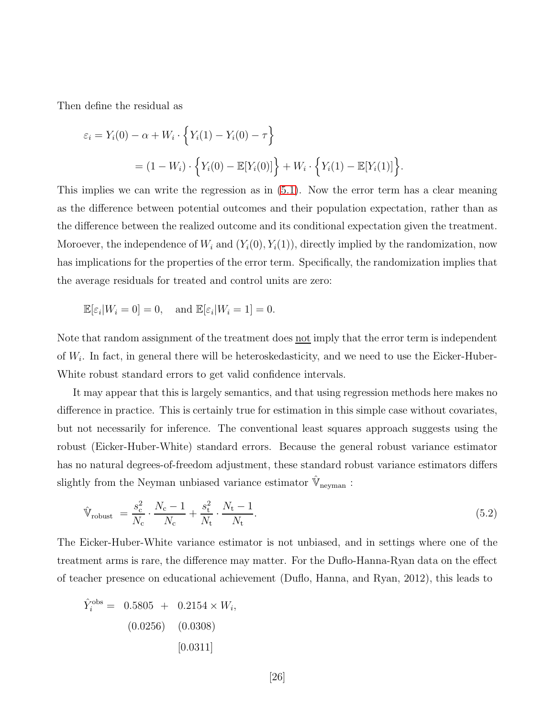Then define the residual as

$$
\varepsilon_i = Y_i(0) - \alpha + W_i \cdot \{ Y_i(1) - Y_i(0) - \tau \}
$$
  
=  $(1 - W_i) \cdot \{ Y_i(0) - \mathbb{E}[Y_i(0)] \} + W_i \cdot \{ Y_i(1) - \mathbb{E}[Y_i(1)] \}.$ 

This implies we can write the regression as in [\(5.1\)](#page-24-0). Now the error term has a clear meaning as the difference between potential outcomes and their population expectation, rather than as the difference between the realized outcome and its conditional expectation given the treatment. Moroever, the independence of  $W_i$  and  $(Y_i(0), Y_i(1))$ , directly implied by the randomization, now has implications for the properties of the error term. Specifically, the randomization implies that the average residuals for treated and control units are zero:

$$
\mathbb{E}[\varepsilon_i|W_i=0]=0,\quad\text{and }\mathbb{E}[\varepsilon_i|W_i=1]=0.
$$

Note that random assignment of the treatment does <u>not</u> imply that the error term is independent of  $W_i$ . In fact, in general there will be heteroskedasticity, and we need to use the Eicker-Huber-White robust standard errors to get valid confidence intervals.

It may appear that this is largely semantics, and that using regression methods here makes no difference in practice. This is certainly true for estimation in this simple case without covariates, but not necessarily for inference. The conventional least squares approach suggests using the robust (Eicker-Huber-White) standard errors. Because the general robust variance estimator has no natural degrees-of-freedom adjustment, these standard robust variance estimators differs slightly from the Neyman unbiased variance estimator  $\hat{\mathbb{V}}_{\text{negman}}$ :

$$
\hat{\mathbb{V}}_{\text{robust}} = \frac{s_c^2}{N_c} \cdot \frac{N_c - 1}{N_c} + \frac{s_t^2}{N_t} \cdot \frac{N_t - 1}{N_t}.
$$
\n(5.2)

The Eicker-Huber-White variance estimator is not unbiased, and in settings where one of the treatment arms is rare, the difference may matter. For the Duflo-Hanna-Ryan data on the effect of teacher presence on educational achievement (Duflo, Hanna, and Ryan, 2012), this leads to

$$
\hat{Y}_i^{\text{obs}} = 0.5805 + 0.2154 \times W_i,
$$
  
(0.0256) (0.0308)  
[0.0311]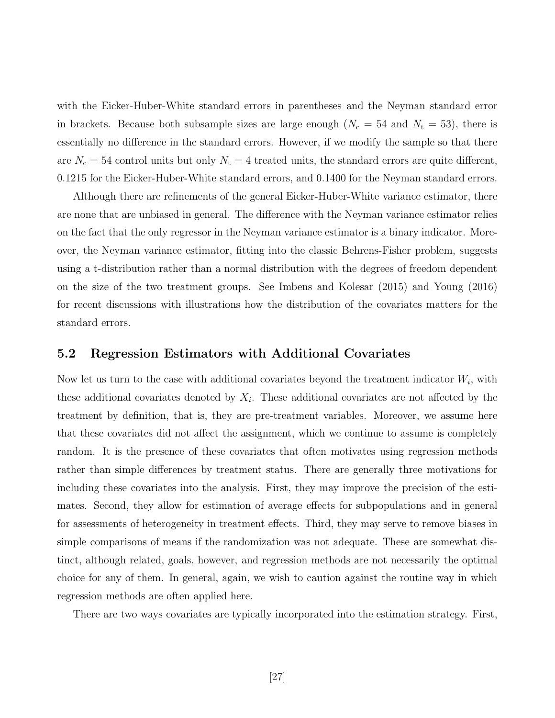with the Eicker-Huber-White standard errors in parentheses and the Neyman standard error in brackets. Because both subsample sizes are large enough  $(N_c = 54$  and  $N_t = 53)$ , there is essentially no difference in the standard errors. However, if we modify the sample so that there are  $N_c = 54$  control units but only  $N_t = 4$  treated units, the standard errors are quite different, 0.1215 for the Eicker-Huber-White standard errors, and 0.1400 for the Neyman standard errors.

Although there are refinements of the general Eicker-Huber-White variance estimator, there are none that are unbiased in general. The difference with the Neyman variance estimator relies on the fact that the only regressor in the Neyman variance estimator is a binary indicator. Moreover, the Neyman variance estimator, fitting into the classic Behrens-Fisher problem, suggests using a t-distribution rather than a normal distribution with the degrees of freedom dependent on the size of the two treatment groups. See Imbens and Kolesar (2015) and Young (2016) for recent discussions with illustrations how the distribution of the covariates matters for the standard errors.

### 5.2 Regression Estimators with Additional Covariates

Now let us turn to the case with additional covariates beyond the treatment indicator  $W_i$ , with these additional covariates denoted by  $X_i$ . These additional covariates are not affected by the treatment by definition, that is, they are pre-treatment variables. Moreover, we assume here that these covariates did not affect the assignment, which we continue to assume is completely random. It is the presence of these covariates that often motivates using regression methods rather than simple differences by treatment status. There are generally three motivations for including these covariates into the analysis. First, they may improve the precision of the estimates. Second, they allow for estimation of average effects for subpopulations and in general for assessments of heterogeneity in treatment effects. Third, they may serve to remove biases in simple comparisons of means if the randomization was not adequate. These are somewhat distinct, although related, goals, however, and regression methods are not necessarily the optimal choice for any of them. In general, again, we wish to caution against the routine way in which regression methods are often applied here.

There are two ways covariates are typically incorporated into the estimation strategy. First,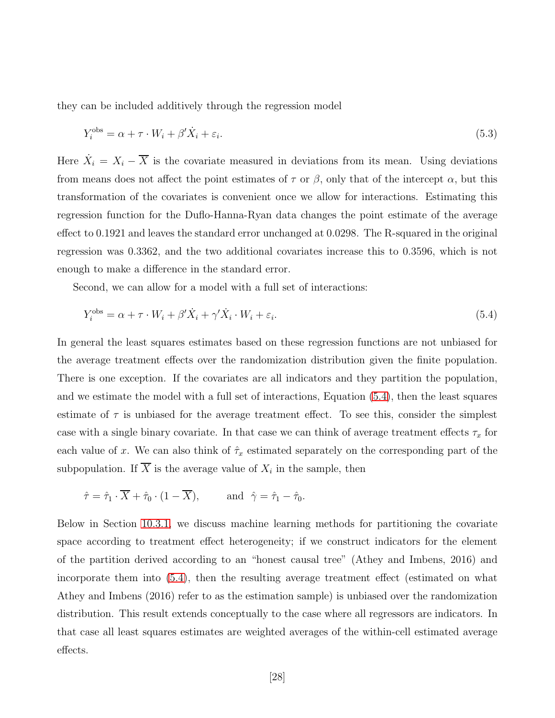they can be included additively through the regression model

$$
Y_i^{\text{obs}} = \alpha + \tau \cdot W_i + \beta' \dot{X}_i + \varepsilon_i. \tag{5.3}
$$

Here  $\dot{X}_i = X_i - \overline{X}$  is the covariate measured in deviations from its mean. Using deviations from means does not affect the point estimates of  $\tau$  or  $\beta$ , only that of the intercept  $\alpha$ , but this transformation of the covariates is convenient once we allow for interactions. Estimating this regression function for the Duflo-Hanna-Ryan data changes the point estimate of the average effect to 0.1921 and leaves the standard error unchanged at 0.0298. The R-squared in the original regression was 0.3362, and the two additional covariates increase this to 0.3596, which is not enough to make a difference in the standard error.

Second, we can allow for a model with a full set of interactions:

<span id="page-28-0"></span>
$$
Y_i^{\text{obs}} = \alpha + \tau \cdot W_i + \beta' \dot{X}_i + \gamma' \dot{X}_i \cdot W_i + \varepsilon_i. \tag{5.4}
$$

In general the least squares estimates based on these regression functions are not unbiased for the average treatment effects over the randomization distribution given the finite population. There is one exception. If the covariates are all indicators and they partition the population, and we estimate the model with a full set of interactions, Equation [\(5.4\)](#page-28-0), then the least squares estimate of  $\tau$  is unbiased for the average treatment effect. To see this, consider the simplest case with a single binary covariate. In that case we can think of average treatment effects  $\tau_x$  for each value of x. We can also think of  $\hat{\tau}_x$  estimated separately on the corresponding part of the subpopulation. If X is the average value of  $X_i$  in the sample, then

$$
\hat{\tau} = \hat{\tau}_1 \cdot \overline{X} + \hat{\tau}_0 \cdot (1 - \overline{X}),
$$
 and  $\hat{\gamma} = \hat{\tau}_1 - \hat{\tau}_0.$ 

Below in Section [10.3.1,](#page-60-0) we discuss machine learning methods for partitioning the covariate space according to treatment effect heterogeneity; if we construct indicators for the element of the partition derived according to an "honest causal tree" (Athey and Imbens, 2016) and incorporate them into [\(5.4\)](#page-28-0), then the resulting average treatment effect (estimated on what Athey and Imbens (2016) refer to as the estimation sample) is unbiased over the randomization distribution. This result extends conceptually to the case where all regressors are indicators. In that case all least squares estimates are weighted averages of the within-cell estimated average effects.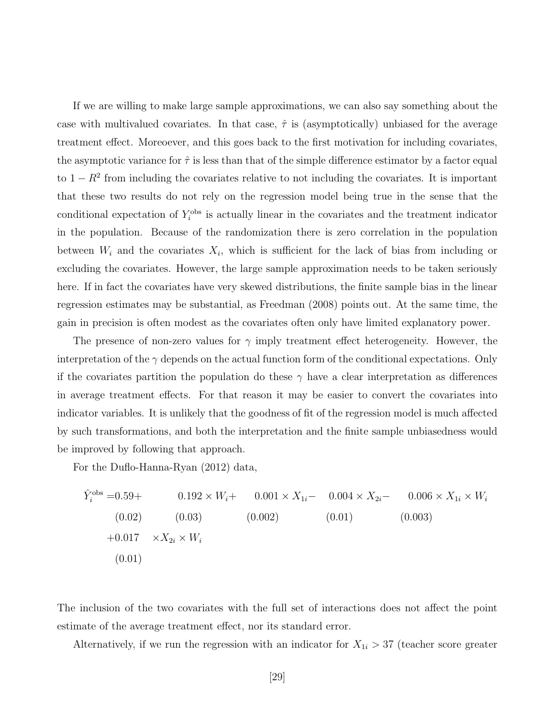If we are willing to make large sample approximations, we can also say something about the case with multivalued covariates. In that case,  $\hat{\tau}$  is (asymptotically) unbiased for the average treatment effect. Moreoever, and this goes back to the first motivation for including covariates, the asymptotic variance for  $\hat{\tau}$  is less than that of the simple difference estimator by a factor equal to  $1 - R^2$  from including the covariates relative to not including the covariates. It is important that these two results do not rely on the regression model being true in the sense that the conditional expectation of  $Y_i^{\text{obs}}$  is actually linear in the covariates and the treatment indicator in the population. Because of the randomization there is zero correlation in the population between  $W_i$  and the covariates  $X_i$ , which is sufficient for the lack of bias from including or excluding the covariates. However, the large sample approximation needs to be taken seriously here. If in fact the covariates have very skewed distributions, the finite sample bias in the linear regression estimates may be substantial, as Freedman (2008) points out. At the same time, the gain in precision is often modest as the covariates often only have limited explanatory power.

The presence of non-zero values for  $\gamma$  imply treatment effect heterogeneity. However, the interpretation of the  $\gamma$  depends on the actual function form of the conditional expectations. Only if the covariates partition the population do these  $\gamma$  have a clear interpretation as differences in average treatment effects. For that reason it may be easier to convert the covariates into indicator variables. It is unlikely that the goodness of fit of the regression model is much affected by such transformations, and both the interpretation and the finite sample unbiasedness would be improved by following that approach.

For the Duflo-Hanna-Ryan (2012) data,

$$
\hat{Y}_i^{\text{obs}} = 0.59 + 0.192 \times W_i + 0.001 \times X_{1i} - 0.004 \times X_{2i} - 0.006 \times X_{1i} \times W_i
$$
\n(0.02) (0.03) (0.002) (0.01) (0.003)  
\n
$$
+0.017 \times X_{2i} \times W_i
$$
\n(0.01)

The inclusion of the two covariates with the full set of interactions does not affect the point estimate of the average treatment effect, nor its standard error.

Alternatively, if we run the regression with an indicator for  $X_{1i} > 37$  (teacher score greater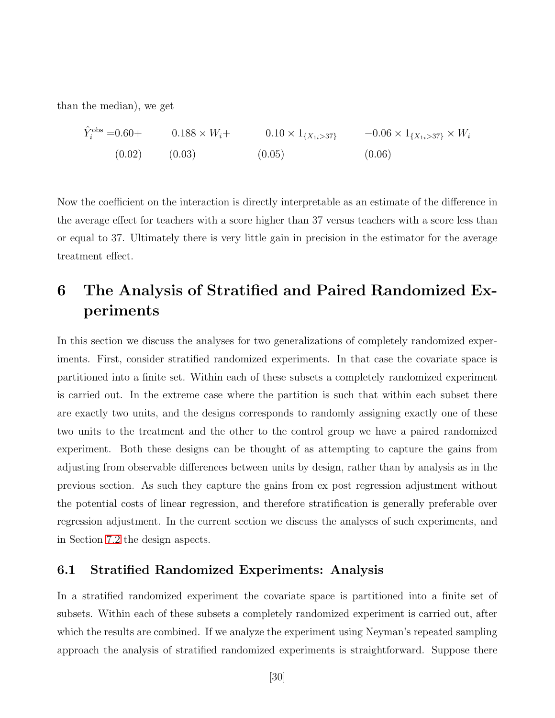than the median), we get

$$
\hat{Y}_i^{\text{obs}} = 0.60 + \qquad 0.188 \times W_i + \qquad 0.10 \times 1_{\{X_{1i} > 37\}} \qquad -0.06 \times 1_{\{X_{1i} > 37\}} \times W_i
$$
\n
$$
(0.02) \qquad (0.03) \qquad (0.05) \qquad (0.06)
$$

Now the coefficient on the interaction is directly interpretable as an estimate of the difference in the average effect for teachers with a score higher than 37 versus teachers with a score less than or equal to 37. Ultimately there is very little gain in precision in the estimator for the average treatment effect.

# 6 The Analysis of Stratified and Paired Randomized Experiments

In this section we discuss the analyses for two generalizations of completely randomized experiments. First, consider stratified randomized experiments. In that case the covariate space is partitioned into a finite set. Within each of these subsets a completely randomized experiment is carried out. In the extreme case where the partition is such that within each subset there are exactly two units, and the designs corresponds to randomly assigning exactly one of these two units to the treatment and the other to the control group we have a paired randomized experiment. Both these designs can be thought of as attempting to capture the gains from adjusting from observable differences between units by design, rather than by analysis as in the previous section. As such they capture the gains from ex post regression adjustment without the potential costs of linear regression, and therefore stratification is generally preferable over regression adjustment. In the current section we discuss the analyses of such experiments, and in Section [7.2](#page-36-0) the design aspects.

### 6.1 Stratified Randomized Experiments: Analysis

In a stratified randomized experiment the covariate space is partitioned into a finite set of subsets. Within each of these subsets a completely randomized experiment is carried out, after which the results are combined. If we analyze the experiment using Neyman's repeated sampling approach the analysis of stratified randomized experiments is straightforward. Suppose there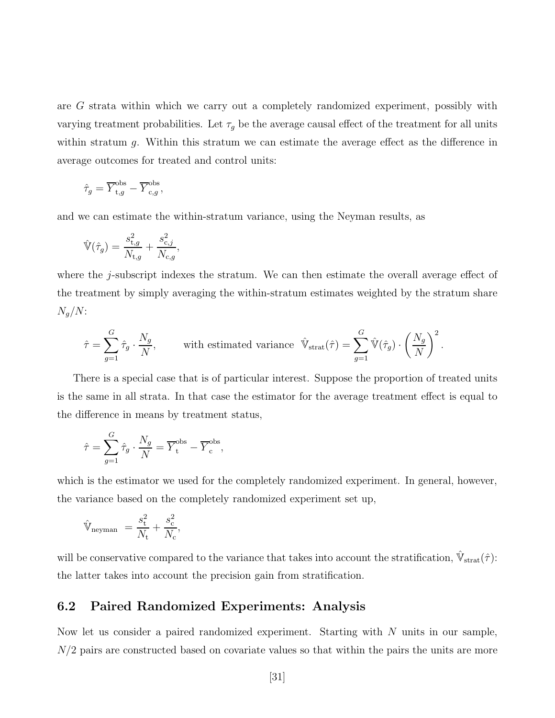are G strata within which we carry out a completely randomized experiment, possibly with varying treatment probabilities. Let  $\tau_g$  be the average causal effect of the treatment for all units within stratum g. Within this stratum we can estimate the average effect as the difference in average outcomes for treated and control units:

$$
\hat{\tau}_g = \overline{Y}_{\text{t},g}^{\text{obs}} - \overline{Y}_{\text{c},g}^{\text{obs}},
$$

and we can estimate the within-stratum variance, using the Neyman results, as

$$
\hat{\mathbb{V}}(\hat{\tau}_g) = \frac{s_{\text{t},g}^2}{N_{\text{t},g}} + \frac{s_{\text{c},j}^2}{N_{\text{c},g}},
$$

where the j-subscript indexes the stratum. We can then estimate the overall average effect of the treatment by simply averaging the within-stratum estimates weighted by the stratum share  $N_g/N$ :

$$
\hat{\tau} = \sum_{g=1}^{G} \hat{\tau}_g \cdot \frac{N_g}{N}, \qquad \text{with estimated variance } \hat{\mathbb{V}}_{\text{strat}}(\hat{\tau}) = \sum_{g=1}^{G} \hat{\mathbb{V}}(\hat{\tau}_g) \cdot \left(\frac{N_g}{N}\right)^2.
$$

There is a special case that is of particular interest. Suppose the proportion of treated units is the same in all strata. In that case the estimator for the average treatment effect is equal to the difference in means by treatment status,

$$
\hat{\tau} = \sum_{g=1}^G \hat{\tau}_g \cdot \frac{N_g}{N} = \overline{Y}_{\text{t}}^{\text{obs}} - \overline{Y}_{\text{c}}^{\text{obs}},
$$

which is the estimator we used for the completely randomized experiment. In general, however, the variance based on the completely randomized experiment set up,

$$
\hat{\mathbb{V}}_{\text{negman}} = \frac{s_{\text{t}}^2}{N_{\text{t}}} + \frac{s_{\text{c}}^2}{N_{\text{c}}},
$$

will be conservative compared to the variance that takes into account the stratification,  $\hat{V}_{strat}(\hat{\tau})$ : the latter takes into account the precision gain from stratification.

### 6.2 Paired Randomized Experiments: Analysis

Now let us consider a paired randomized experiment. Starting with  $N$  units in our sample,  $N/2$  pairs are constructed based on covariate values so that within the pairs the units are more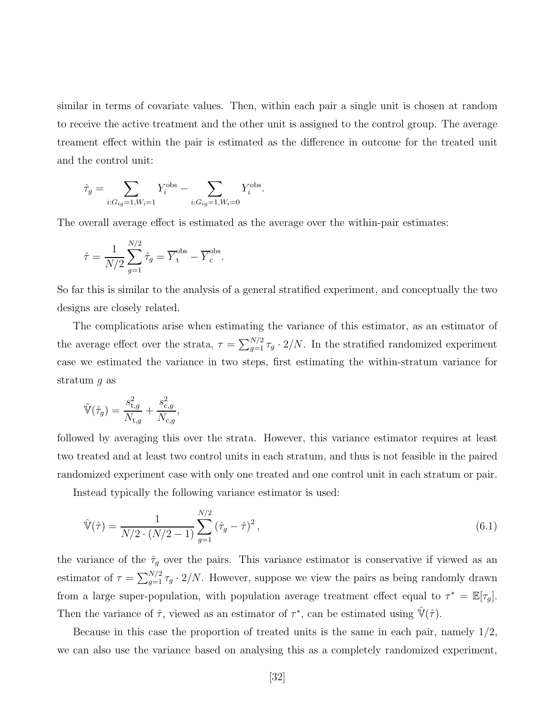similar in terms of covariate values. Then, within each pair a single unit is chosen at random to receive the active treatment and the other unit is assigned to the control group. The average treament effect within the pair is estimated as the difference in outcome for the treated unit and the control unit:

$$
\hat{\tau}_g = \sum_{i: G_{ig}=1, W_i=1} Y_i^{\text{obs}} - \sum_{i: G_{ig}=1, W_i=0} Y_i^{\text{obs}}.
$$

The overall average effect is estimated as the average over the within-pair estimates:

$$
\hat{\tau} = \frac{1}{N/2} \sum_{g=1}^{N/2} \hat{\tau}_g = \overline{Y}_{\text{t}}^{\text{obs}} - \overline{Y}_{\text{c}}^{\text{obs}}.
$$

So far this is similar to the analysis of a general stratified experiment, and conceptually the two designs are closely related.

The complications arise when estimating the variance of this estimator, as an estimator of the average effect over the strata,  $\tau = \sum_{g=1}^{N/2} \tau_g \cdot 2/N$ . In the stratified randomized experiment case we estimated the variance in two steps, first estimating the within-stratum variance for stratum  $q$  as

$$
\hat{\mathbb{V}}(\hat{\tau}_g) = \frac{s_{\text{t},g}^2}{N_{\text{t},g}} + \frac{s_{\text{c},g}^2}{N_{\text{c},g}},
$$

followed by averaging this over the strata. However, this variance estimator requires at least two treated and at least two control units in each stratum, and thus is not feasible in the paired randomized experiment case with only one treated and one control unit in each stratum or pair.

Instead typically the following variance estimator is used:

<span id="page-32-0"></span>
$$
\hat{\mathbb{V}}(\hat{\tau}) = \frac{1}{N/2 \cdot (N/2 - 1)} \sum_{g=1}^{N/2} (\hat{\tau}_g - \hat{\tau})^2, \tag{6.1}
$$

the variance of the  $\hat{\tau}_g$  over the pairs. This variance estimator is conservative if viewed as an estimator of  $\tau = \sum_{g=1}^{N/2} \tau_g \cdot 2/N$ . However, suppose we view the pairs as being randomly drawn from a large super-population, with population average treatment effect equal to  $\tau^* = \mathbb{E}[\tau_g].$ Then the variance of  $\hat{\tau}$ , viewed as an estimator of  $\tau^*$ , can be estimated using  $\hat{\mathbb{V}}(\hat{\tau})$ .

Because in this case the proportion of treated units is the same in each pair, namely  $1/2$ , we can also use the variance based on analysing this as a completely randomized experiment,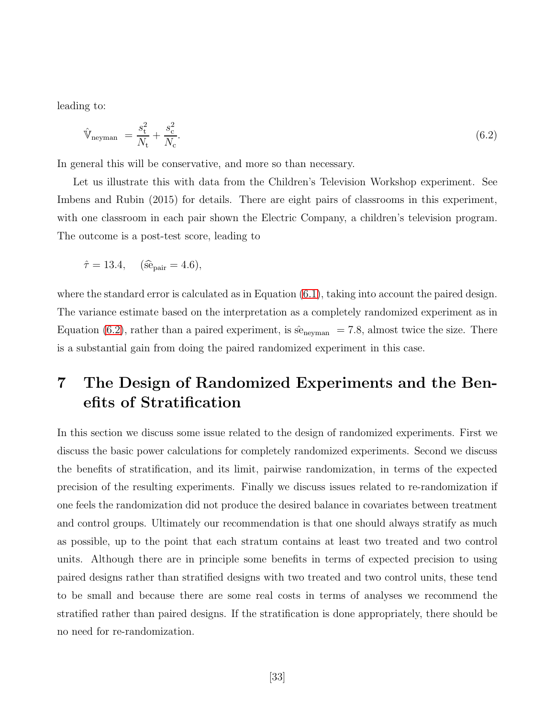leading to:

<span id="page-33-0"></span>
$$
\hat{\mathbb{V}}_{\text{negman}} = \frac{s_t^2}{N_t} + \frac{s_c^2}{N_c}.\tag{6.2}
$$

In general this will be conservative, and more so than necessary.

Let us illustrate this with data from the Children's Television Workshop experiment. See Imbens and Rubin (2015) for details. There are eight pairs of classrooms in this experiment, with one classroom in each pair shown the Electric Company, a children's television program. The outcome is a post-test score, leading to

$$
\hat{\tau} = 13.4, \quad (\hat{\text{se}}_{\text{pair}} = 4.6),
$$

where the standard error is calculated as in Equation [\(6.1\)](#page-32-0), taking into account the paired design. The variance estimate based on the interpretation as a completely randomized experiment as in Equation [\(6.2\)](#page-33-0), rather than a paired experiment, is  $\hat{\text{se}}_{\text{negman}} = 7.8$ , almost twice the size. There is a substantial gain from doing the paired randomized experiment in this case.

# 7 The Design of Randomized Experiments and the Benefits of Stratification

In this section we discuss some issue related to the design of randomized experiments. First we discuss the basic power calculations for completely randomized experiments. Second we discuss the benefits of stratification, and its limit, pairwise randomization, in terms of the expected precision of the resulting experiments. Finally we discuss issues related to re-randomization if one feels the randomization did not produce the desired balance in covariates between treatment and control groups. Ultimately our recommendation is that one should always stratify as much as possible, up to the point that each stratum contains at least two treated and two control units. Although there are in principle some benefits in terms of expected precision to using paired designs rather than stratified designs with two treated and two control units, these tend to be small and because there are some real costs in terms of analyses we recommend the stratified rather than paired designs. If the stratification is done appropriately, there should be no need for re-randomization.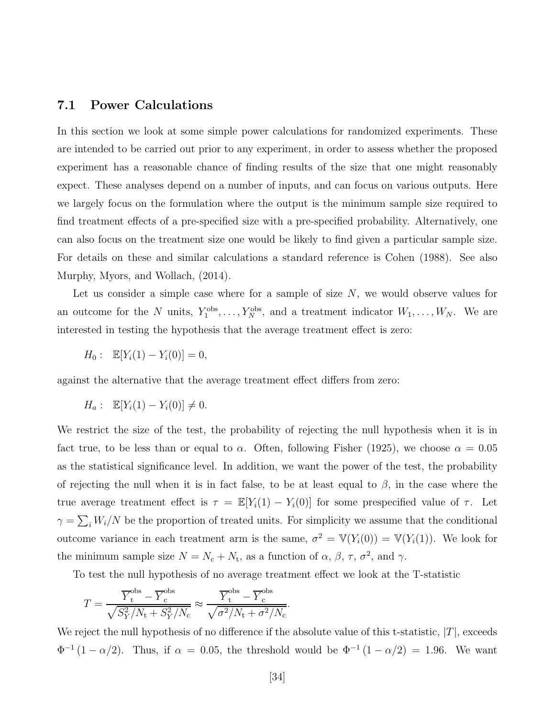### 7.1 Power Calculations

In this section we look at some simple power calculations for randomized experiments. These are intended to be carried out prior to any experiment, in order to assess whether the proposed experiment has a reasonable chance of finding results of the size that one might reasonably expect. These analyses depend on a number of inputs, and can focus on various outputs. Here we largely focus on the formulation where the output is the minimum sample size required to find treatment effects of a pre-specified size with a pre-specified probability. Alternatively, one can also focus on the treatment size one would be likely to find given a particular sample size. For details on these and similar calculations a standard reference is Cohen (1988). See also Murphy, Myors, and Wollach, (2014).

Let us consider a simple case where for a sample of size  $N$ , we would observe values for an outcome for the N units,  $Y_1^{\text{obs}}, \ldots, Y_N^{\text{obs}}$ , and a treatment indicator  $W_1, \ldots, W_N$ . We are interested in testing the hypothesis that the average treatment effect is zero:

 $H_0: \mathbb{E}[Y_i(1) - Y_i(0)] = 0,$ 

against the alternative that the average treatment effect differs from zero:

$$
H_a: \mathbb{E}[Y_i(1) - Y_i(0)] \neq 0.
$$

We restrict the size of the test, the probability of rejecting the null hypothesis when it is in fact true, to be less than or equal to  $\alpha$ . Often, following Fisher (1925), we choose  $\alpha = 0.05$ as the statistical significance level. In addition, we want the power of the test, the probability of rejecting the null when it is in fact false, to be at least equal to  $\beta$ , in the case where the true average treatment effect is  $\tau = \mathbb{E}[Y_i(1) - Y_i(0)]$  for some prespecified value of  $\tau$ . Let  $\gamma = \sum_i W_i/N$  be the proportion of treated units. For simplicity we assume that the conditional outcome variance in each treatment arm is the same,  $\sigma^2 = V(Y_i(0)) = V(Y_i(1))$ . We look for the minimum sample size  $N = N_c + N_t$ , as a function of  $\alpha$ ,  $\beta$ ,  $\tau$ ,  $\sigma^2$ , and  $\gamma$ .

To test the null hypothesis of no average treatment effect we look at the T-statistic

$$
T = \frac{\overline{Y}_{\text{t}}^{\text{obs}} - \overline{Y}_{\text{c}}^{\text{obs}}}{\sqrt{S_{Y}^{2}/N_{\text{t}} + S_{Y}^{2}/N_{\text{c}}}} \approx \frac{\overline{Y}_{\text{t}}^{\text{obs}} - \overline{Y}_{\text{c}}^{\text{obs}}}{\sqrt{\sigma^{2}/N_{\text{t}} + \sigma^{2}/N_{\text{c}}}}.
$$

We reject the null hypothesis of no difference if the absolute value of this t-statistic,  $|T|$ , exceeds  $\Phi^{-1}(1-\alpha/2)$ . Thus, if  $\alpha = 0.05$ , the threshold would be  $\Phi^{-1}(1-\alpha/2) = 1.96$ . We want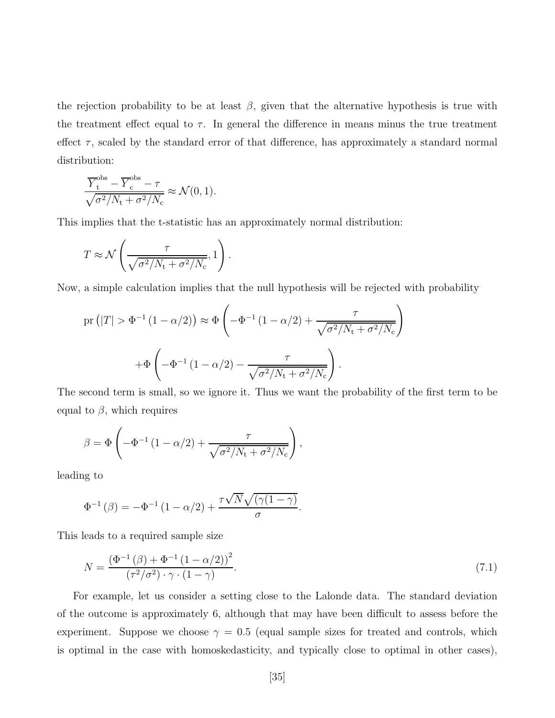the rejection probability to be at least  $\beta$ , given that the alternative hypothesis is true with the treatment effect equal to  $\tau$ . In general the difference in means minus the true treatment effect  $\tau$ , scaled by the standard error of that difference, has approximately a standard normal distribution:

$$
\frac{\overline{Y}_{\text{t}}^{\text{obs}} - \overline{Y}_{\text{c}}^{\text{obs}} - \tau}{\sqrt{\sigma^2 / N_{\text{t}} + \sigma^2 / N_{\text{c}}}} \approx \mathcal{N}(0, 1).
$$

This implies that the t-statistic has an approximately normal distribution:

$$
T \approx \mathcal{N}\left(\frac{\tau}{\sqrt{\sigma^2/N_{\text{t}}} + \sigma^2/N_{\text{c}}}, 1\right).
$$

Now, a simple calculation implies that the null hypothesis will be rejected with probability

$$
\text{pr}(|T| > \Phi^{-1}(1 - \alpha/2)) \approx \Phi\left(-\Phi^{-1}(1 - \alpha/2) + \frac{\tau}{\sqrt{\sigma^2/N_t + \sigma^2/N_c}}\right) \\
+ \Phi\left(-\Phi^{-1}(1 - \alpha/2) - \frac{\tau}{\sqrt{\sigma^2/N_t + \sigma^2/N_c}}\right).
$$

The second term is small, so we ignore it. Thus we want the probability of the first term to be equal to  $\beta$ , which requires

$$
\beta = \Phi\left(-\Phi^{-1}\left(1 - \alpha/2\right) + \frac{\tau}{\sqrt{\sigma^2/N_t + \sigma^2/N_c}}\right),\,
$$

leading to

$$
\Phi^{-1}(\beta) = -\Phi^{-1}(1-\alpha/2) + \frac{\tau\sqrt{N}\sqrt{(\gamma(1-\gamma)}}{\sigma}
$$

This leads to a required sample size

$$
N = \frac{\left(\Phi^{-1}\left(\beta\right) + \Phi^{-1}\left(1 - \alpha/2\right)\right)^2}{\left(\tau^2/\sigma^2\right) \cdot \gamma \cdot (1 - \gamma)}.
$$
\n(7.1)

.

For example, let us consider a setting close to the Lalonde data. The standard deviation of the outcome is approximately 6, although that may have been difficult to assess before the experiment. Suppose we choose  $\gamma = 0.5$  (equal sample sizes for treated and controls, which is optimal in the case with homoskedasticity, and typically close to optimal in other cases),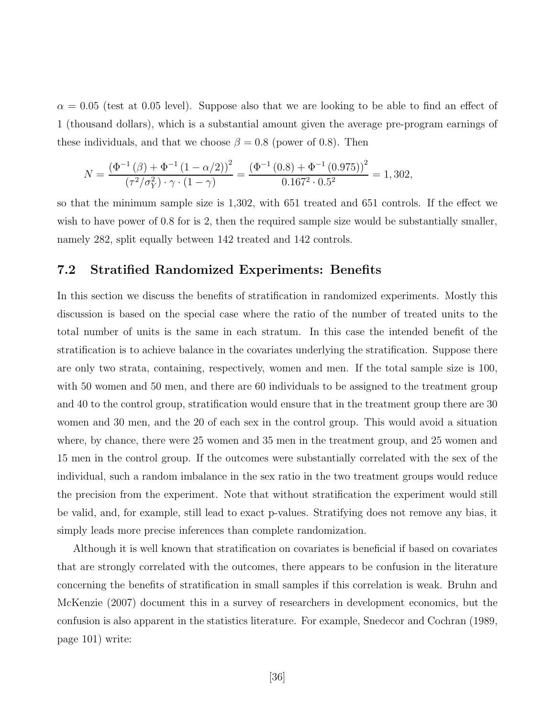$\alpha = 0.05$  (test at 0.05 level). Suppose also that we are looking to be able to find an effect of 1 (thousand dollars), which is a substantial amount given the average pre-program earnings of these individuals, and that we choose  $\beta = 0.8$  (power of 0.8). Then

$$
N = \frac{\left(\Phi^{-1}\left(\beta\right) + \Phi^{-1}\left(1 - \alpha/2\right)\right)^2}{\left(\tau^2/\sigma_Y^2\right) \cdot \gamma \cdot \left(1 - \gamma\right)} = \frac{\left(\Phi^{-1}\left(0.8\right) + \Phi^{-1}\left(0.975\right)\right)^2}{0.167^2 \cdot 0.5^2} = 1,302,
$$

so that the minimum sample size is 1,302, with 651 treated and 651 controls. If the effect we wish to have power of 0.8 for is 2, then the required sample size would be substantially smaller, namely 282, split equally between 142 treated and 142 controls.

#### 7.2 Stratified Randomized Experiments: Benefits

In this section we discuss the benefits of stratification in randomized experiments. Mostly this discussion is based on the special case where the ratio of the number of treated units to the total number of units is the same in each stratum. In this case the intended benefit of the stratification is to achieve balance in the covariates underlying the stratification. Suppose there are only two strata, containing, respectively, women and men. If the total sample size is 100, with 50 women and 50 men, and there are 60 individuals to be assigned to the treatment group and 40 to the control group, stratification would ensure that in the treatment group there are 30 women and 30 men, and the 20 of each sex in the control group. This would avoid a situation where, by chance, there were 25 women and 35 men in the treatment group, and 25 women and 15 men in the control group. If the outcomes were substantially correlated with the sex of the individual, such a random imbalance in the sex ratio in the two treatment groups would reduce the precision from the experiment. Note that without stratification the experiment would still be valid, and, for example, still lead to exact p-values. Stratifying does not remove any bias, it simply leads more precise inferences than complete randomization.

Although it is well known that stratification on covariates is beneficial if based on covariates that are strongly correlated with the outcomes, there appears to be confusion in the literature concerning the benefits of stratification in small samples if this correlation is weak. Bruhn and McKenzie (2007) document this in a survey of researchers in development economics, but the confusion is also apparent in the statistics literature. For example, Snedecor and Cochran (1989, page 101) write: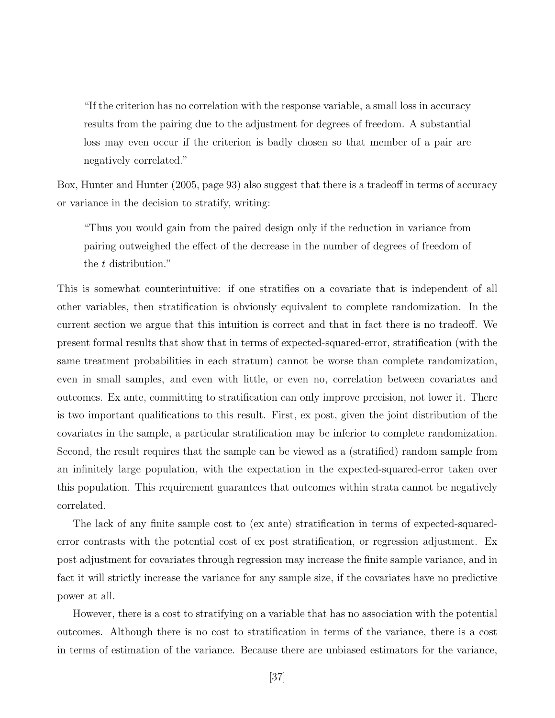"If the criterion has no correlation with the response variable, a small loss in accuracy results from the pairing due to the adjustment for degrees of freedom. A substantial loss may even occur if the criterion is badly chosen so that member of a pair are negatively correlated."

Box, Hunter and Hunter (2005, page 93) also suggest that there is a tradeoff in terms of accuracy or variance in the decision to stratify, writing:

"Thus you would gain from the paired design only if the reduction in variance from pairing outweighed the effect of the decrease in the number of degrees of freedom of the t distribution."

This is somewhat counterintuitive: if one stratifies on a covariate that is independent of all other variables, then stratification is obviously equivalent to complete randomization. In the current section we argue that this intuition is correct and that in fact there is no tradeoff. We present formal results that show that in terms of expected-squared-error, stratification (with the same treatment probabilities in each stratum) cannot be worse than complete randomization, even in small samples, and even with little, or even no, correlation between covariates and outcomes. Ex ante, committing to stratification can only improve precision, not lower it. There is two important qualifications to this result. First, ex post, given the joint distribution of the covariates in the sample, a particular stratification may be inferior to complete randomization. Second, the result requires that the sample can be viewed as a (stratified) random sample from an infinitely large population, with the expectation in the expected-squared-error taken over this population. This requirement guarantees that outcomes within strata cannot be negatively correlated.

The lack of any finite sample cost to (ex ante) stratification in terms of expected-squarederror contrasts with the potential cost of ex post stratification, or regression adjustment. Ex post adjustment for covariates through regression may increase the finite sample variance, and in fact it will strictly increase the variance for any sample size, if the covariates have no predictive power at all.

However, there is a cost to stratifying on a variable that has no association with the potential outcomes. Although there is no cost to stratification in terms of the variance, there is a cost in terms of estimation of the variance. Because there are unbiased estimators for the variance,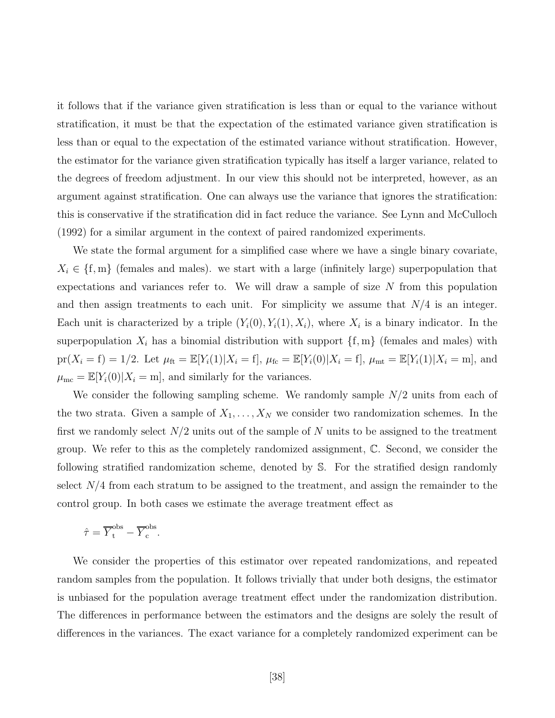it follows that if the variance given stratification is less than or equal to the variance without stratification, it must be that the expectation of the estimated variance given stratification is less than or equal to the expectation of the estimated variance without stratification. However, the estimator for the variance given stratification typically has itself a larger variance, related to the degrees of freedom adjustment. In our view this should not be interpreted, however, as an argument against stratification. One can always use the variance that ignores the stratification: this is conservative if the stratification did in fact reduce the variance. See Lynn and McCulloch (1992) for a similar argument in the context of paired randomized experiments.

We state the formal argument for a simplified case where we have a single binary covariate,  $X_i \in \{f, m\}$  (females and males). we start with a large (infinitely large) superpopulation that expectations and variances refer to. We will draw a sample of size  $N$  from this population and then assign treatments to each unit. For simplicity we assume that  $N/4$  is an integer. Each unit is characterized by a triple  $(Y_i(0), Y_i(1), X_i)$ , where  $X_i$  is a binary indicator. In the superpopulation  $X_i$  has a binomial distribution with support  $\{f, m\}$  (females and males) with  $pr(X_i = f) = 1/2$ . Let  $\mu_{ft} = \mathbb{E}[Y_i(1)|X_i = f]$ ,  $\mu_{fc} = \mathbb{E}[Y_i(0)|X_i = f]$ ,  $\mu_{mt} = \mathbb{E}[Y_i(1)|X_i = m]$ , and  $\mu_{\rm mc} = \mathbb{E}[Y_i(0)|X_i = \text{m}]$ , and similarly for the variances.

We consider the following sampling scheme. We randomly sample  $N/2$  units from each of the two strata. Given a sample of  $X_1, \ldots, X_N$  we consider two randomization schemes. In the first we randomly select  $N/2$  units out of the sample of N units to be assigned to the treatment group. We refer to this as the completely randomized assignment, C. Second, we consider the following stratified randomization scheme, denoted by S. For the stratified design randomly select  $N/4$  from each stratum to be assigned to the treatment, and assign the remainder to the control group. In both cases we estimate the average treatment effect as

$$
\hat{\tau} = \overline{Y}_{\text{t}}^{\text{obs}} - \overline{Y}_{\text{c}}^{\text{obs}}.
$$

We consider the properties of this estimator over repeated randomizations, and repeated random samples from the population. It follows trivially that under both designs, the estimator is unbiased for the population average treatment effect under the randomization distribution. The differences in performance between the estimators and the designs are solely the result of differences in the variances. The exact variance for a completely randomized experiment can be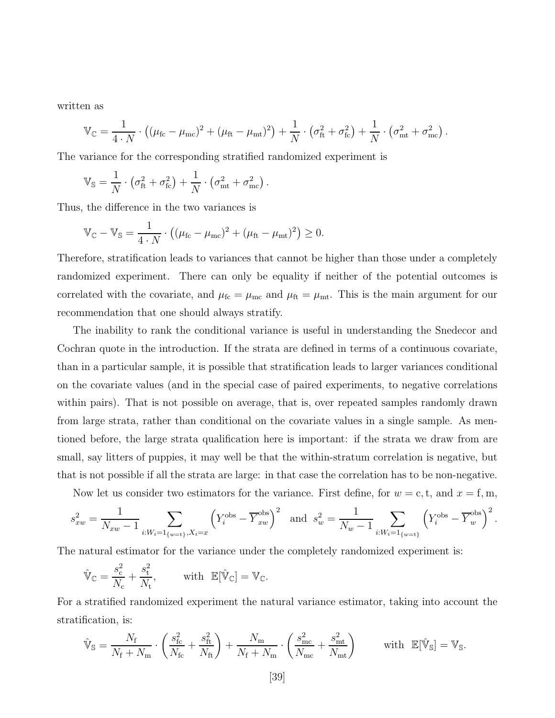written as

$$
\mathbb{V}_{\mathbb{C}} = \frac{1}{4 \cdot N} \cdot ((\mu_{\text{fc}} - \mu_{\text{mc}})^2 + (\mu_{\text{ft}} - \mu_{\text{mt}})^2) + \frac{1}{N} \cdot (\sigma_{\text{ft}}^2 + \sigma_{\text{fc}}^2) + \frac{1}{N} \cdot (\sigma_{\text{mt}}^2 + \sigma_{\text{mc}}^2).
$$

The variance for the corresponding stratified randomized experiment is

$$
\mathbb{V}_{\mathbb{S}} = \frac{1}{N} \cdot (\sigma_{\text{ft}}^2 + \sigma_{\text{fc}}^2) + \frac{1}{N} \cdot (\sigma_{\text{mt}}^2 + \sigma_{\text{mc}}^2).
$$

Thus, the difference in the two variances is

$$
\mathbb{V}_{\mathbb{C}} - \mathbb{V}_{\mathbb{S}} = \frac{1}{4 \cdot N} \cdot ((\mu_{\text{fc}} - \mu_{\text{mc}})^2 + (\mu_{\text{ft}} - \mu_{\text{mt}})^2) \ge 0.
$$

Therefore, stratification leads to variances that cannot be higher than those under a completely randomized experiment. There can only be equality if neither of the potential outcomes is correlated with the covariate, and  $\mu_{\rm fc} = \mu_{\rm mc}$  and  $\mu_{\rm ft} = \mu_{\rm mt}$ . This is the main argument for our recommendation that one should always stratify.

The inability to rank the conditional variance is useful in understanding the Snedecor and Cochran quote in the introduction. If the strata are defined in terms of a continuous covariate, than in a particular sample, it is possible that stratification leads to larger variances conditional on the covariate values (and in the special case of paired experiments, to negative correlations within pairs). That is not possible on average, that is, over repeated samples randomly drawn from large strata, rather than conditional on the covariate values in a single sample. As mentioned before, the large strata qualification here is important: if the strata we draw from are small, say litters of puppies, it may well be that the within-stratum correlation is negative, but that is not possible if all the strata are large: in that case the correlation has to be non-negative.

Now let us consider two estimators for the variance. First define, for  $w = c, t$ , and  $x = f, m$ ,

$$
s_{xw}^{2} = \frac{1}{N_{xw} - 1} \sum_{i:W_{i} = 1} \left( Y_{i}^{\text{obs}} - \overline{Y}_{xw}^{\text{obs}} \right)^{2} \text{ and } s_{w}^{2} = \frac{1}{N_{w} - 1} \sum_{i:W_{i} = 1} \left( Y_{i}^{\text{obs}} - \overline{Y}_{w}^{\text{obs}} \right)^{2}.
$$

The natural estimator for the variance under the completely randomized experiment is:

$$
\hat{\mathbb{V}}_{\mathbb{C}} = \frac{s_{\mathbb{C}}^2}{N_{\mathbb{C}}} + \frac{s_{\mathbb{t}}^2}{N_{\mathbb{t}}}, \quad \text{with } \mathbb{E}[\hat{\mathbb{V}}_{\mathbb{C}}] = \mathbb{V}_{\mathbb{C}}.
$$

For a stratified randomized experiment the natural variance estimator, taking into account the stratification, is:

$$
\hat{\mathbb{V}}_{\mathbb{S}} = \frac{N_{\rm f}}{N_{\rm f} + N_{\rm m}} \cdot \left( \frac{s_{\rm fc}^2}{N_{\rm fc}} + \frac{s_{\rm ft}^2}{N_{\rm ft}} \right) + \frac{N_{\rm m}}{N_{\rm f} + N_{\rm m}} \cdot \left( \frac{s_{\rm mc}^2}{N_{\rm mc}} + \frac{s_{\rm mt}^2}{N_{\rm mt}} \right) \qquad \text{with } \mathbb{E}[\hat{\mathbb{V}}_{\mathbb{S}}] = \mathbb{V}_{\mathbb{S}}.
$$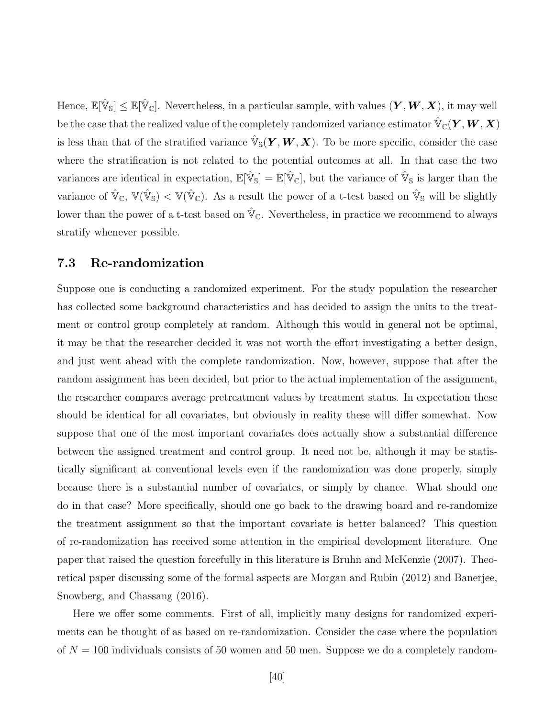Hence,  $\mathbb{E}[\hat{\mathbb{V}}_{\mathbb{S}}] \leq \mathbb{E}[\hat{\mathbb{V}}_{\mathbb{C}}]$ . Nevertheless, in a particular sample, with values  $(\bm{Y}, \bm{W}, \bm{X})$ , it may well be the case that the realized value of the completely randomized variance estimator  $\hat{\mathbb{V}}_{\mathbb{C}}(\bm{Y},\bm{W},\bm{X})$ is less than that of the stratified variance  $\hat{\mathbb{V}}_{\mathbb{S}}(\bm{Y},\bm{W},\bm{X})$ . To be more specific, consider the case where the stratification is not related to the potential outcomes at all. In that case the two variances are identical in expectation,  $\mathbb{E}[\hat{V}_{\mathbb{S}}] = \mathbb{E}[\hat{V}_{\mathbb{C}}]$ , but the variance of  $\hat{V}_{\mathbb{S}}$  is larger than the variance of  $\hat{\mathbb{V}}_{\mathbb{C}}$ ,  $\mathbb{V}(\hat{\mathbb{V}}_{\mathbb{S}}) < \mathbb{V}(\hat{\mathbb{V}}_{\mathbb{C}})$ . As a result the power of a t-test based on  $\hat{\mathbb{V}}_{\mathbb{S}}$  will be slightly lower than the power of a t-test based on  $\hat{V}_{\mathbb{C}}$ . Nevertheless, in practice we recommend to always stratify whenever possible.

### 7.3 Re-randomization

Suppose one is conducting a randomized experiment. For the study population the researcher has collected some background characteristics and has decided to assign the units to the treatment or control group completely at random. Although this would in general not be optimal, it may be that the researcher decided it was not worth the effort investigating a better design, and just went ahead with the complete randomization. Now, however, suppose that after the random assigmnent has been decided, but prior to the actual implementation of the assignment, the researcher compares average pretreatment values by treatment status. In expectation these should be identical for all covariates, but obviously in reality these will differ somewhat. Now suppose that one of the most important covariates does actually show a substantial difference between the assigned treatment and control group. It need not be, although it may be statistically significant at conventional levels even if the randomization was done properly, simply because there is a substantial number of covariates, or simply by chance. What should one do in that case? More specifically, should one go back to the drawing board and re-randomize the treatment assignment so that the important covariate is better balanced? This question of re-randomization has received some attention in the empirical development literature. One paper that raised the question forcefully in this literature is Bruhn and McKenzie (2007). Theoretical paper discussing some of the formal aspects are Morgan and Rubin (2012) and Banerjee, Snowberg, and Chassang (2016).

Here we offer some comments. First of all, implicitly many designs for randomized experiments can be thought of as based on re-randomization. Consider the case where the population of  $N = 100$  individuals consists of 50 women and 50 men. Suppose we do a completely random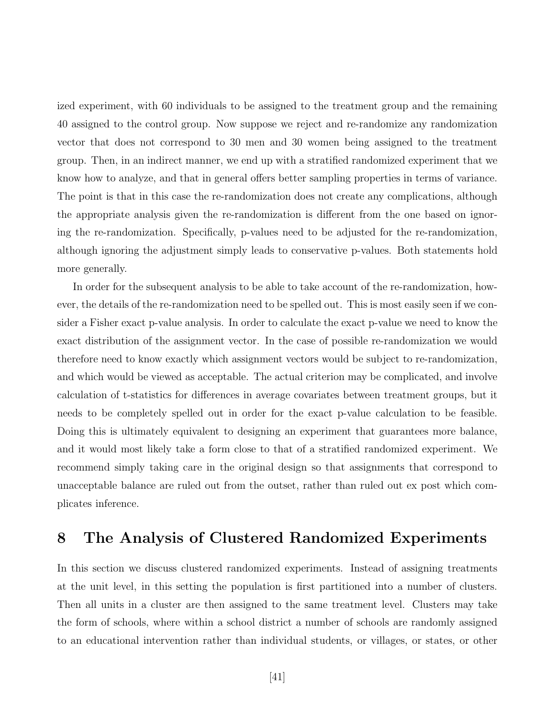ized experiment, with 60 individuals to be assigned to the treatment group and the remaining 40 assigned to the control group. Now suppose we reject and re-randomize any randomization vector that does not correspond to 30 men and 30 women being assigned to the treatment group. Then, in an indirect manner, we end up with a stratified randomized experiment that we know how to analyze, and that in general offers better sampling properties in terms of variance. The point is that in this case the re-randomization does not create any complications, although the appropriate analysis given the re-randomization is different from the one based on ignoring the re-randomization. Specifically, p-values need to be adjusted for the re-randomization, although ignoring the adjustment simply leads to conservative p-values. Both statements hold more generally.

In order for the subsequent analysis to be able to take account of the re-randomization, however, the details of the re-randomization need to be spelled out. This is most easily seen if we consider a Fisher exact p-value analysis. In order to calculate the exact p-value we need to know the exact distribution of the assignment vector. In the case of possible re-randomization we would therefore need to know exactly which assignment vectors would be subject to re-randomization, and which would be viewed as acceptable. The actual criterion may be complicated, and involve calculation of t-statistics for differences in average covariates between treatment groups, but it needs to be completely spelled out in order for the exact p-value calculation to be feasible. Doing this is ultimately equivalent to designing an experiment that guarantees more balance, and it would most likely take a form close to that of a stratified randomized experiment. We recommend simply taking care in the original design so that assignments that correspond to unacceptable balance are ruled out from the outset, rather than ruled out ex post which complicates inference.

# 8 The Analysis of Clustered Randomized Experiments

In this section we discuss clustered randomized experiments. Instead of assigning treatments at the unit level, in this setting the population is first partitioned into a number of clusters. Then all units in a cluster are then assigned to the same treatment level. Clusters may take the form of schools, where within a school district a number of schools are randomly assigned to an educational intervention rather than individual students, or villages, or states, or other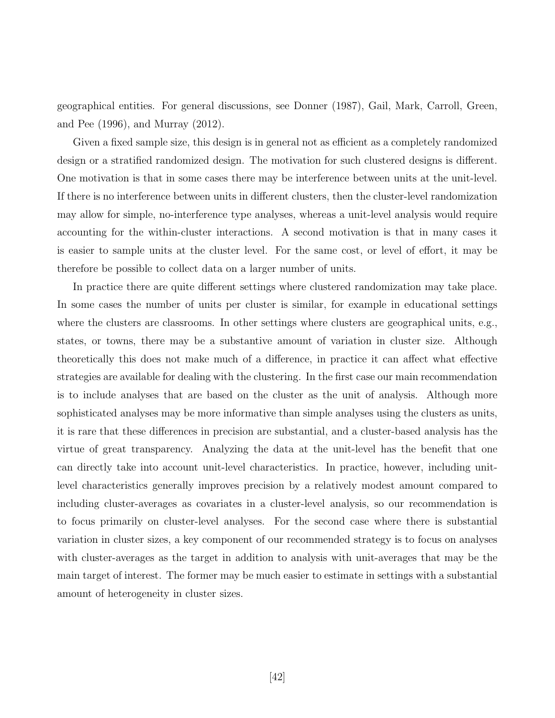geographical entities. For general discussions, see Donner (1987), Gail, Mark, Carroll, Green, and Pee (1996), and Murray (2012).

Given a fixed sample size, this design is in general not as efficient as a completely randomized design or a stratified randomized design. The motivation for such clustered designs is different. One motivation is that in some cases there may be interference between units at the unit-level. If there is no interference between units in different clusters, then the cluster-level randomization may allow for simple, no-interference type analyses, whereas a unit-level analysis would require accounting for the within-cluster interactions. A second motivation is that in many cases it is easier to sample units at the cluster level. For the same cost, or level of effort, it may be therefore be possible to collect data on a larger number of units.

In practice there are quite different settings where clustered randomization may take place. In some cases the number of units per cluster is similar, for example in educational settings where the clusters are classrooms. In other settings where clusters are geographical units, e.g., states, or towns, there may be a substantive amount of variation in cluster size. Although theoretically this does not make much of a difference, in practice it can affect what effective strategies are available for dealing with the clustering. In the first case our main recommendation is to include analyses that are based on the cluster as the unit of analysis. Although more sophisticated analyses may be more informative than simple analyses using the clusters as units, it is rare that these differences in precision are substantial, and a cluster-based analysis has the virtue of great transparency. Analyzing the data at the unit-level has the benefit that one can directly take into account unit-level characteristics. In practice, however, including unitlevel characteristics generally improves precision by a relatively modest amount compared to including cluster-averages as covariates in a cluster-level analysis, so our recommendation is to focus primarily on cluster-level analyses. For the second case where there is substantial variation in cluster sizes, a key component of our recommended strategy is to focus on analyses with cluster-averages as the target in addition to analysis with unit-averages that may be the main target of interest. The former may be much easier to estimate in settings with a substantial amount of heterogeneity in cluster sizes.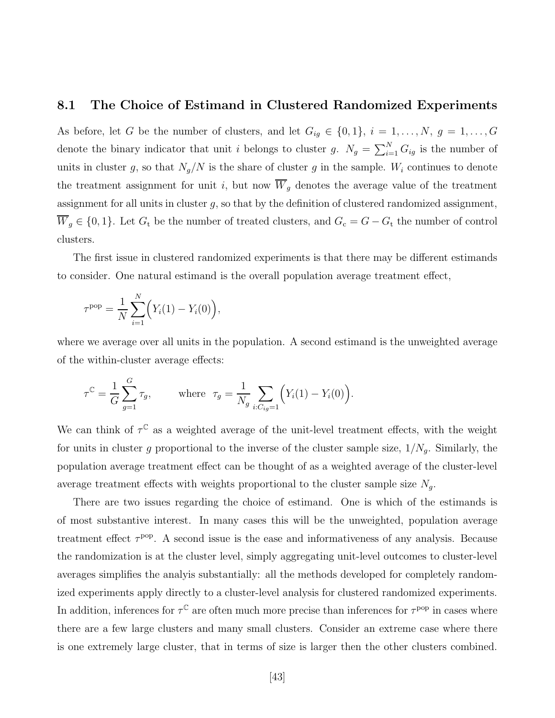### 8.1 The Choice of Estimand in Clustered Randomized Experiments

As before, let G be the number of clusters, and let  $G_{ig} \in \{0,1\}$ ,  $i = 1, \ldots, N$ ,  $g = 1, \ldots, G$ denote the binary indicator that unit i belongs to cluster g.  $N_g = \sum_{i=1}^{N} G_{ig}$  is the number of units in cluster g, so that  $N_g/N$  is the share of cluster g in the sample.  $W_i$  continues to denote the treatment assignment for unit i, but now  $\overline{W}_g$  denotes the average value of the treatment assignment for all units in cluster  $g$ , so that by the definition of clustered randomized assignment,  $\overline{W}_g \in \{0,1\}$ . Let  $G_t$  be the number of treated clusters, and  $G_c = G - G_t$  the number of control clusters.

The first issue in clustered randomized experiments is that there may be different estimands to consider. One natural estimand is the overall population average treatment effect,

$$
\tau^{\rm pop} = \frac{1}{N} \sum_{i=1}^{N} \Big( Y_i(1) - Y_i(0) \Big),
$$

where we average over all units in the population. A second estimand is the unweighted average of the within-cluster average effects:

$$
\tau^{\mathbb{C}} = \frac{1}{G} \sum_{g=1}^{G} \tau_g, \quad \text{where} \quad \tau_g = \frac{1}{N_g} \sum_{i:C_{ig}=1} \Big( Y_i(1) - Y_i(0) \Big).
$$

We can think of  $\tau^{\mathbb{C}}$  as a weighted average of the unit-level treatment effects, with the weight for units in cluster g proportional to the inverse of the cluster sample size,  $1/N_g$ . Similarly, the population average treatment effect can be thought of as a weighted average of the cluster-level average treatment effects with weights proportional to the cluster sample size  $N_g$ .

There are two issues regarding the choice of estimand. One is which of the estimands is of most substantive interest. In many cases this will be the unweighted, population average treatment effect  $\tau^{\text{pop}}$ . A second issue is the ease and informativeness of any analysis. Because the randomization is at the cluster level, simply aggregating unit-level outcomes to cluster-level averages simplifies the analyis substantially: all the methods developed for completely randomized experiments apply directly to a cluster-level analysis for clustered randomized experiments. In addition, inferences for  $\tau^{\mathbb{C}}$  are often much more precise than inferences for  $\tau^{pop}$  in cases where there are a few large clusters and many small clusters. Consider an extreme case where there is one extremely large cluster, that in terms of size is larger then the other clusters combined.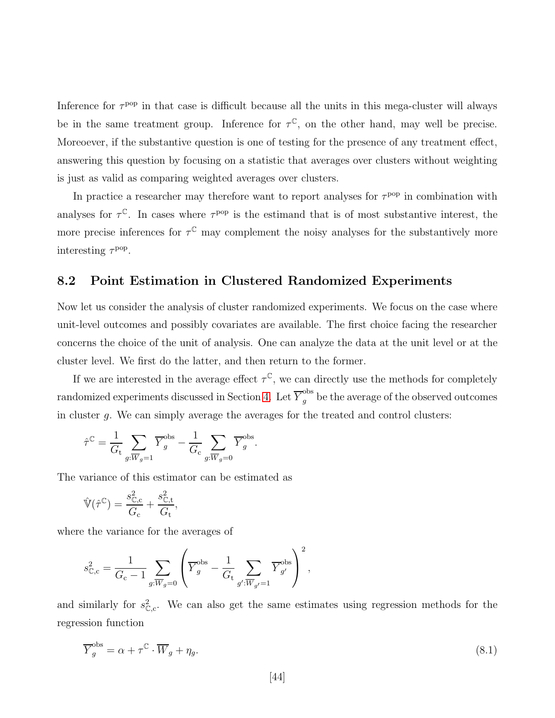Inference for  $\tau^{pop}$  in that case is difficult because all the units in this mega-cluster will always be in the same treatment group. Inference for  $\tau^{\mathbb{C}}$ , on the other hand, may well be precise. Moreoever, if the substantive question is one of testing for the presence of any treatment effect, answering this question by focusing on a statistic that averages over clusters without weighting is just as valid as comparing weighted averages over clusters.

In practice a researcher may therefore want to report analyses for  $\tau^{pop}$  in combination with analyses for  $\tau^{\mathbb{C}}$ . In cases where  $\tau^{\text{pop}}$  is the estimand that is of most substantive interest, the more precise inferences for  $\tau^{\mathbb{C}}$  may complement the noisy analyses for the substantively more interesting  $\tau^{\text{pop}}$ .

### 8.2 Point Estimation in Clustered Randomized Experiments

Now let us consider the analysis of cluster randomized experiments. We focus on the case where unit-level outcomes and possibly covariates are available. The first choice facing the researcher concerns the choice of the unit of analysis. One can analyze the data at the unit level or at the cluster level. We first do the latter, and then return to the former.

If we are interested in the average effect  $\tau^{\mathbb{C}}$ , we can directly use the methods for completely randomized experiments discussed in Section [4.](#page-13-0) Let  $\overline{Y}_g^{\rm obs}$  be the average of the observed outcomes in cluster  $q$ . We can simply average the averages for the treated and control clusters:

$$
\hat{\tau}^{\mathbb{C}} = \frac{1}{G_{\text{t}}} \sum_{g: \overline{W}_g = 1} \overline{Y}_g^{\text{obs}} - \frac{1}{G_{\text{c}}} \sum_{g: \overline{W}_g = 0} \overline{Y}_g^{\text{obs}}.
$$

The variance of this estimator can be estimated as

$$
\hat{\mathbb{V}}(\hat{\tau}^{\mathbb{C}}) = \frac{s_{\mathbb{C},c}^2}{G_c} + \frac{s_{\mathbb{C},t}^2}{G_t},
$$

where the variance for the averages of

$$
s^2_{\mathbb{C},\text{c}} = \frac{1}{G_\text{c}-1}\sum_{g:\overline{W}_g=0}\left(\overline{Y}_g^\text{obs}-\frac{1}{G_\text{t}}\sum_{g':\overline{W}_{g'}=1}\overline{Y}_{g'}^\text{obs}\right)^2,
$$

and similarly for  $s_{\mathbb{C},c}^2$ . We can also get the same estimates using regression methods for the regression function

<span id="page-44-0"></span>
$$
\overline{Y}_g^{\text{obs}} = \alpha + \tau^{\mathbb{C}} \cdot \overline{W}_g + \eta_g. \tag{8.1}
$$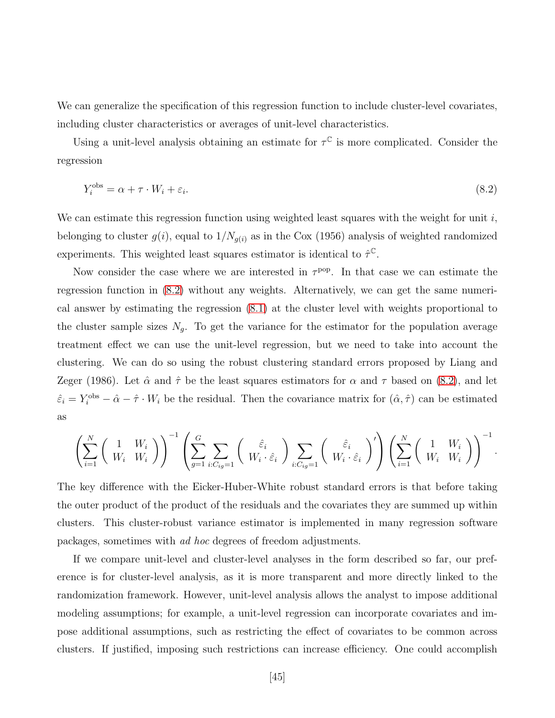We can generalize the specification of this regression function to include cluster-level covariates, including cluster characteristics or averages of unit-level characteristics.

Using a unit-level analysis obtaining an estimate for  $\tau^{\mathbb{C}}$  is more complicated. Consider the regression

<span id="page-45-0"></span>
$$
Y_i^{\text{obs}} = \alpha + \tau \cdot W_i + \varepsilon_i. \tag{8.2}
$$

We can estimate this regression function using weighted least squares with the weight for unit  $i$ , belonging to cluster  $g(i)$ , equal to  $1/N_{g(i)}$  as in the Cox (1956) analysis of weighted randomized experiments. This weighted least squares estimator is identical to  $\hat{\tau}^{\mathbb{C}}$ .

Now consider the case where we are interested in  $\tau^{pop}$ . In that case we can estimate the regression function in [\(8.2\)](#page-45-0) without any weights. Alternatively, we can get the same numerical answer by estimating the regression [\(8.1\)](#page-44-0) at the cluster level with weights proportional to the cluster sample sizes  $N_g$ . To get the variance for the estimator for the population average treatment effect we can use the unit-level regression, but we need to take into account the clustering. We can do so using the robust clustering standard errors proposed by Liang and Zeger (1986). Let  $\hat{\alpha}$  and  $\hat{\tau}$  be the least squares estimators for  $\alpha$  and  $\tau$  based on [\(8.2\)](#page-45-0), and let  $\hat{\varepsilon}_i = Y_i^{\text{obs}} - \hat{\alpha} - \hat{\tau} \cdot W_i$  be the residual. Then the covariance matrix for  $(\hat{\alpha}, \hat{\tau})$  can be estimated as

$$
\left(\sum_{i=1}^N \begin{pmatrix} 1 & W_i \ W_i & W_i \end{pmatrix}\right)^{-1} \left(\sum_{g=1}^G \sum_{i:C_{ig}=1} \begin{pmatrix} \hat{\varepsilon}_i \\ W_i \cdot \hat{\varepsilon}_i \end{pmatrix} \sum_{i:C_{ig}=1} \begin{pmatrix} \hat{\varepsilon}_i \\ W_i \cdot \hat{\varepsilon}_i \end{pmatrix}'\right) \left(\sum_{i=1}^N \begin{pmatrix} 1 & W_i \ W_i & W_i \end{pmatrix}\right)^{-1}
$$

.

The key difference with the Eicker-Huber-White robust standard errors is that before taking the outer product of the product of the residuals and the covariates they are summed up within clusters. This cluster-robust variance estimator is implemented in many regression software packages, sometimes with ad hoc degrees of freedom adjustments.

If we compare unit-level and cluster-level analyses in the form described so far, our preference is for cluster-level analysis, as it is more transparent and more directly linked to the randomization framework. However, unit-level analysis allows the analyst to impose additional modeling assumptions; for example, a unit-level regression can incorporate covariates and impose additional assumptions, such as restricting the effect of covariates to be common across clusters. If justified, imposing such restrictions can increase efficiency. One could accomplish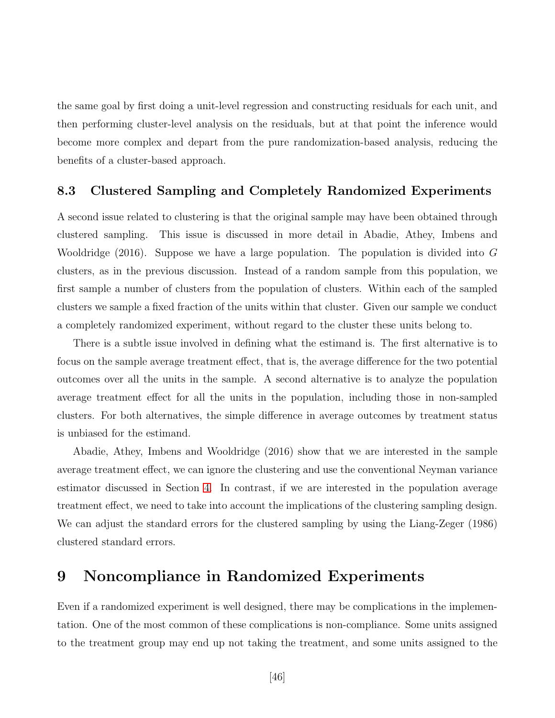the same goal by first doing a unit-level regression and constructing residuals for each unit, and then performing cluster-level analysis on the residuals, but at that point the inference would become more complex and depart from the pure randomization-based analysis, reducing the benefits of a cluster-based approach.

### 8.3 Clustered Sampling and Completely Randomized Experiments

A second issue related to clustering is that the original sample may have been obtained through clustered sampling. This issue is discussed in more detail in Abadie, Athey, Imbens and Wooldridge (2016). Suppose we have a large population. The population is divided into  $G$ clusters, as in the previous discussion. Instead of a random sample from this population, we first sample a number of clusters from the population of clusters. Within each of the sampled clusters we sample a fixed fraction of the units within that cluster. Given our sample we conduct a completely randomized experiment, without regard to the cluster these units belong to.

There is a subtle issue involved in defining what the estimand is. The first alternative is to focus on the sample average treatment effect, that is, the average difference for the two potential outcomes over all the units in the sample. A second alternative is to analyze the population average treatment effect for all the units in the population, including those in non-sampled clusters. For both alternatives, the simple difference in average outcomes by treatment status is unbiased for the estimand.

Abadie, Athey, Imbens and Wooldridge (2016) show that we are interested in the sample average treatment effect, we can ignore the clustering and use the conventional Neyman variance estimator discussed in Section [4.](#page-13-0) In contrast, if we are interested in the population average treatment effect, we need to take into account the implications of the clustering sampling design. We can adjust the standard errors for the clustered sampling by using the Liang-Zeger (1986) clustered standard errors.

# 9 Noncompliance in Randomized Experiments

Even if a randomized experiment is well designed, there may be complications in the implementation. One of the most common of these complications is non-compliance. Some units assigned to the treatment group may end up not taking the treatment, and some units assigned to the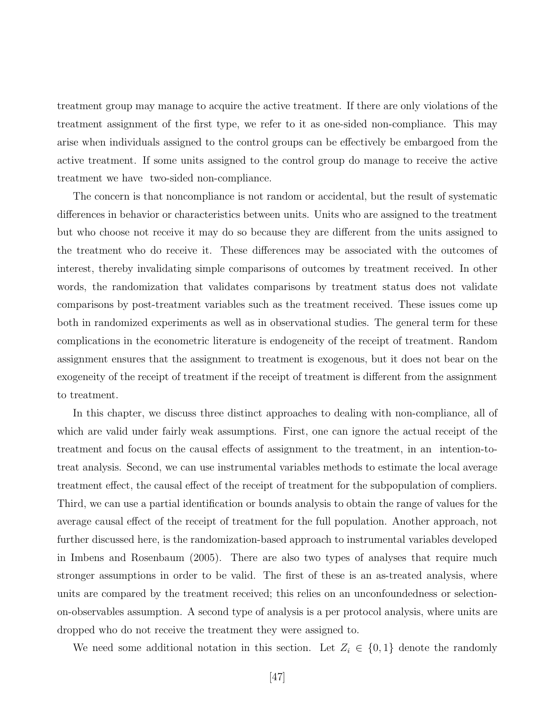treatment group may manage to acquire the active treatment. If there are only violations of the treatment assignment of the first type, we refer to it as one-sided non-compliance. This may arise when individuals assigned to the control groups can be effectively be embargoed from the active treatment. If some units assigned to the control group do manage to receive the active treatment we have two-sided non-compliance.

The concern is that noncompliance is not random or accidental, but the result of systematic differences in behavior or characteristics between units. Units who are assigned to the treatment but who choose not receive it may do so because they are different from the units assigned to the treatment who do receive it. These differences may be associated with the outcomes of interest, thereby invalidating simple comparisons of outcomes by treatment received. In other words, the randomization that validates comparisons by treatment status does not validate comparisons by post-treatment variables such as the treatment received. These issues come up both in randomized experiments as well as in observational studies. The general term for these complications in the econometric literature is endogeneity of the receipt of treatment. Random assignment ensures that the assignment to treatment is exogenous, but it does not bear on the exogeneity of the receipt of treatment if the receipt of treatment is different from the assignment to treatment.

In this chapter, we discuss three distinct approaches to dealing with non-compliance, all of which are valid under fairly weak assumptions. First, one can ignore the actual receipt of the treatment and focus on the causal effects of assignment to the treatment, in an intention-totreat analysis. Second, we can use instrumental variables methods to estimate the local average treatment effect, the causal effect of the receipt of treatment for the subpopulation of compliers. Third, we can use a partial identification or bounds analysis to obtain the range of values for the average causal effect of the receipt of treatment for the full population. Another approach, not further discussed here, is the randomization-based approach to instrumental variables developed in Imbens and Rosenbaum (2005). There are also two types of analyses that require much stronger assumptions in order to be valid. The first of these is an as-treated analysis, where units are compared by the treatment received; this relies on an unconfoundedness or selectionon-observables assumption. A second type of analysis is a per protocol analysis, where units are dropped who do not receive the treatment they were assigned to.

We need some additional notation in this section. Let  $Z_i \in \{0,1\}$  denote the randomly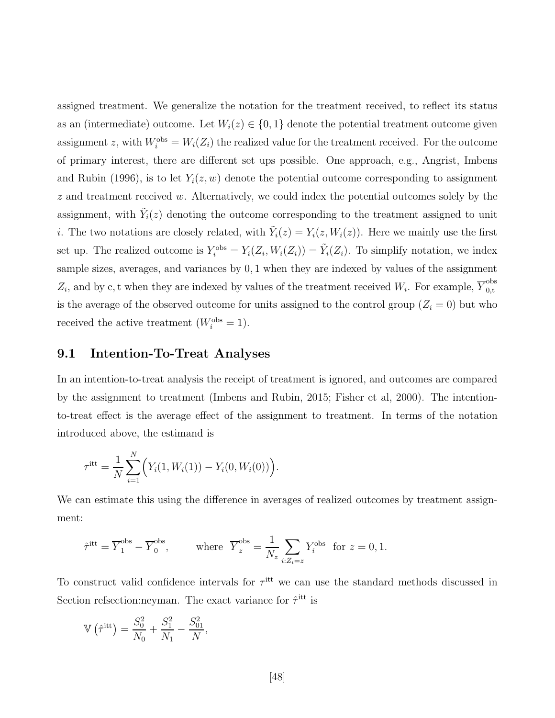assigned treatment. We generalize the notation for the treatment received, to reflect its status as an (intermediate) outcome. Let  $W_i(z) \in \{0,1\}$  denote the potential treatment outcome given assignment z, with  $W_i^{\text{obs}} = W_i(Z_i)$  the realized value for the treatment received. For the outcome of primary interest, there are different set ups possible. One approach, e.g., Angrist, Imbens and Rubin (1996), is to let  $Y_i(z, w)$  denote the potential outcome corresponding to assignment  $z$  and treatment received  $w$ . Alternatively, we could index the potential outcomes solely by the assignment, with  $\tilde{Y}_i(z)$  denoting the outcome corresponding to the treatment assigned to unit *i*. The two notations are closely related, with  $\tilde{Y}_i(z) = Y_i(z, W_i(z))$ . Here we mainly use the first set up. The realized outcome is  $Y_i^{\text{obs}} = Y_i(Z_i, W_i(Z_i)) = \tilde{Y}_i(Z_i)$ . To simplify notation, we index sample sizes, averages, and variances by 0, 1 when they are indexed by values of the assignment  $Z_i$ , and by c, t when they are indexed by values of the treatment received  $W_i$ . For example,  $\overline{Y}_{0,t}^{\text{obs}}$  $_{0,\rm t}$ is the average of the observed outcome for units assigned to the control group  $(Z_i = 0)$  but who received the active treatment  $(W<sub>i</sub><sup>obs</sup> = 1)$ .

### 9.1 Intention-To-Treat Analyses

In an intention-to-treat analysis the receipt of treatment is ignored, and outcomes are compared by the assignment to treatment (Imbens and Rubin, 2015; Fisher et al, 2000). The intentionto-treat effect is the average effect of the assignment to treatment. In terms of the notation introduced above, the estimand is

$$
\tau^{\text{itt}} = \frac{1}{N} \sum_{i=1}^{N} \Big( Y_i(1, W_i(1)) - Y_i(0, W_i(0)) \Big).
$$

We can estimate this using the difference in averages of realized outcomes by treatment assignment:

$$
\hat{\tau}^{\text{itt}} = \overline{Y}_1^{\text{obs}} - \overline{Y}_0^{\text{obs}}, \quad \text{where } \overline{Y}_z^{\text{obs}} = \frac{1}{N_z} \sum_{i: Z_i = z} Y_i^{\text{obs}} \text{ for } z = 0, 1.
$$

To construct valid confidence intervals for  $\tau^{\text{it}}$  we can use the standard methods discussed in Section refsection:neyman. The exact variance for  $\hat{\tau}^{\text{itt}}$  is

$$
\mathbb{V}\left(\hat{\tau}^{\text{itt}}\right) = \frac{S_0^2}{N_0} + \frac{S_1^2}{N_1} - \frac{S_{01}^2}{N},
$$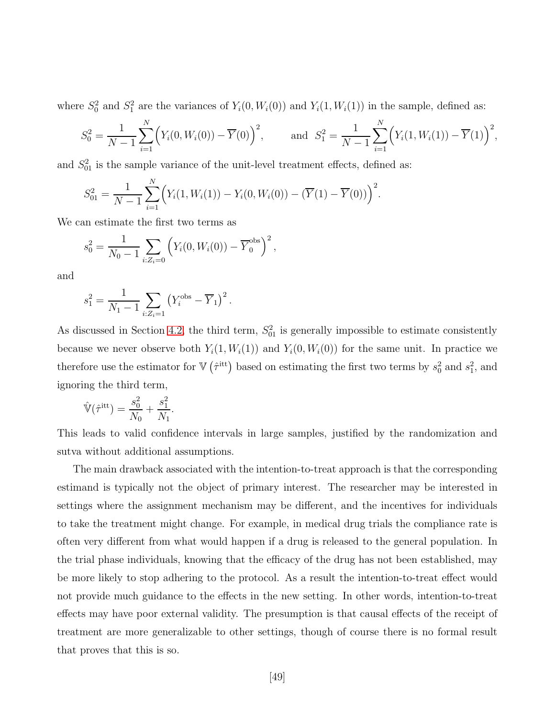where  $S_0^2$  and  $S_1^2$  are the variances of  $Y_i(0, W_i(0))$  and  $Y_i(1, W_i(1))$  in the sample, defined as:

$$
S_0^2 = \frac{1}{N-1} \sum_{i=1}^N \Big( Y_i(0, W_i(0)) - \overline{Y}(0) \Big)^2, \quad \text{and} \quad S_1^2 = \frac{1}{N-1} \sum_{i=1}^N \Big( Y_i(1, W_i(1)) - \overline{Y}(1) \Big)^2,
$$

and  $S_{01}^2$  is the sample variance of the unit-level treatment effects, defined as:

$$
S_{01}^2 = \frac{1}{N-1} \sum_{i=1}^N \Big( Y_i(1, W_i(1)) - Y_i(0, W_i(0)) - (\overline{Y}(1) - \overline{Y}(0)) \Big)^2.
$$

We can estimate the first two terms as

$$
s_0^2 = \frac{1}{N_0 - 1} \sum_{i: Z_i = 0} \left( Y_i(0, W_i(0)) - \overline{Y}_0^{\text{obs}} \right)^2,
$$

and

$$
s_1^2 = \frac{1}{N_1 - 1} \sum_{i: Z_i = 1} (Y_i^{\text{obs}} - \overline{Y}_1)^2.
$$

As discussed in Section [4.2,](#page-16-0) the third term,  $S_{01}^2$  is generally impossible to estimate consistently because we never observe both  $Y_i(1, W_i(1))$  and  $Y_i(0, W_i(0))$  for the same unit. In practice we therefore use the estimator for  $\mathbb{V}(\hat{\tau}^{\text{itt}})$  based on estimating the first two terms by  $s_0^2$  and  $s_1^2$ , and ignoring the third term,

$$
\hat{\mathbb{V}}(\hat{\tau}^{\text{itt}}) = \frac{s_0^2}{N_0} + \frac{s_1^2}{N_1}.
$$

This leads to valid confidence intervals in large samples, justified by the randomization and sutva without additional assumptions.

The main drawback associated with the intention-to-treat approach is that the corresponding estimand is typically not the object of primary interest. The researcher may be interested in settings where the assignment mechanism may be different, and the incentives for individuals to take the treatment might change. For example, in medical drug trials the compliance rate is often very different from what would happen if a drug is released to the general population. In the trial phase individuals, knowing that the efficacy of the drug has not been established, may be more likely to stop adhering to the protocol. As a result the intention-to-treat effect would not provide much guidance to the effects in the new setting. In other words, intention-to-treat effects may have poor external validity. The presumption is that causal effects of the receipt of treatment are more generalizable to other settings, though of course there is no formal result that proves that this is so.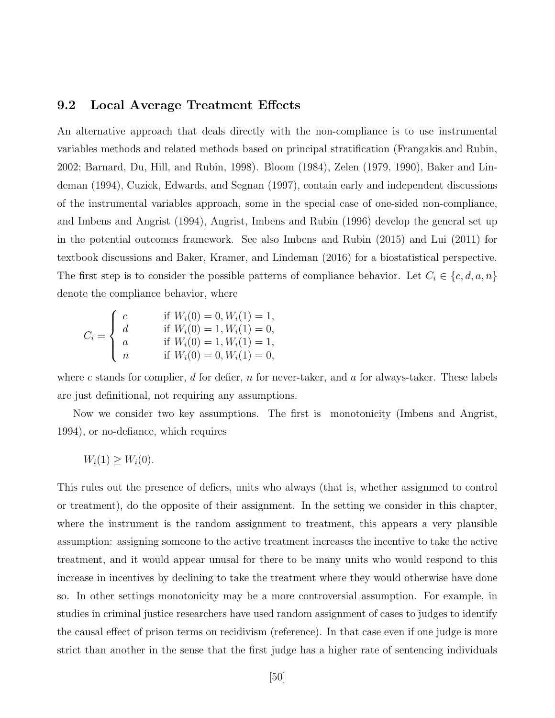#### 9.2 Local Average Treatment Effects

An alternative approach that deals directly with the non-compliance is to use instrumental variables methods and related methods based on principal stratification (Frangakis and Rubin, 2002; Barnard, Du, Hill, and Rubin, 1998). Bloom (1984), Zelen (1979, 1990), Baker and Lindeman (1994), Cuzick, Edwards, and Segnan (1997), contain early and independent discussions of the instrumental variables approach, some in the special case of one-sided non-compliance, and Imbens and Angrist (1994), Angrist, Imbens and Rubin (1996) develop the general set up in the potential outcomes framework. See also Imbens and Rubin (2015) and Lui (2011) for textbook discussions and Baker, Kramer, and Lindeman (2016) for a biostatistical perspective. The first step is to consider the possible patterns of compliance behavior. Let  $C_i \in \{c, d, a, n\}$ denote the compliance behavior, where

$$
C_i = \begin{cases} c & \text{if } W_i(0) = 0, W_i(1) = 1, \\ d & \text{if } W_i(0) = 1, W_i(1) = 0, \\ a & \text{if } W_i(0) = 1, W_i(1) = 1, \\ n & \text{if } W_i(0) = 0, W_i(1) = 0, \end{cases}
$$

where c stands for complier, d for defier, n for never-taker, and a for always-taker. These labels are just definitional, not requiring any assumptions.

Now we consider two key assumptions. The first is monotonicity (Imbens and Angrist, 1994), or no-defiance, which requires

$$
W_i(1) \geq W_i(0).
$$

This rules out the presence of defiers, units who always (that is, whether assignmed to control or treatment), do the opposite of their assignment. In the setting we consider in this chapter, where the instrument is the random assignment to treatment, this appears a very plausible assumption: assigning someone to the active treatment increases the incentive to take the active treatment, and it would appear unusal for there to be many units who would respond to this increase in incentives by declining to take the treatment where they would otherwise have done so. In other settings monotonicity may be a more controversial assumption. For example, in studies in criminal justice researchers have used random assignment of cases to judges to identify the causal effect of prison terms on recidivism (reference). In that case even if one judge is more strict than another in the sense that the first judge has a higher rate of sentencing individuals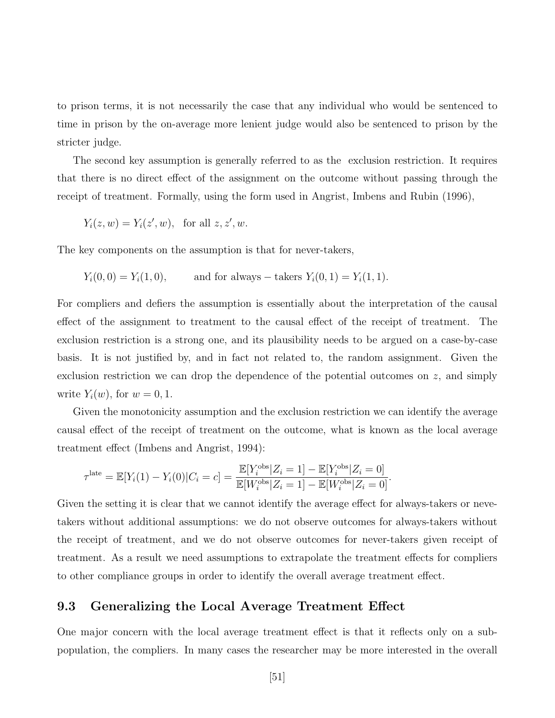to prison terms, it is not necessarily the case that any individual who would be sentenced to time in prison by the on-average more lenient judge would also be sentenced to prison by the stricter judge.

The second key assumption is generally referred to as the exclusion restriction. It requires that there is no direct effect of the assignment on the outcome without passing through the receipt of treatment. Formally, using the form used in Angrist, Imbens and Rubin (1996),

$$
Y_i(z, w) = Y_i(z', w)
$$
, for all  $z, z', w$ .

The key components on the assumption is that for never-takers,

$$
Y_i(0,0) = Y_i(1,0)
$$
, and for always – takers  $Y_i(0,1) = Y_i(1,1)$ .

For compliers and defiers the assumption is essentially about the interpretation of the causal effect of the assignment to treatment to the causal effect of the receipt of treatment. The exclusion restriction is a strong one, and its plausibility needs to be argued on a case-by-case basis. It is not justified by, and in fact not related to, the random assignment. Given the exclusion restriction we can drop the dependence of the potential outcomes on  $z$ , and simply write  $Y_i(w)$ , for  $w = 0, 1$ .

Given the monotonicity assumption and the exclusion restriction we can identify the average causal effect of the receipt of treatment on the outcome, what is known as the local average treatment effect (Imbens and Angrist, 1994):

$$
\tau^{\text{late}} = \mathbb{E}[Y_i(1) - Y_i(0)|C_i = c] = \frac{\mathbb{E}[Y_i^{\text{obs}}|Z_i = 1] - \mathbb{E}[Y_i^{\text{obs}}|Z_i = 0]}{\mathbb{E}[W_i^{\text{obs}}|Z_i = 1] - \mathbb{E}[W_i^{\text{obs}}|Z_i = 0]}.
$$

Given the setting it is clear that we cannot identify the average effect for always-takers or nevetakers without additional assumptions: we do not observe outcomes for always-takers without the receipt of treatment, and we do not observe outcomes for never-takers given receipt of treatment. As a result we need assumptions to extrapolate the treatment effects for compliers to other compliance groups in order to identify the overall average treatment effect.

### 9.3 Generalizing the Local Average Treatment Effect

One major concern with the local average treatment effect is that it reflects only on a subpopulation, the compliers. In many cases the researcher may be more interested in the overall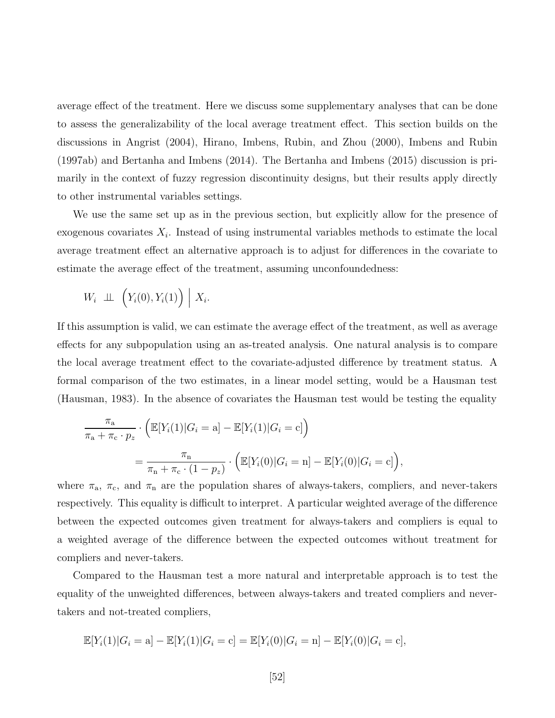average effect of the treatment. Here we discuss some supplementary analyses that can be done to assess the generalizability of the local average treatment effect. This section builds on the discussions in Angrist (2004), Hirano, Imbens, Rubin, and Zhou (2000), Imbens and Rubin (1997ab) and Bertanha and Imbens (2014). The Bertanha and Imbens (2015) discussion is primarily in the context of fuzzy regression discontinuity designs, but their results apply directly to other instrumental variables settings.

We use the same set up as in the previous section, but explicitly allow for the presence of exogenous covariates  $X_i$ . Instead of using instrumental variables methods to estimate the local average treatment effect an alternative approach is to adjust for differences in the covariate to estimate the average effect of the treatment, assuming unconfoundedness:

$$
W_i \perp \!\!\! \perp \left(Y_i(0), Y_i(1)\right) \Bigm| X_i.
$$

If this assumption is valid, we can estimate the average effect of the treatment, as well as average effects for any subpopulation using an as-treated analysis. One natural analysis is to compare the local average treatment effect to the covariate-adjusted difference by treatment status. A formal comparison of the two estimates, in a linear model setting, would be a Hausman test (Hausman, 1983). In the absence of covariates the Hausman test would be testing the equality

$$
\frac{\pi_a}{\pi_a + \pi_c \cdot p_z} \cdot \left( \mathbb{E}[Y_i(1)|G_i = a] - \mathbb{E}[Y_i(1)|G_i = c] \right)
$$

$$
= \frac{\pi_n}{\pi_n + \pi_c \cdot (1 - p_z)} \cdot \left( \mathbb{E}[Y_i(0)|G_i = n] - \mathbb{E}[Y_i(0)|G_i = c] \right),
$$

where  $\pi_a$ ,  $\pi_c$ , and  $\pi_n$  are the population shares of always-takers, compliers, and never-takers respectively. This equality is difficult to interpret. A particular weighted average of the difference between the expected outcomes given treatment for always-takers and compliers is equal to a weighted average of the difference between the expected outcomes without treatment for compliers and never-takers.

Compared to the Hausman test a more natural and interpretable approach is to test the equality of the unweighted differences, between always-takers and treated compliers and nevertakers and not-treated compliers,

$$
\mathbb{E}[Y_i(1)|G_i = \mathbf{a}] - \mathbb{E}[Y_i(1)|G_i = \mathbf{c}] = \mathbb{E}[Y_i(0)|G_i = \mathbf{n}] - \mathbb{E}[Y_i(0)|G_i = \mathbf{c}],
$$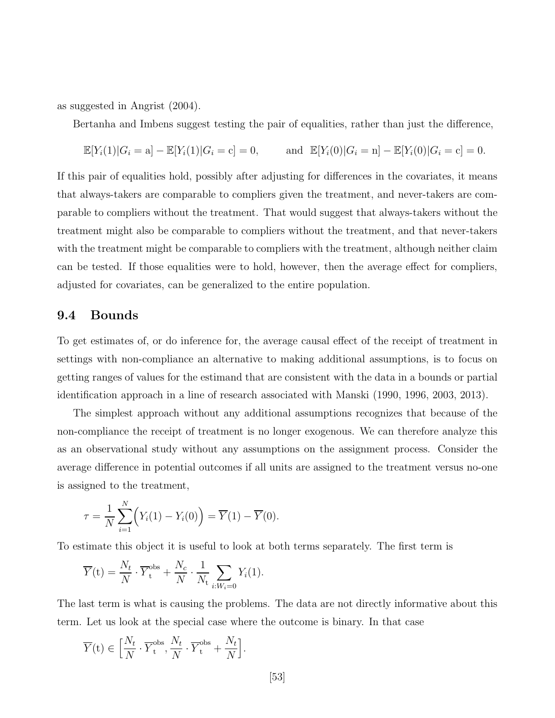as suggested in Angrist (2004).

Bertanha and Imbens suggest testing the pair of equalities, rather than just the difference,

$$
\mathbb{E}[Y_i(1)|G_i = \mathbf{a}] - \mathbb{E}[Y_i(1)|G_i = \mathbf{c}] = 0, \quad \text{and} \quad \mathbb{E}[Y_i(0)|G_i = \mathbf{n}] - \mathbb{E}[Y_i(0)|G_i = \mathbf{c}] = 0.
$$

If this pair of equalities hold, possibly after adjusting for differences in the covariates, it means that always-takers are comparable to compliers given the treatment, and never-takers are comparable to compliers without the treatment. That would suggest that always-takers without the treatment might also be comparable to compliers without the treatment, and that never-takers with the treatment might be comparable to compliers with the treatment, although neither claim can be tested. If those equalities were to hold, however, then the average effect for compliers, adjusted for covariates, can be generalized to the entire population.

### 9.4 Bounds

To get estimates of, or do inference for, the average causal effect of the receipt of treatment in settings with non-compliance an alternative to making additional assumptions, is to focus on getting ranges of values for the estimand that are consistent with the data in a bounds or partial identification approach in a line of research associated with Manski (1990, 1996, 2003, 2013).

The simplest approach without any additional assumptions recognizes that because of the non-compliance the receipt of treatment is no longer exogenous. We can therefore analyze this as an observational study without any assumptions on the assignment process. Consider the average difference in potential outcomes if all units are assigned to the treatment versus no-one is assigned to the treatment,

$$
\tau = \frac{1}{N} \sum_{i=1}^{N} \Big( Y_i(1) - Y_i(0) \Big) = \overline{Y}(1) - \overline{Y}(0).
$$

To estimate this object it is useful to look at both terms separately. The first term is

$$
\overline{Y}(t) = \frac{N_t}{N} \cdot \overline{Y}_t^{\text{obs}} + \frac{N_c}{N} \cdot \frac{1}{N_t} \sum_{i:W_i=0} Y_i(1).
$$

The last term is what is causing the problems. The data are not directly informative about this term. Let us look at the special case where the outcome is binary. In that case

$$
\overline{Y}(\mathbf{t}) \in \Big[ \frac{N_t}{N} \cdot \overline{Y}^{\text{obs}}_\mathbf{t}, \frac{N_t}{N} \cdot \overline{Y}^{\text{obs}}_\mathbf{t} + \frac{N_t}{N} \Big].
$$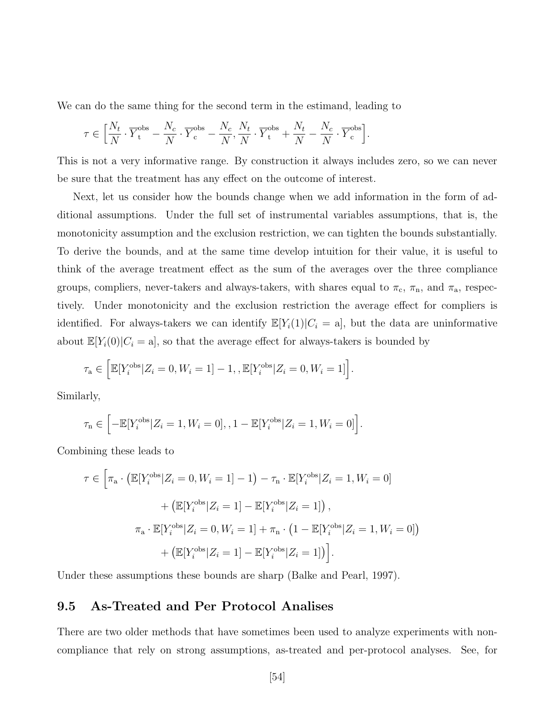We can do the same thing for the second term in the estimand, leading to

$$
\tau \in \left[\frac{N_t}{N} \cdot \overline{Y}^{\text{obs}}_t - \frac{N_c}{N} \cdot \overline{Y}^{\text{obs}}_c - \frac{N_c}{N}, \frac{N_t}{N} \cdot \overline{Y}^{\text{obs}}_t + \frac{N_t}{N} - \frac{N_c}{N} \cdot \overline{Y}^{\text{obs}}_c\right].
$$

This is not a very informative range. By construction it always includes zero, so we can never be sure that the treatment has any effect on the outcome of interest.

Next, let us consider how the bounds change when we add information in the form of additional assumptions. Under the full set of instrumental variables assumptions, that is, the monotonicity assumption and the exclusion restriction, we can tighten the bounds substantially. To derive the bounds, and at the same time develop intuition for their value, it is useful to think of the average treatment effect as the sum of the averages over the three compliance groups, compliers, never-takers and always-takers, with shares equal to  $\pi_c$ ,  $\pi_n$ , and  $\pi_a$ , respectively. Under monotonicity and the exclusion restriction the average effect for compliers is identified. For always-takers we can identify  $\mathbb{E}[Y_i(1)|C_i = a]$ , but the data are uninformative about  $\mathbb{E}[Y_i(0)|C_i = a]$ , so that the average effect for always-takers is bounded by

$$
\tau_{\rm a} \in \left[ \mathbb{E}[Y_i^{\rm obs}|Z_i = 0, W_i = 1] - 1, , \mathbb{E}[Y_i^{\rm obs}|Z_i = 0, W_i = 1] \right].
$$

Similarly,

$$
\tau_{\rm n} \in \left[ -\mathbb{E}[Y_i^{\rm obs}|Z_i = 1, W_i = 0], 1 - \mathbb{E}[Y_i^{\rm obs}|Z_i = 1, W_i = 0] \right].
$$

Combining these leads to

$$
\tau \in \left[\pi_{a} \cdot \left(\mathbb{E}[Y_{i}^{\text{obs}} | Z_{i} = 0, W_{i} = 1] - 1\right) - \tau_{n} \cdot \mathbb{E}[Y_{i}^{\text{obs}} | Z_{i} = 1, W_{i} = 0] \right.\left. + \left(\mathbb{E}[Y_{i}^{\text{obs}} | Z_{i} = 1] - \mathbb{E}[Y_{i}^{\text{obs}} | Z_{i} = 1]\right),\right.\left. \pi_{a} \cdot \mathbb{E}[Y_{i}^{\text{obs}} | Z_{i} = 0, W_{i} = 1] + \pi_{n} \cdot \left(1 - \mathbb{E}[Y_{i}^{\text{obs}} | Z_{i} = 1, W_{i} = 0]\right) \right.\left. + \left(\mathbb{E}[Y_{i}^{\text{obs}} | Z_{i} = 1] - \mathbb{E}[Y_{i}^{\text{obs}} | Z_{i} = 1]\right)\right].
$$

Under these assumptions these bounds are sharp (Balke and Pearl, 1997).

### 9.5 As-Treated and Per Protocol Analises

There are two older methods that have sometimes been used to analyze experiments with noncompliance that rely on strong assumptions, as-treated and per-protocol analyses. See, for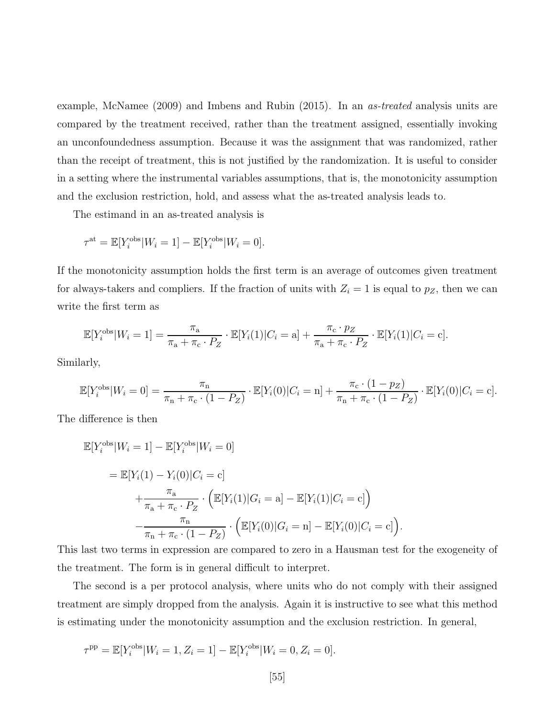example, McNamee (2009) and Imbens and Rubin (2015). In an as-treated analysis units are compared by the treatment received, rather than the treatment assigned, essentially invoking an unconfoundedness assumption. Because it was the assignment that was randomized, rather than the receipt of treatment, this is not justified by the randomization. It is useful to consider in a setting where the instrumental variables assumptions, that is, the monotonicity assumption and the exclusion restriction, hold, and assess what the as-treated analysis leads to.

The estimand in an as-treated analysis is

$$
\tau^{\text{at}} = \mathbb{E}[Y_i^{\text{obs}} | W_i = 1] - \mathbb{E}[Y_i^{\text{obs}} | W_i = 0].
$$

If the monotonicity assumption holds the first term is an average of outcomes given treatment for always-takers and compliers. If the fraction of units with  $Z_i = 1$  is equal to  $p_Z$ , then we can write the first term as

$$
\mathbb{E}[Y_i^{\text{obs}}|W_i=1] = \frac{\pi_a}{\pi_a + \pi_c \cdot P_Z} \cdot \mathbb{E}[Y_i(1)|C_i=a] + \frac{\pi_c \cdot p_Z}{\pi_a + \pi_c \cdot P_Z} \cdot \mathbb{E}[Y_i(1)|C_i=c].
$$

Similarly,

$$
\mathbb{E}[Y_i^{\text{obs}}|W_i = 0] = \frac{\pi_n}{\pi_n + \pi_c \cdot (1 - P_Z)} \cdot \mathbb{E}[Y_i(0)|C_i = n] + \frac{\pi_c \cdot (1 - p_Z)}{\pi_n + \pi_c \cdot (1 - P_Z)} \cdot \mathbb{E}[Y_i(0)|C_i = c].
$$

The difference is then

$$
\mathbb{E}[Y_i^{\text{obs}}|W_i = 1] - \mathbb{E}[Y_i^{\text{obs}}|W_i = 0]
$$
  
= 
$$
\mathbb{E}[Y_i(1) - Y_i(0)|C_i = c]
$$
  
+ 
$$
\frac{\pi_a}{\pi_a + \pi_c \cdot P_Z} \cdot \left( \mathbb{E}[Y_i(1)|G_i = a] - \mathbb{E}[Y_i(1)|C_i = c] \right)
$$
  
- 
$$
\frac{\pi_n}{\pi_n + \pi_c \cdot (1 - P_Z)} \cdot \left( \mathbb{E}[Y_i(0)|G_i = n] - \mathbb{E}[Y_i(0)|C_i = c] \right).
$$

This last two terms in expression are compared to zero in a Hausman test for the exogeneity of the treatment. The form is in general difficult to interpret.

The second is a per protocol analysis, where units who do not comply with their assigned treatment are simply dropped from the analysis. Again it is instructive to see what this method is estimating under the monotonicity assumption and the exclusion restriction. In general,

$$
\tau^{\text{pp}} = \mathbb{E}[Y_i^{\text{obs}} | W_i = 1, Z_i = 1] - \mathbb{E}[Y_i^{\text{obs}} | W_i = 0, Z_i = 0].
$$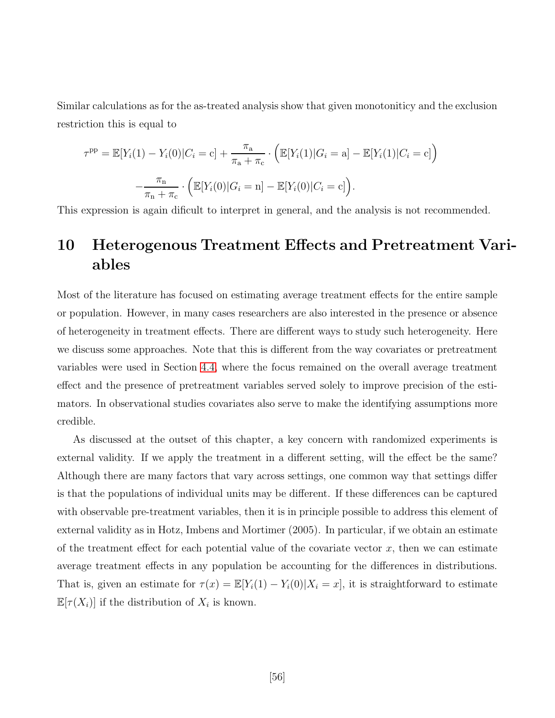Similar calculations as for the as-treated analysis show that given monotoniticy and the exclusion restriction this is equal to

$$
\tau^{\text{pp}} = \mathbb{E}[Y_i(1) - Y_i(0)|C_i = c] + \frac{\pi_a}{\pi_a + \pi_c} \cdot \left(\mathbb{E}[Y_i(1)|G_i = a] - \mathbb{E}[Y_i(1)|C_i = c]\right) - \frac{\pi_n}{\pi_n + \pi_c} \cdot \left(\mathbb{E}[Y_i(0)|G_i = n] - \mathbb{E}[Y_i(0)|C_i = c]\right).
$$

This expression is again dificult to interpret in general, and the analysis is not recommended.

# 10 Heterogenous Treatment Effects and Pretreatment Variables

Most of the literature has focused on estimating average treatment effects for the entire sample or population. However, in many cases researchers are also interested in the presence or absence of heterogeneity in treatment effects. There are different ways to study such heterogeneity. Here we discuss some approaches. Note that this is different from the way covariates or pretreatment variables were used in Section [4.4,](#page-21-0) where the focus remained on the overall average treatment effect and the presence of pretreatment variables served solely to improve precision of the estimators. In observational studies covariates also serve to make the identifying assumptions more credible.

As discussed at the outset of this chapter, a key concern with randomized experiments is external validity. If we apply the treatment in a different setting, will the effect be the same? Although there are many factors that vary across settings, one common way that settings differ is that the populations of individual units may be different. If these differences can be captured with observable pre-treatment variables, then it is in principle possible to address this element of external validity as in Hotz, Imbens and Mortimer (2005). In particular, if we obtain an estimate of the treatment effect for each potential value of the covariate vector  $x$ , then we can estimate average treatment effects in any population be accounting for the differences in distributions. That is, given an estimate for  $\tau(x) = \mathbb{E}[Y_i(1) - Y_i(0)|X_i = x]$ , it is straightforward to estimate  $\mathbb{E}[\tau(X_i)]$  if the distribution of  $X_i$  is known.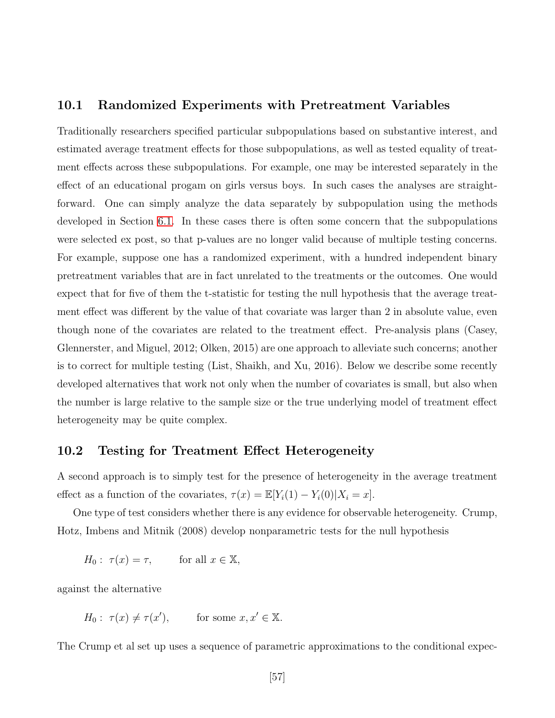#### 10.1 Randomized Experiments with Pretreatment Variables

Traditionally researchers specified particular subpopulations based on substantive interest, and estimated average treatment effects for those subpopulations, as well as tested equality of treatment effects across these subpopulations. For example, one may be interested separately in the effect of an educational progam on girls versus boys. In such cases the analyses are straightforward. One can simply analyze the data separately by subpopulation using the methods developed in Section [6.1.](#page-30-0) In these cases there is often some concern that the subpopulations were selected ex post, so that p-values are no longer valid because of multiple testing concerns. For example, suppose one has a randomized experiment, with a hundred independent binary pretreatment variables that are in fact unrelated to the treatments or the outcomes. One would expect that for five of them the t-statistic for testing the null hypothesis that the average treatment effect was different by the value of that covariate was larger than 2 in absolute value, even though none of the covariates are related to the treatment effect. Pre-analysis plans (Casey, Glennerster, and Miguel, 2012; Olken, 2015) are one approach to alleviate such concerns; another is to correct for multiple testing (List, Shaikh, and Xu, 2016). Below we describe some recently developed alternatives that work not only when the number of covariates is small, but also when the number is large relative to the sample size or the true underlying model of treatment effect heterogeneity may be quite complex.

#### 10.2 Testing for Treatment Effect Heterogeneity

A second approach is to simply test for the presence of heterogeneity in the average treatment effect as a function of the covariates,  $\tau(x) = \mathbb{E}[Y_i(1) - Y_i(0)|X_i = x]$ .

One type of test considers whether there is any evidence for observable heterogeneity. Crump, Hotz, Imbens and Mitnik (2008) develop nonparametric tests for the null hypothesis

 $H_0: \tau(x) = \tau$ , for all  $x \in \mathbb{X}$ ,

against the alternative

 $H_0: \tau(x) \neq \tau(x'), \quad \text{for some } x, x' \in \mathbb{X}.$ 

The Crump et al set up uses a sequence of parametric approximations to the conditional expec-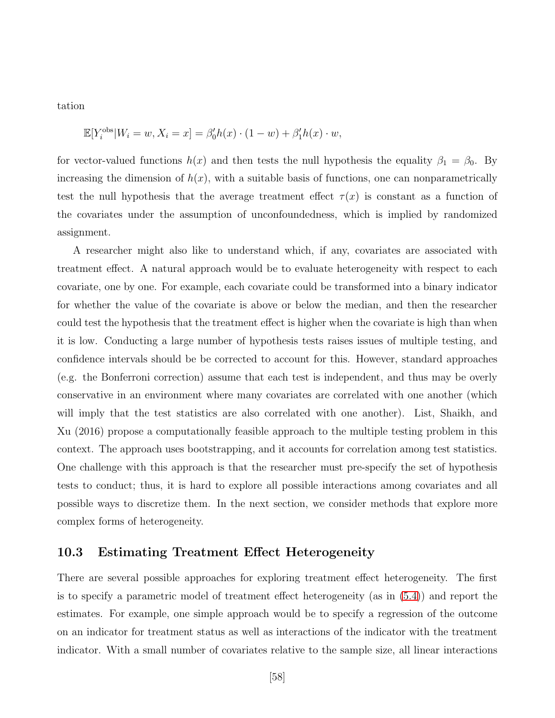tation

$$
\mathbb{E}[Y_i^{\text{obs}}|W_i = w, X_i = x] = \beta'_0 h(x) \cdot (1 - w) + \beta'_1 h(x) \cdot w,
$$

for vector-valued functions  $h(x)$  and then tests the null hypothesis the equality  $\beta_1 = \beta_0$ . By increasing the dimension of  $h(x)$ , with a suitable basis of functions, one can nonparametrically test the null hypothesis that the average treatment effect  $\tau(x)$  is constant as a function of the covariates under the assumption of unconfoundedness, which is implied by randomized assignment.

A researcher might also like to understand which, if any, covariates are associated with treatment effect. A natural approach would be to evaluate heterogeneity with respect to each covariate, one by one. For example, each covariate could be transformed into a binary indicator for whether the value of the covariate is above or below the median, and then the researcher could test the hypothesis that the treatment effect is higher when the covariate is high than when it is low. Conducting a large number of hypothesis tests raises issues of multiple testing, and confidence intervals should be be corrected to account for this. However, standard approaches (e.g. the Bonferroni correction) assume that each test is independent, and thus may be overly conservative in an environment where many covariates are correlated with one another (which will imply that the test statistics are also correlated with one another). List, Shaikh, and Xu (2016) propose a computationally feasible approach to the multiple testing problem in this context. The approach uses bootstrapping, and it accounts for correlation among test statistics. One challenge with this approach is that the researcher must pre-specify the set of hypothesis tests to conduct; thus, it is hard to explore all possible interactions among covariates and all possible ways to discretize them. In the next section, we consider methods that explore more complex forms of heterogeneity.

### 10.3 Estimating Treatment Effect Heterogeneity

There are several possible approaches for exploring treatment effect heterogeneity. The first is to specify a parametric model of treatment effect heterogeneity (as in [\(5.4\)](#page-28-0)) and report the estimates. For example, one simple approach would be to specify a regression of the outcome on an indicator for treatment status as well as interactions of the indicator with the treatment indicator. With a small number of covariates relative to the sample size, all linear interactions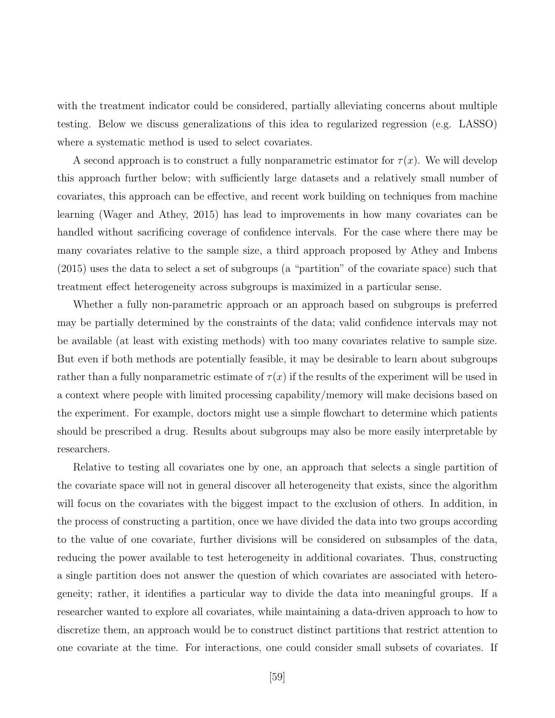with the treatment indicator could be considered, partially alleviating concerns about multiple testing. Below we discuss generalizations of this idea to regularized regression (e.g. LASSO) where a systematic method is used to select covariates.

A second approach is to construct a fully nonparametric estimator for  $\tau(x)$ . We will develop this approach further below; with sufficiently large datasets and a relatively small number of covariates, this approach can be effective, and recent work building on techniques from machine learning (Wager and Athey, 2015) has lead to improvements in how many covariates can be handled without sacrificing coverage of confidence intervals. For the case where there may be many covariates relative to the sample size, a third approach proposed by Athey and Imbens (2015) uses the data to select a set of subgroups (a "partition" of the covariate space) such that treatment effect heterogeneity across subgroups is maximized in a particular sense.

Whether a fully non-parametric approach or an approach based on subgroups is preferred may be partially determined by the constraints of the data; valid confidence intervals may not be available (at least with existing methods) with too many covariates relative to sample size. But even if both methods are potentially feasible, it may be desirable to learn about subgroups rather than a fully nonparametric estimate of  $\tau(x)$  if the results of the experiment will be used in a context where people with limited processing capability/memory will make decisions based on the experiment. For example, doctors might use a simple flowchart to determine which patients should be prescribed a drug. Results about subgroups may also be more easily interpretable by researchers.

Relative to testing all covariates one by one, an approach that selects a single partition of the covariate space will not in general discover all heterogeneity that exists, since the algorithm will focus on the covariates with the biggest impact to the exclusion of others. In addition, in the process of constructing a partition, once we have divided the data into two groups according to the value of one covariate, further divisions will be considered on subsamples of the data, reducing the power available to test heterogeneity in additional covariates. Thus, constructing a single partition does not answer the question of which covariates are associated with heterogeneity; rather, it identifies a particular way to divide the data into meaningful groups. If a researcher wanted to explore all covariates, while maintaining a data-driven approach to how to discretize them, an approach would be to construct distinct partitions that restrict attention to one covariate at the time. For interactions, one could consider small subsets of covariates. If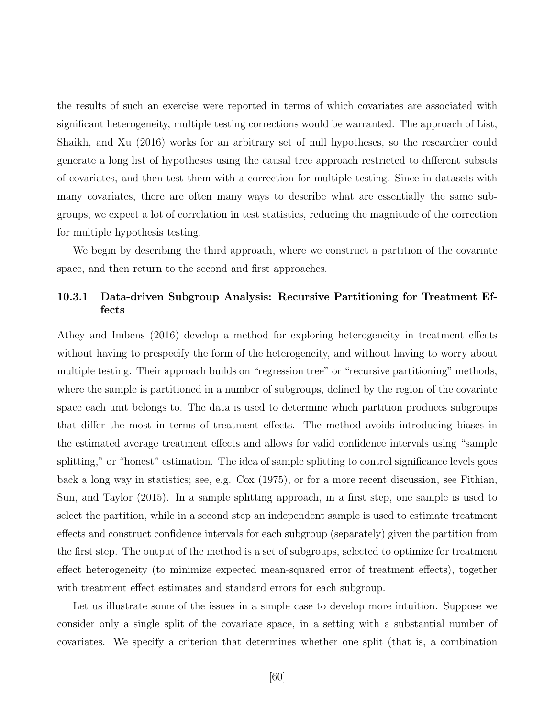the results of such an exercise were reported in terms of which covariates are associated with significant heterogeneity, multiple testing corrections would be warranted. The approach of List, Shaikh, and Xu (2016) works for an arbitrary set of null hypotheses, so the researcher could generate a long list of hypotheses using the causal tree approach restricted to different subsets of covariates, and then test them with a correction for multiple testing. Since in datasets with many covariates, there are often many ways to describe what are essentially the same subgroups, we expect a lot of correlation in test statistics, reducing the magnitude of the correction for multiple hypothesis testing.

We begin by describing the third approach, where we construct a partition of the covariate space, and then return to the second and first approaches.

### 10.3.1 Data-driven Subgroup Analysis: Recursive Partitioning for Treatment Effects

Athey and Imbens (2016) develop a method for exploring heterogeneity in treatment effects without having to prespecify the form of the heterogeneity, and without having to worry about multiple testing. Their approach builds on "regression tree" or "recursive partitioning" methods, where the sample is partitioned in a number of subgroups, defined by the region of the covariate space each unit belongs to. The data is used to determine which partition produces subgroups that differ the most in terms of treatment effects. The method avoids introducing biases in the estimated average treatment effects and allows for valid confidence intervals using "sample splitting," or "honest" estimation. The idea of sample splitting to control significance levels goes back a long way in statistics; see, e.g. Cox (1975), or for a more recent discussion, see Fithian, Sun, and Taylor (2015). In a sample splitting approach, in a first step, one sample is used to select the partition, while in a second step an independent sample is used to estimate treatment effects and construct confidence intervals for each subgroup (separately) given the partition from the first step. The output of the method is a set of subgroups, selected to optimize for treatment effect heterogeneity (to minimize expected mean-squared error of treatment effects), together with treatment effect estimates and standard errors for each subgroup.

Let us illustrate some of the issues in a simple case to develop more intuition. Suppose we consider only a single split of the covariate space, in a setting with a substantial number of covariates. We specify a criterion that determines whether one split (that is, a combination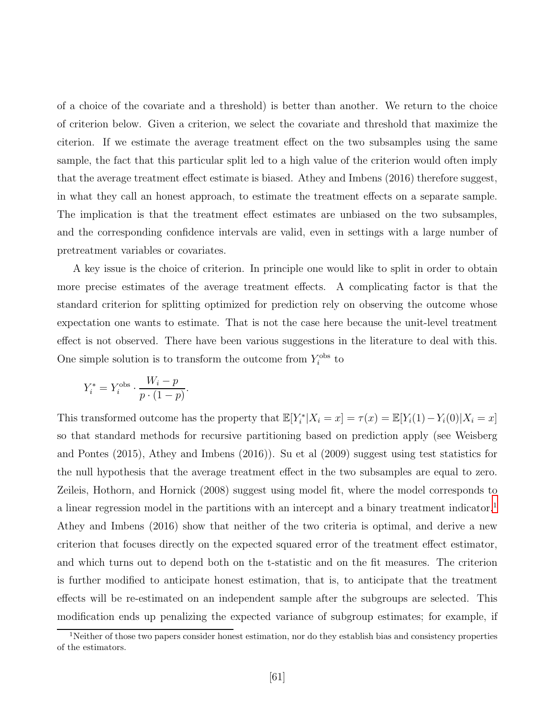of a choice of the covariate and a threshold) is better than another. We return to the choice of criterion below. Given a criterion, we select the covariate and threshold that maximize the citerion. If we estimate the average treatment effect on the two subsamples using the same sample, the fact that this particular split led to a high value of the criterion would often imply that the average treatment effect estimate is biased. Athey and Imbens (2016) therefore suggest, in what they call an honest approach, to estimate the treatment effects on a separate sample. The implication is that the treatment effect estimates are unbiased on the two subsamples, and the corresponding confidence intervals are valid, even in settings with a large number of pretreatment variables or covariates.

A key issue is the choice of criterion. In principle one would like to split in order to obtain more precise estimates of the average treatment effects. A complicating factor is that the standard criterion for splitting optimized for prediction rely on observing the outcome whose expectation one wants to estimate. That is not the case here because the unit-level treatment effect is not observed. There have been various suggestions in the literature to deal with this. One simple solution is to transform the outcome from  $Y_i^{\text{obs}}$  to

$$
Y_i^* = Y_i^{\text{obs}} \cdot \frac{W_i - p}{p \cdot (1 - p)}.
$$

This transformed outcome has the property that  $\mathbb{E}[Y_i^* | X_i = x] = \tau(x) = \mathbb{E}[Y_i(1) - Y_i(0) | X_i = x]$ so that standard methods for recursive partitioning based on prediction apply (see Weisberg and Pontes (2015), Athey and Imbens (2016)). Su et al (2009) suggest using test statistics for the null hypothesis that the average treatment effect in the two subsamples are equal to zero. Zeileis, Hothorn, and Hornick (2008) suggest using model fit, where the model corresponds to a linear regression model in the partitions with an intercept and a binary treatment indicator.<sup>[1](#page-61-0)</sup> Athey and Imbens (2016) show that neither of the two criteria is optimal, and derive a new criterion that focuses directly on the expected squared error of the treatment effect estimator, and which turns out to depend both on the t-statistic and on the fit measures. The criterion is further modified to anticipate honest estimation, that is, to anticipate that the treatment effects will be re-estimated on an independent sample after the subgroups are selected. This modification ends up penalizing the expected variance of subgroup estimates; for example, if

<span id="page-61-0"></span><sup>1</sup>Neither of those two papers consider honest estimation, nor do they establish bias and consistency properties of the estimators.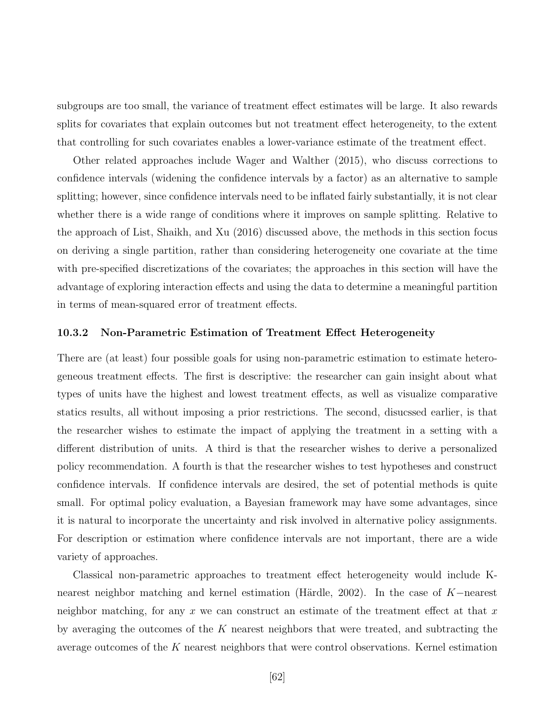subgroups are too small, the variance of treatment effect estimates will be large. It also rewards splits for covariates that explain outcomes but not treatment effect heterogeneity, to the extent that controlling for such covariates enables a lower-variance estimate of the treatment effect.

Other related approaches include Wager and Walther (2015), who discuss corrections to confidence intervals (widening the confidence intervals by a factor) as an alternative to sample splitting; however, since confidence intervals need to be inflated fairly substantially, it is not clear whether there is a wide range of conditions where it improves on sample splitting. Relative to the approach of List, Shaikh, and Xu (2016) discussed above, the methods in this section focus on deriving a single partition, rather than considering heterogeneity one covariate at the time with pre-specified discretizations of the covariates; the approaches in this section will have the advantage of exploring interaction effects and using the data to determine a meaningful partition in terms of mean-squared error of treatment effects.

#### 10.3.2 Non-Parametric Estimation of Treatment Effect Heterogeneity

There are (at least) four possible goals for using non-parametric estimation to estimate heterogeneous treatment effects. The first is descriptive: the researcher can gain insight about what types of units have the highest and lowest treatment effects, as well as visualize comparative statics results, all without imposing a prior restrictions. The second, disucssed earlier, is that the researcher wishes to estimate the impact of applying the treatment in a setting with a different distribution of units. A third is that the researcher wishes to derive a personalized policy recommendation. A fourth is that the researcher wishes to test hypotheses and construct confidence intervals. If confidence intervals are desired, the set of potential methods is quite small. For optimal policy evaluation, a Bayesian framework may have some advantages, since it is natural to incorporate the uncertainty and risk involved in alternative policy assignments. For description or estimation where confidence intervals are not important, there are a wide variety of approaches.

Classical non-parametric approaches to treatment effect heterogeneity would include Knearest neighbor matching and kernel estimation (Härdle, 2002). In the case of K−nearest neighbor matching, for any x we can construct an estimate of the treatment effect at that  $x$ by averaging the outcomes of the  $K$  nearest neighbors that were treated, and subtracting the average outcomes of the K nearest neighbors that were control observations. Kernel estimation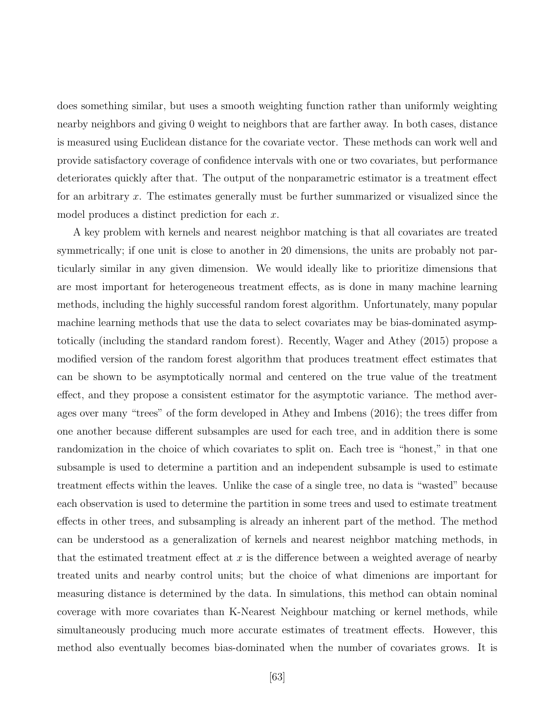does something similar, but uses a smooth weighting function rather than uniformly weighting nearby neighbors and giving 0 weight to neighbors that are farther away. In both cases, distance is measured using Euclidean distance for the covariate vector. These methods can work well and provide satisfactory coverage of confidence intervals with one or two covariates, but performance deteriorates quickly after that. The output of the nonparametric estimator is a treatment effect for an arbitrary  $x$ . The estimates generally must be further summarized or visualized since the model produces a distinct prediction for each x.

A key problem with kernels and nearest neighbor matching is that all covariates are treated symmetrically; if one unit is close to another in 20 dimensions, the units are probably not particularly similar in any given dimension. We would ideally like to prioritize dimensions that are most important for heterogeneous treatment effects, as is done in many machine learning methods, including the highly successful random forest algorithm. Unfortunately, many popular machine learning methods that use the data to select covariates may be bias-dominated asymptotically (including the standard random forest). Recently, Wager and Athey (2015) propose a modified version of the random forest algorithm that produces treatment effect estimates that can be shown to be asymptotically normal and centered on the true value of the treatment effect, and they propose a consistent estimator for the asymptotic variance. The method averages over many "trees" of the form developed in Athey and Imbens (2016); the trees differ from one another because different subsamples are used for each tree, and in addition there is some randomization in the choice of which covariates to split on. Each tree is "honest," in that one subsample is used to determine a partition and an independent subsample is used to estimate treatment effects within the leaves. Unlike the case of a single tree, no data is "wasted" because each observation is used to determine the partition in some trees and used to estimate treatment effects in other trees, and subsampling is already an inherent part of the method. The method can be understood as a generalization of kernels and nearest neighbor matching methods, in that the estimated treatment effect at  $x$  is the difference between a weighted average of nearby treated units and nearby control units; but the choice of what dimenions are important for measuring distance is determined by the data. In simulations, this method can obtain nominal coverage with more covariates than K-Nearest Neighbour matching or kernel methods, while simultaneously producing much more accurate estimates of treatment effects. However, this method also eventually becomes bias-dominated when the number of covariates grows. It is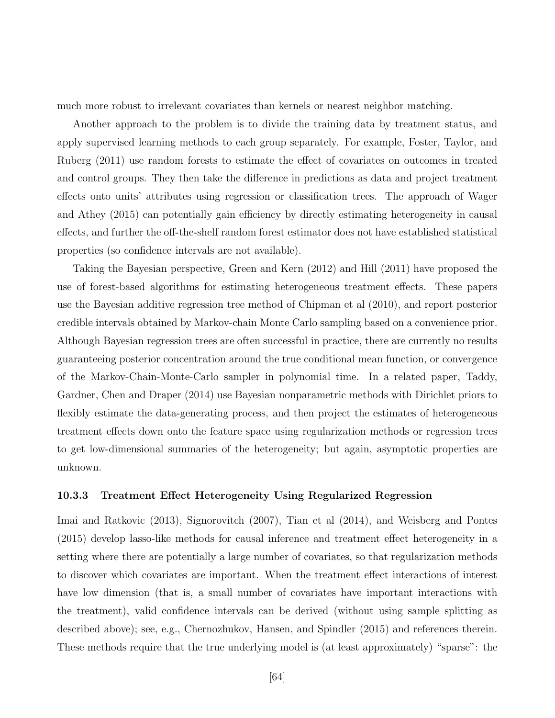much more robust to irrelevant covariates than kernels or nearest neighbor matching.

Another approach to the problem is to divide the training data by treatment status, and apply supervised learning methods to each group separately. For example, Foster, Taylor, and Ruberg (2011) use random forests to estimate the effect of covariates on outcomes in treated and control groups. They then take the difference in predictions as data and project treatment effects onto units' attributes using regression or classification trees. The approach of Wager and Athey (2015) can potentially gain efficiency by directly estimating heterogeneity in causal effects, and further the off-the-shelf random forest estimator does not have established statistical properties (so confidence intervals are not available).

Taking the Bayesian perspective, Green and Kern (2012) and Hill (2011) have proposed the use of forest-based algorithms for estimating heterogeneous treatment effects. These papers use the Bayesian additive regression tree method of Chipman et al (2010), and report posterior credible intervals obtained by Markov-chain Monte Carlo sampling based on a convenience prior. Although Bayesian regression trees are often successful in practice, there are currently no results guaranteeing posterior concentration around the true conditional mean function, or convergence of the Markov-Chain-Monte-Carlo sampler in polynomial time. In a related paper, Taddy, Gardner, Chen and Draper (2014) use Bayesian nonparametric methods with Dirichlet priors to flexibly estimate the data-generating process, and then project the estimates of heterogeneous treatment effects down onto the feature space using regularization methods or regression trees to get low-dimensional summaries of the heterogeneity; but again, asymptotic properties are unknown.

#### 10.3.3 Treatment Effect Heterogeneity Using Regularized Regression

Imai and Ratkovic (2013), Signorovitch (2007), Tian et al (2014), and Weisberg and Pontes (2015) develop lasso-like methods for causal inference and treatment effect heterogeneity in a setting where there are potentially a large number of covariates, so that regularization methods to discover which covariates are important. When the treatment effect interactions of interest have low dimension (that is, a small number of covariates have important interactions with the treatment), valid confidence intervals can be derived (without using sample splitting as described above); see, e.g., Chernozhukov, Hansen, and Spindler (2015) and references therein. These methods require that the true underlying model is (at least approximately) "sparse": the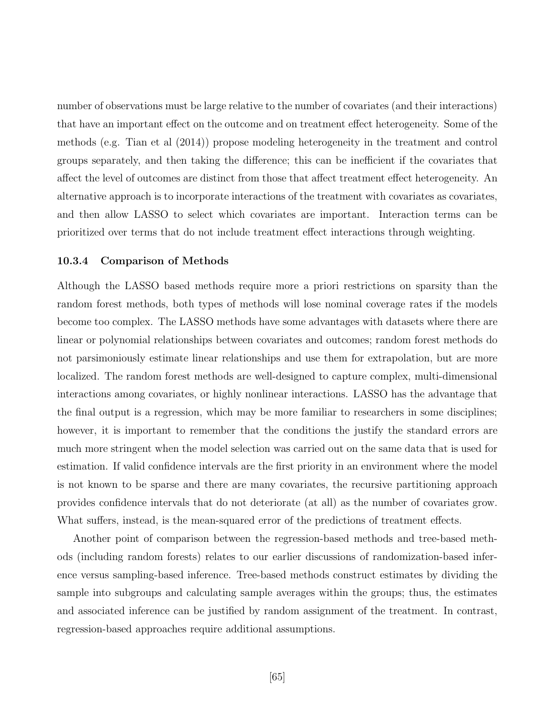number of observations must be large relative to the number of covariates (and their interactions) that have an important effect on the outcome and on treatment effect heterogeneity. Some of the methods (e.g. Tian et al (2014)) propose modeling heterogeneity in the treatment and control groups separately, and then taking the difference; this can be inefficient if the covariates that affect the level of outcomes are distinct from those that affect treatment effect heterogeneity. An alternative approach is to incorporate interactions of the treatment with covariates as covariates, and then allow LASSO to select which covariates are important. Interaction terms can be prioritized over terms that do not include treatment effect interactions through weighting.

#### 10.3.4 Comparison of Methods

Although the LASSO based methods require more a priori restrictions on sparsity than the random forest methods, both types of methods will lose nominal coverage rates if the models become too complex. The LASSO methods have some advantages with datasets where there are linear or polynomial relationships between covariates and outcomes; random forest methods do not parsimoniously estimate linear relationships and use them for extrapolation, but are more localized. The random forest methods are well-designed to capture complex, multi-dimensional interactions among covariates, or highly nonlinear interactions. LASSO has the advantage that the final output is a regression, which may be more familiar to researchers in some disciplines; however, it is important to remember that the conditions the justify the standard errors are much more stringent when the model selection was carried out on the same data that is used for estimation. If valid confidence intervals are the first priority in an environment where the model is not known to be sparse and there are many covariates, the recursive partitioning approach provides confidence intervals that do not deteriorate (at all) as the number of covariates grow. What suffers, instead, is the mean-squared error of the predictions of treatment effects.

Another point of comparison between the regression-based methods and tree-based methods (including random forests) relates to our earlier discussions of randomization-based inference versus sampling-based inference. Tree-based methods construct estimates by dividing the sample into subgroups and calculating sample averages within the groups; thus, the estimates and associated inference can be justified by random assignment of the treatment. In contrast, regression-based approaches require additional assumptions.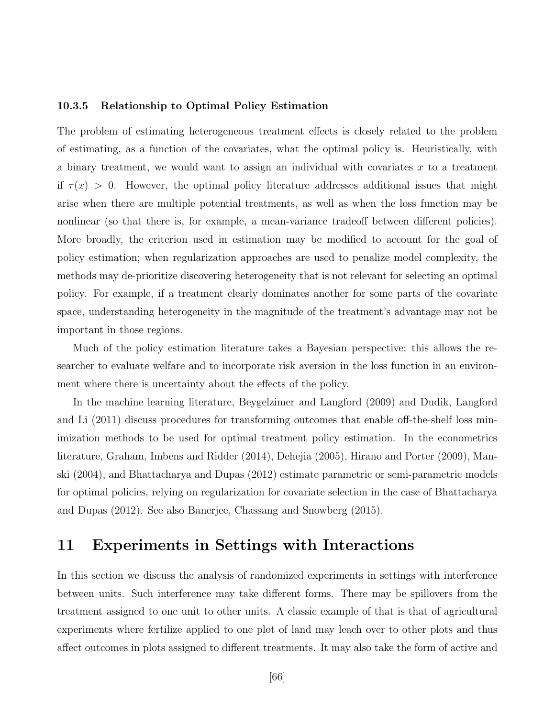#### 10.3.5 Relationship to Optimal Policy Estimation

The problem of estimating heterogeneous treatment effects is closely related to the problem of estimating, as a function of the covariates, what the optimal policy is. Heuristically, with a binary treatment, we would want to assign an individual with covariates  $x$  to a treatment if  $\tau(x) > 0$ . However, the optimal policy literature addresses additional issues that might arise when there are multiple potential treatments, as well as when the loss function may be nonlinear (so that there is, for example, a mean-variance tradeoff between different policies). More broadly, the criterion used in estimation may be modified to account for the goal of policy estimation; when regularization approaches are used to penalize model complexity, the methods may de-prioritize discovering heterogeneity that is not relevant for selecting an optimal policy. For example, if a treatment clearly dominates another for some parts of the covariate space, understanding heterogeneity in the magnitude of the treatment's advantage may not be important in those regions.

Much of the policy estimation literature takes a Bayesian perspective; this allows the researcher to evaluate welfare and to incorporate risk aversion in the loss function in an environment where there is uncertainty about the effects of the policy.

In the machine learning literature, Beygelzimer and Langford (2009) and Dudik, Langford and Li (2011) discuss procedures for transforming outcomes that enable off-the-shelf loss minimization methods to be used for optimal treatment policy estimation. In the econometrics literature, Graham, Imbens and Ridder (2014), Dehejia (2005), Hirano and Porter (2009), Manski (2004), and Bhattacharya and Dupas (2012) estimate parametric or semi-parametric models for optimal policies, relying on regularization for covariate selection in the case of Bhattacharya and Dupas (2012). See also Banerjee, Chassang and Snowberg (2015).

# 11 Experiments in Settings with Interactions

In this section we discuss the analysis of randomized experiments in settings with interference between units. Such interference may take different forms. There may be spillovers from the treatment assigned to one unit to other units. A classic example of that is that of agricultural experiments where fertilize applied to one plot of land may leach over to other plots and thus affect outcomes in plots assigned to different treatments. It may also take the form of active and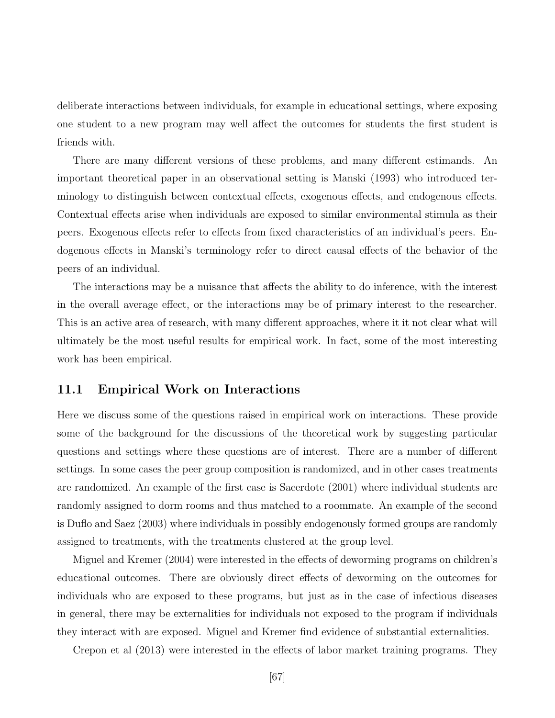deliberate interactions between individuals, for example in educational settings, where exposing one student to a new program may well affect the outcomes for students the first student is friends with.

There are many different versions of these problems, and many different estimands. An important theoretical paper in an observational setting is Manski (1993) who introduced terminology to distinguish between contextual effects, exogenous effects, and endogenous effects. Contextual effects arise when individuals are exposed to similar environmental stimula as their peers. Exogenous effects refer to effects from fixed characteristics of an individual's peers. Endogenous effects in Manski's terminology refer to direct causal effects of the behavior of the peers of an individual.

The interactions may be a nuisance that affects the ability to do inference, with the interest in the overall average effect, or the interactions may be of primary interest to the researcher. This is an active area of research, with many different approaches, where it it not clear what will ultimately be the most useful results for empirical work. In fact, some of the most interesting work has been empirical.

#### 11.1 Empirical Work on Interactions

Here we discuss some of the questions raised in empirical work on interactions. These provide some of the background for the discussions of the theoretical work by suggesting particular questions and settings where these questions are of interest. There are a number of different settings. In some cases the peer group composition is randomized, and in other cases treatments are randomized. An example of the first case is Sacerdote (2001) where individual students are randomly assigned to dorm rooms and thus matched to a roommate. An example of the second is Duflo and Saez (2003) where individuals in possibly endogenously formed groups are randomly assigned to treatments, with the treatments clustered at the group level.

Miguel and Kremer (2004) were interested in the effects of deworming programs on children's educational outcomes. There are obviously direct effects of deworming on the outcomes for individuals who are exposed to these programs, but just as in the case of infectious diseases in general, there may be externalities for individuals not exposed to the program if individuals they interact with are exposed. Miguel and Kremer find evidence of substantial externalities.

Crepon et al (2013) were interested in the effects of labor market training programs. They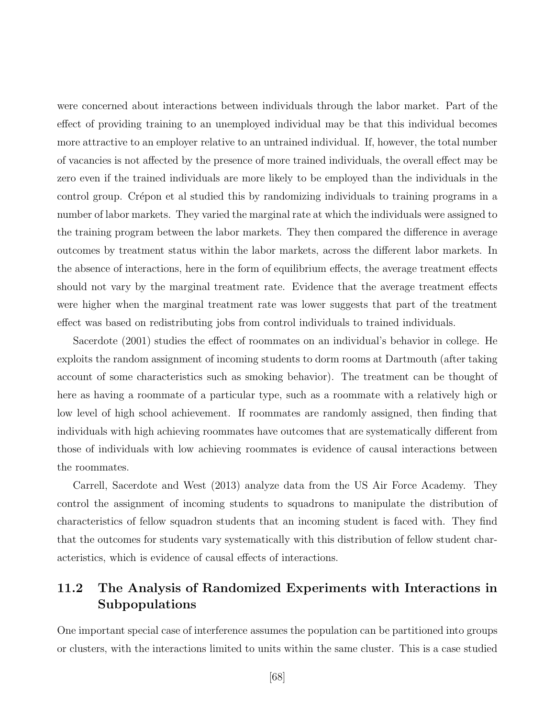were concerned about interactions between individuals through the labor market. Part of the effect of providing training to an unemployed individual may be that this individual becomes more attractive to an employer relative to an untrained individual. If, however, the total number of vacancies is not affected by the presence of more trained individuals, the overall effect may be zero even if the trained individuals are more likely to be employed than the individuals in the control group. Crépon et al studied this by randomizing individuals to training programs in a number of labor markets. They varied the marginal rate at which the individuals were assigned to the training program between the labor markets. They then compared the difference in average outcomes by treatment status within the labor markets, across the different labor markets. In the absence of interactions, here in the form of equilibrium effects, the average treatment effects should not vary by the marginal treatment rate. Evidence that the average treatment effects were higher when the marginal treatment rate was lower suggests that part of the treatment effect was based on redistributing jobs from control individuals to trained individuals.

Sacerdote (2001) studies the effect of roommates on an individual's behavior in college. He exploits the random assignment of incoming students to dorm rooms at Dartmouth (after taking account of some characteristics such as smoking behavior). The treatment can be thought of here as having a roommate of a particular type, such as a roommate with a relatively high or low level of high school achievement. If roommates are randomly assigned, then finding that individuals with high achieving roommates have outcomes that are systematically different from those of individuals with low achieving roommates is evidence of causal interactions between the roommates.

Carrell, Sacerdote and West (2013) analyze data from the US Air Force Academy. They control the assignment of incoming students to squadrons to manipulate the distribution of characteristics of fellow squadron students that an incoming student is faced with. They find that the outcomes for students vary systematically with this distribution of fellow student characteristics, which is evidence of causal effects of interactions.

## 11.2 The Analysis of Randomized Experiments with Interactions in Subpopulations

One important special case of interference assumes the population can be partitioned into groups or clusters, with the interactions limited to units within the same cluster. This is a case studied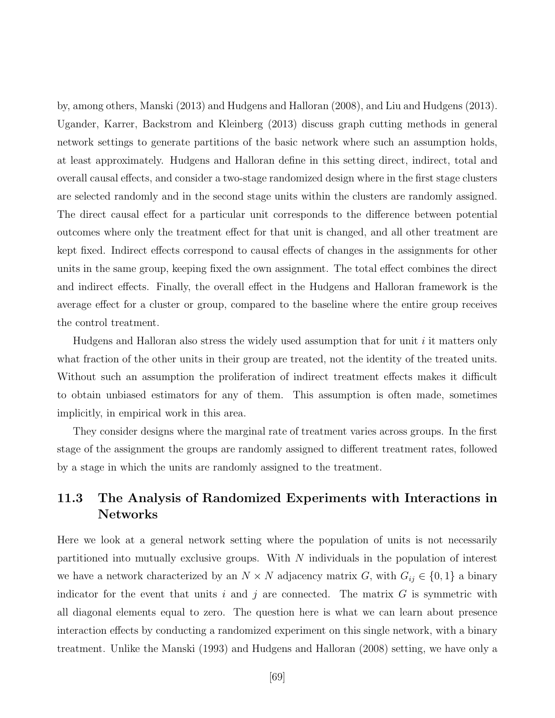by, among others, Manski (2013) and Hudgens and Halloran (2008), and Liu and Hudgens (2013). Ugander, Karrer, Backstrom and Kleinberg (2013) discuss graph cutting methods in general network settings to generate partitions of the basic network where such an assumption holds, at least approximately. Hudgens and Halloran define in this setting direct, indirect, total and overall causal effects, and consider a two-stage randomized design where in the first stage clusters are selected randomly and in the second stage units within the clusters are randomly assigned. The direct causal effect for a particular unit corresponds to the difference between potential outcomes where only the treatment effect for that unit is changed, and all other treatment are kept fixed. Indirect effects correspond to causal effects of changes in the assignments for other units in the same group, keeping fixed the own assignment. The total effect combines the direct and indirect effects. Finally, the overall effect in the Hudgens and Halloran framework is the average effect for a cluster or group, compared to the baseline where the entire group receives the control treatment.

Hudgens and Halloran also stress the widely used assumption that for unit  $i$  it matters only what fraction of the other units in their group are treated, not the identity of the treated units. Without such an assumption the proliferation of indirect treatment effects makes it difficult to obtain unbiased estimators for any of them. This assumption is often made, sometimes implicitly, in empirical work in this area.

They consider designs where the marginal rate of treatment varies across groups. In the first stage of the assignment the groups are randomly assigned to different treatment rates, followed by a stage in which the units are randomly assigned to the treatment.

### 11.3 The Analysis of Randomized Experiments with Interactions in Networks

Here we look at a general network setting where the population of units is not necessarily partitioned into mutually exclusive groups. With  $N$  individuals in the population of interest we have a network characterized by an  $N \times N$  adjacency matrix G, with  $G_{ij} \in \{0,1\}$  a binary indicator for the event that units i and j are connected. The matrix  $G$  is symmetric with all diagonal elements equal to zero. The question here is what we can learn about presence interaction effects by conducting a randomized experiment on this single network, with a binary treatment. Unlike the Manski (1993) and Hudgens and Halloran (2008) setting, we have only a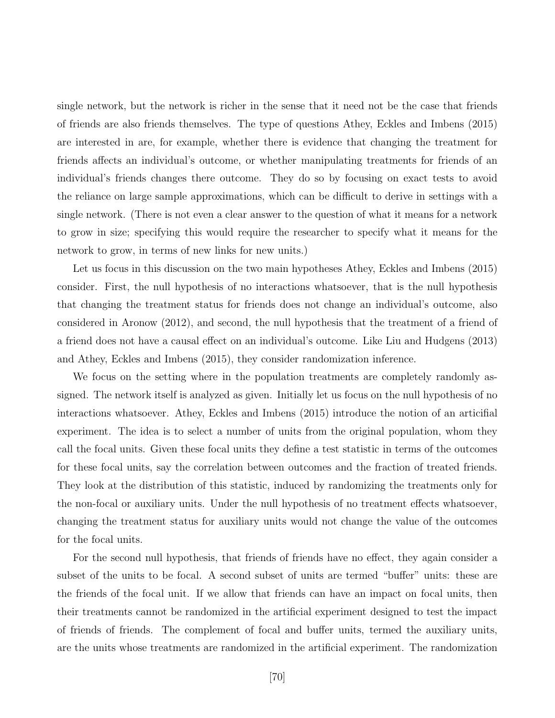single network, but the network is richer in the sense that it need not be the case that friends of friends are also friends themselves. The type of questions Athey, Eckles and Imbens (2015) are interested in are, for example, whether there is evidence that changing the treatment for friends affects an individual's outcome, or whether manipulating treatments for friends of an individual's friends changes there outcome. They do so by focusing on exact tests to avoid the reliance on large sample approximations, which can be difficult to derive in settings with a single network. (There is not even a clear answer to the question of what it means for a network to grow in size; specifying this would require the researcher to specify what it means for the network to grow, in terms of new links for new units.)

Let us focus in this discussion on the two main hypotheses Athey, Eckles and Imbens (2015) consider. First, the null hypothesis of no interactions whatsoever, that is the null hypothesis that changing the treatment status for friends does not change an individual's outcome, also considered in Aronow (2012), and second, the null hypothesis that the treatment of a friend of a friend does not have a causal effect on an individual's outcome. Like Liu and Hudgens (2013) and Athey, Eckles and Imbens (2015), they consider randomization inference.

We focus on the setting where in the population treatments are completely randomly assigned. The network itself is analyzed as given. Initially let us focus on the null hypothesis of no interactions whatsoever. Athey, Eckles and Imbens (2015) introduce the notion of an articifial experiment. The idea is to select a number of units from the original population, whom they call the focal units. Given these focal units they define a test statistic in terms of the outcomes for these focal units, say the correlation between outcomes and the fraction of treated friends. They look at the distribution of this statistic, induced by randomizing the treatments only for the non-focal or auxiliary units. Under the null hypothesis of no treatment effects whatsoever, changing the treatment status for auxiliary units would not change the value of the outcomes for the focal units.

For the second null hypothesis, that friends of friends have no effect, they again consider a subset of the units to be focal. A second subset of units are termed "buffer" units: these are the friends of the focal unit. If we allow that friends can have an impact on focal units, then their treatments cannot be randomized in the artificial experiment designed to test the impact of friends of friends. The complement of focal and buffer units, termed the auxiliary units, are the units whose treatments are randomized in the artificial experiment. The randomization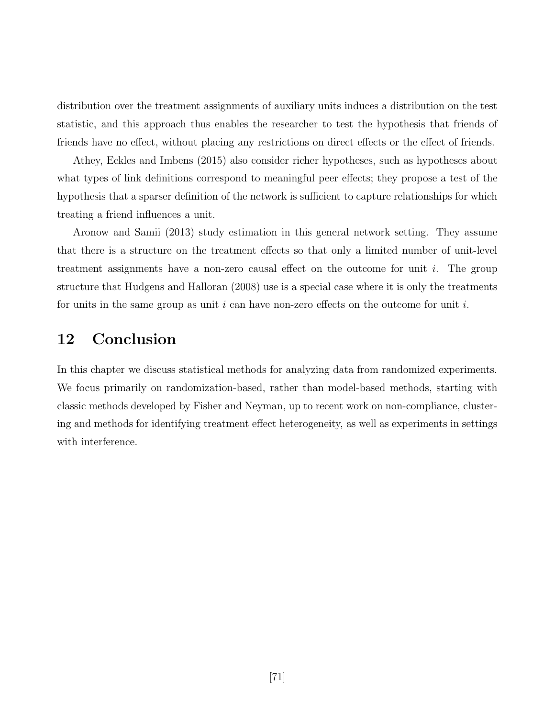distribution over the treatment assignments of auxiliary units induces a distribution on the test statistic, and this approach thus enables the researcher to test the hypothesis that friends of friends have no effect, without placing any restrictions on direct effects or the effect of friends.

Athey, Eckles and Imbens (2015) also consider richer hypotheses, such as hypotheses about what types of link definitions correspond to meaningful peer effects; they propose a test of the hypothesis that a sparser definition of the network is sufficient to capture relationships for which treating a friend influences a unit.

Aronow and Samii (2013) study estimation in this general network setting. They assume that there is a structure on the treatment effects so that only a limited number of unit-level treatment assignments have a non-zero causal effect on the outcome for unit  $i$ . The group structure that Hudgens and Halloran (2008) use is a special case where it is only the treatments for units in the same group as unit i can have non-zero effects on the outcome for unit i.

# 12 Conclusion

In this chapter we discuss statistical methods for analyzing data from randomized experiments. We focus primarily on randomization-based, rather than model-based methods, starting with classic methods developed by Fisher and Neyman, up to recent work on non-compliance, clustering and methods for identifying treatment effect heterogeneity, as well as experiments in settings with interference.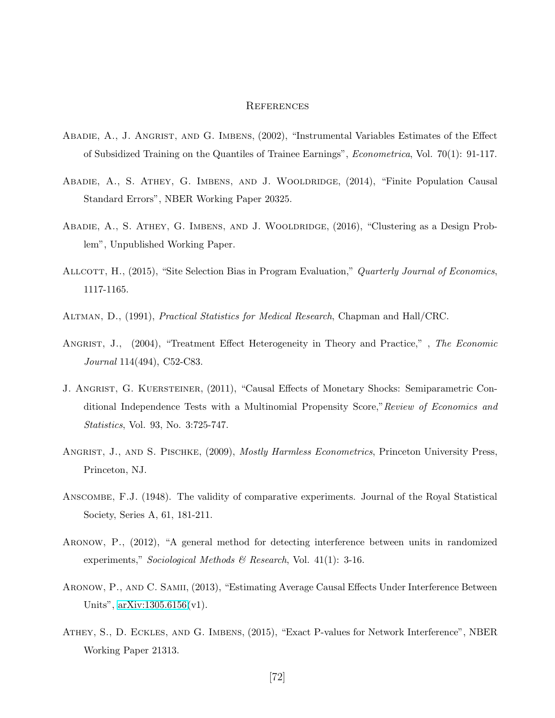## **REFERENCES**

- Abadie, A., J. Angrist, and G. Imbens, (2002), "Instrumental Variables Estimates of the Effect of Subsidized Training on the Quantiles of Trainee Earnings", Econometrica, Vol. 70(1): 91-117.
- ABADIE, A., S. ATHEY, G. IMBENS, AND J. WOOLDRIDGE, (2014), "Finite Population Causal Standard Errors", NBER Working Paper 20325.
- ABADIE, A., S. ATHEY, G. IMBENS, AND J. WOOLDRIDGE, (2016), "Clustering as a Design Problem", Unpublished Working Paper.
- ALLCOTT, H., (2015), "Site Selection Bias in Program Evaluation," Quarterly Journal of Economics, 1117-1165.
- Altman, D., (1991), Practical Statistics for Medical Research, Chapman and Hall/CRC.
- ANGRIST, J., (2004), "Treatment Effect Heterogeneity in Theory and Practice,", The Economic Journal 114(494), C52-C83.
- J. ANGRIST, G. KUERSTEINER, (2011), "Causal Effects of Monetary Shocks: Semiparametric Conditional Independence Tests with a Multinomial Propensity Score,"Review of Economics and Statistics, Vol. 93, No. 3:725-747.
- ANGRIST, J., AND S. PISCHKE, (2009), *Mostly Harmless Econometrics*, Princeton University Press, Princeton, NJ.
- Anscombe, F.J. (1948). The validity of comparative experiments. Journal of the Royal Statistical Society, Series A, 61, 181-211.
- Aronow, P., (2012), "A general method for detecting interference between units in randomized experiments," Sociological Methods & Research, Vol. 41(1): 3-16.
- ARONOW, P., AND C. SAMII, (2013), "Estimating Average Causal Effects Under Interference Between Units",  $arXiv:1305.6156(v1)$ .
- Athey, S., D. Eckles, and G. Imbens, (2015), "Exact P-values for Network Interference", NBER Working Paper 21313.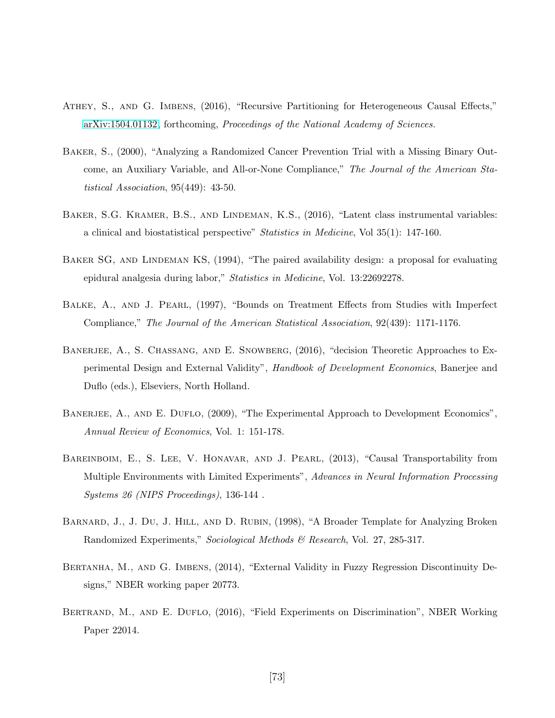- Athey, S., and G. Imbens, (2016), "Recursive Partitioning for Heterogeneous Causal Effects," [arXiv:1504.01132,](http://arxiv.org/abs/1504.01132) forthcoming, Proceedings of the National Academy of Sciences.
- Baker, S., (2000), "Analyzing a Randomized Cancer Prevention Trial with a Missing Binary Outcome, an Auxiliary Variable, and All-or-None Compliance," The Journal of the American Statistical Association, 95(449): 43-50.
- BAKER, S.G. KRAMER, B.S., AND LINDEMAN, K.S., (2016), "Latent class instrumental variables: a clinical and biostatistical perspective" Statistics in Medicine, Vol 35(1): 147-160.
- BAKER SG, AND LINDEMAN KS, (1994), "The paired availability design: a proposal for evaluating epidural analgesia during labor," Statistics in Medicine, Vol. 13:22692278.
- Balke, A., and J. Pearl, (1997), "Bounds on Treatment Effects from Studies with Imperfect Compliance," The Journal of the American Statistical Association, 92(439): 1171-1176.
- BANERJEE, A., S. CHASSANG, AND E. SNOWBERG, (2016), "decision Theoretic Approaches to Experimental Design and External Validity", Handbook of Development Economics, Banerjee and Duflo (eds.), Elseviers, North Holland.
- BANERJEE, A., AND E. DUFLO, (2009), "The Experimental Approach to Development Economics", Annual Review of Economics, Vol. 1: 151-178.
- BAREINBOIM, E., S. LEE, V. HONAVAR, AND J. PEARL, (2013), "Causal Transportability from Multiple Environments with Limited Experiments", Advances in Neural Information Processing Systems 26 (NIPS Proceedings), 136-144 .
- BARNARD, J., J. DU, J. HILL, AND D. RUBIN, (1998), "A Broader Template for Analyzing Broken Randomized Experiments," Sociological Methods & Research, Vol. 27, 285-317.
- BERTANHA, M., AND G. IMBENS, (2014), "External Validity in Fuzzy Regression Discontinuity Designs," NBER working paper 20773.
- BERTRAND, M., AND E. DUFLO, (2016), "Field Experiments on Discrimination", NBER Working Paper 22014.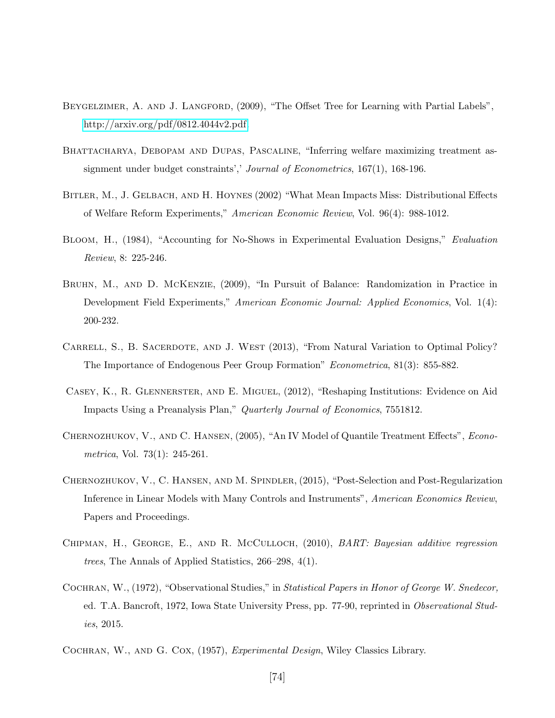- BEYGELZIMER, A. AND J. LANGFORD, (2009), "The Offset Tree for Learning with Partial Labels", [http://arxiv.org/pdf/0812.4044v2.pdf.](http://arxiv.org/pdf/0812.4044v2.pdf)
- BHATTACHARYA, DEBOPAM AND DUPAS, PASCALINE, "Inferring welfare maximizing treatment assignment under budget constraints',' Journal of Econometrics, 167(1), 168-196.
- BITLER, M., J. GELBACH, AND H. HOYNES (2002) "What Mean Impacts Miss: Distributional Effects of Welfare Reform Experiments," American Economic Review, Vol. 96(4): 988-1012.
- Bloom, H., (1984), "Accounting for No-Shows in Experimental Evaluation Designs," Evaluation Review, 8: 225-246.
- Bruhn, M., and D. McKenzie, (2009), "In Pursuit of Balance: Randomization in Practice in Development Field Experiments," American Economic Journal: Applied Economics, Vol. 1(4): 200-232.
- CARRELL, S., B. SACERDOTE, AND J. WEST (2013), "From Natural Variation to Optimal Policy? The Importance of Endogenous Peer Group Formation" Econometrica, 81(3): 855-882.
- Casey, K., R. Glennerster, and E. Miguel, (2012), "Reshaping Institutions: Evidence on Aid Impacts Using a Preanalysis Plan," Quarterly Journal of Economics, 7551812.
- CHERNOZHUKOV, V., AND C. HANSEN, (2005), "An IV Model of Quantile Treatment Effects", Econometrica, Vol. 73(1): 245-261.
- Chernozhukov, V., C. Hansen, and M. Spindler, (2015), "Post-Selection and Post-Regularization Inference in Linear Models with Many Controls and Instruments", American Economics Review, Papers and Proceedings.
- CHIPMAN, H., GEORGE, E., AND R. MCCULLOCH, (2010), BART: Bayesian additive regression trees, The Annals of Applied Statistics, 266–298, 4(1).
- COCHRAN, W., (1972), "Observational Studies," in Statistical Papers in Honor of George W. Snedecor, ed. T.A. Bancroft, 1972, Iowa State University Press, pp. 77-90, reprinted in Observational Studies, 2015.
- Cochran, W., and G. Cox, (1957), Experimental Design, Wiley Classics Library.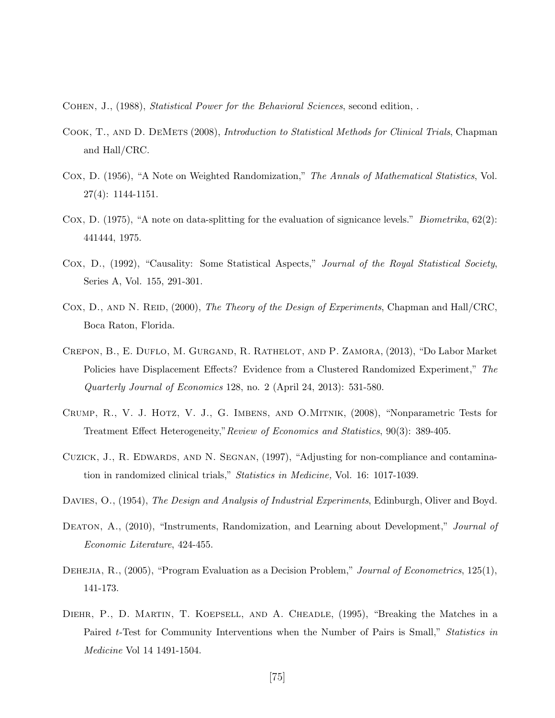Cohen, J., (1988), Statistical Power for the Behavioral Sciences, second edition, .

- COOK, T., AND D. DEMETS (2008), *Introduction to Statistical Methods for Clinical Trials*, Chapman and Hall/CRC.
- Cox, D. (1956), "A Note on Weighted Randomization," The Annals of Mathematical Statistics, Vol. 27(4): 1144-1151.
- Cox, D. (1975), "A note on data-splitting for the evaluation of signicance levels." *Biometrika*,  $62(2)$ : 441444, 1975.
- Cox, D., (1992), "Causality: Some Statistical Aspects," Journal of the Royal Statistical Society, Series A, Vol. 155, 291-301.
- COX, D., AND N. REID, (2000), The Theory of the Design of Experiments, Chapman and Hall/CRC, Boca Raton, Florida.
- Crepon, B., E. Duflo, M. Gurgand, R. Rathelot, and P. Zamora, (2013), "Do Labor Market Policies have Displacement Effects? Evidence from a Clustered Randomized Experiment," The Quarterly Journal of Economics 128, no. 2 (April 24, 2013): 531-580.
- Crump, R., V. J. Hotz, V. J., G. Imbens, and O.Mitnik, (2008), "Nonparametric Tests for Treatment Effect Heterogeneity,"Review of Economics and Statistics, 90(3): 389-405.
- CUZICK, J., R. EDWARDS, AND N. SEGNAN, (1997), "Adjusting for non-compliance and contamination in randomized clinical trials," Statistics in Medicine, Vol. 16: 1017-1039.
- DAVIES, O., (1954), *The Design and Analysis of Industrial Experiments*, Edinburgh, Oliver and Boyd.
- DEATON, A., (2010), "Instruments, Randomization, and Learning about Development," Journal of Economic Literature, 424-455.
- DEHEJIA, R., (2005), "Program Evaluation as a Decision Problem," Journal of Econometrics, 125(1), 141-173.
- DIEHR, P., D. MARTIN, T. KOEPSELL, AND A. CHEADLE, (1995), "Breaking the Matches in a Paired t-Test for Community Interventions when the Number of Pairs is Small," Statistics in Medicine Vol 14 1491-1504.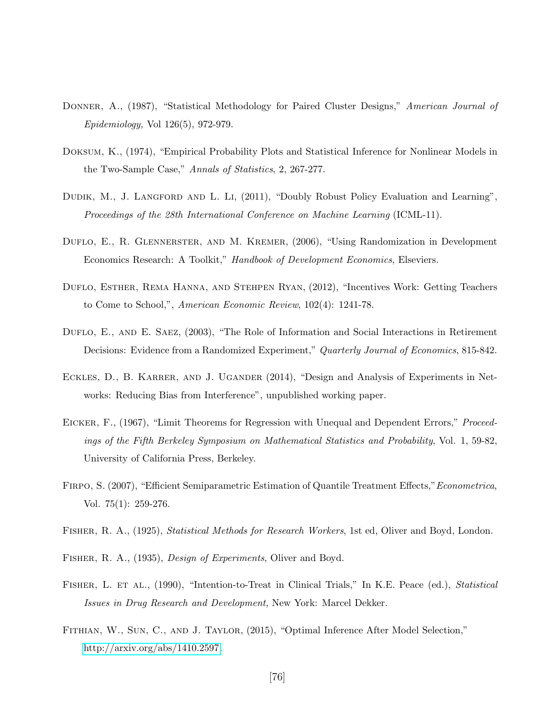- DONNER, A., (1987), "Statistical Methodology for Paired Cluster Designs," American Journal of Epidemiology, Vol 126(5), 972-979.
- Doksum, K., (1974), "Empirical Probability Plots and Statistical Inference for Nonlinear Models in the Two-Sample Case," Annals of Statistics, 2, 267-277.
- DUDIK, M., J. LANGFORD AND L. LI, (2011), "Doubly Robust Policy Evaluation and Learning", Proceedings of the 28th International Conference on Machine Learning (ICML-11).
- DUFLO, E., R. GLENNERSTER, AND M. KREMER, (2006), "Using Randomization in Development Economics Research: A Toolkit," Handbook of Development Economics, Elseviers.
- Duflo, Esther, Rema Hanna, and Stehpen Ryan, (2012), "Incentives Work: Getting Teachers to Come to School,", American Economic Review, 102(4): 1241-78.
- DUFLO, E., AND E. SAEZ, (2003), "The Role of Information and Social Interactions in Retirement Decisions: Evidence from a Randomized Experiment," Quarterly Journal of Economics, 815-842.
- ECKLES, D., B. KARRER, AND J. UGANDER (2014), "Design and Analysis of Experiments in Networks: Reducing Bias from Interference", unpublished working paper.
- EICKER, F., (1967), "Limit Theorems for Regression with Unequal and Dependent Errors," Proceedings of the Fifth Berkeley Symposium on Mathematical Statistics and Probability, Vol. 1, 59-82, University of California Press, Berkeley.
- Firpo, S. (2007), "Efficient Semiparametric Estimation of Quantile Treatment Effects,"Econometrica, Vol. 75(1): 259-276.
- Fisher, R. A., (1925), Statistical Methods for Research Workers, 1st ed, Oliver and Boyd, London.
- FISHER, R. A., (1935), *Design of Experiments*, Oliver and Boyd.
- FISHER, L. ET AL., (1990), "Intention-to-Treat in Clinical Trials," In K.E. Peace (ed.), Statistical Issues in Drug Research and Development, New York: Marcel Dekker.
- Fithian, W., Sun, C., and J. Taylor, (2015), "Optimal Inference After Model Selection," [http://arxiv.org/abs/1410.2597.](http://arxiv.org/abs/1410.2597)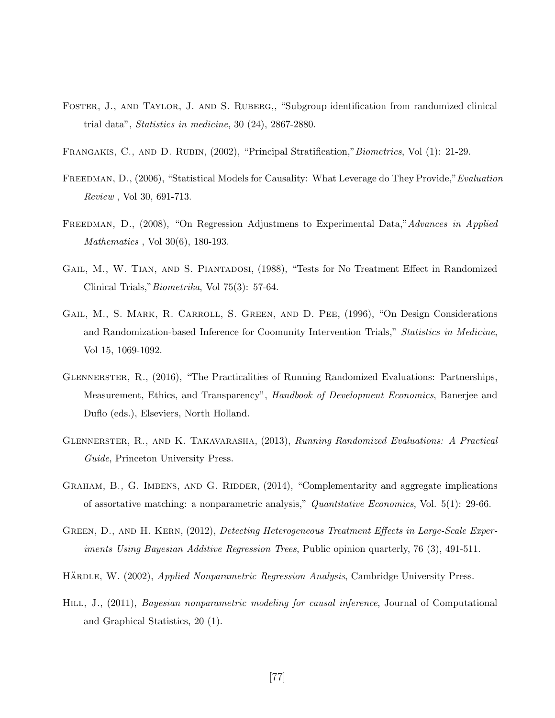- Foster, J., and Taylor, J. and S. Ruberg,, "Subgroup identification from randomized clinical trial data", Statistics in medicine, 30 (24), 2867-2880.
- FRANGAKIS, C., AND D. RUBIN, (2002), "Principal Stratification," *Biometrics*, Vol (1): 21-29.
- FREEDMAN, D., (2006), "Statistical Models for Causality: What Leverage do They Provide," Evaluation Review , Vol 30, 691-713.
- FREEDMAN, D., (2008), "On Regression Adjustmens to Experimental Data," Advances in Applied Mathematics , Vol 30(6), 180-193.
- GAIL, M., W. TIAN, AND S. PIANTADOSI, (1988), "Tests for No Treatment Effect in Randomized Clinical Trials,"Biometrika, Vol 75(3): 57-64.
- GAIL, M., S. MARK, R. CARROLL, S. GREEN, AND D. PEE, (1996), "On Design Considerations and Randomization-based Inference for Coomunity Intervention Trials," Statistics in Medicine, Vol 15, 1069-1092.
- Glennerster, R., (2016), "The Practicalities of Running Randomized Evaluations: Partnerships, Measurement, Ethics, and Transparency", Handbook of Development Economics, Banerjee and Duflo (eds.), Elseviers, North Holland.
- GLENNERSTER, R., AND K. TAKAVARASHA, (2013), Running Randomized Evaluations: A Practical Guide, Princeton University Press.
- GRAHAM, B., G. IMBENS, AND G. RIDDER,  $(2014)$ , "Complementarity and aggregate implications of assortative matching: a nonparametric analysis," Quantitative Economics, Vol. 5(1): 29-66.
- GREEN, D., AND H. KERN, (2012), Detecting Heterogeneous Treatment Effects in Large-Scale Experiments Using Bayesian Additive Regression Trees, Public opinion quarterly, 76 (3), 491-511.
- HÄRDLE, W. (2002), Applied Nonparametric Regression Analysis, Cambridge University Press.
- HILL, J., (2011), *Bayesian nonparametric modeling for causal inference*, Journal of Computational and Graphical Statistics, 20 (1).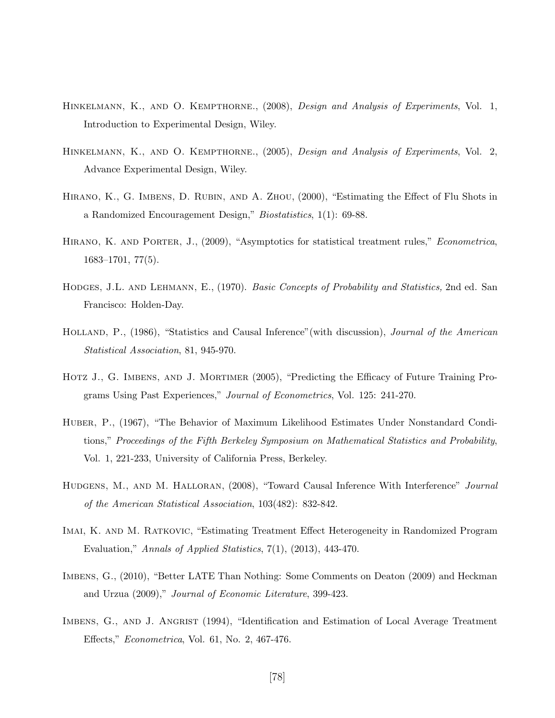- HINKELMANN, K., AND O. KEMPTHORNE., (2008), *Design and Analysis of Experiments*, Vol. 1, Introduction to Experimental Design, Wiley.
- HINKELMANN, K., AND O. KEMPTHORNE., (2005), *Design and Analysis of Experiments*, Vol. 2, Advance Experimental Design, Wiley.
- Hirano, K., G. Imbens, D. Rubin, and A. Zhou, (2000), "Estimating the Effect of Flu Shots in a Randomized Encouragement Design," Biostatistics, 1(1): 69-88.
- HIRANO, K. AND PORTER, J., (2009), "Asymptotics for statistical treatment rules," *Econometrica*, 1683–1701, 77(5).
- HODGES, J.L. AND LEHMANN, E., (1970). *Basic Concepts of Probability and Statistics*, 2nd ed. San Francisco: Holden-Day.
- HOLLAND, P., (1986), "Statistics and Causal Inference" (with discussion), *Journal of the American* Statistical Association, 81, 945-970.
- HOTZ J., G. IMBENS, AND J. MORTIMER (2005), "Predicting the Efficacy of Future Training Programs Using Past Experiences," Journal of Econometrics, Vol. 125: 241-270.
- Huber, P., (1967), "The Behavior of Maximum Likelihood Estimates Under Nonstandard Conditions," Proceedings of the Fifth Berkeley Symposium on Mathematical Statistics and Probability, Vol. 1, 221-233, University of California Press, Berkeley.
- HUDGENS, M., AND M. HALLORAN, (2008), "Toward Causal Inference With Interference" Journal of the American Statistical Association, 103(482): 832-842.
- Imai, K. and M. Ratkovic, "Estimating Treatment Effect Heterogeneity in Randomized Program Evaluation," Annals of Applied Statistics, 7(1), (2013), 443-470.
- IMBENS, G.,  $(2010)$ , "Better LATE Than Nothing: Some Comments on Deaton (2009) and Heckman and Urzua (2009)," Journal of Economic Literature, 399-423.
- IMBENS, G., AND J. ANGRIST (1994), "Identification and Estimation of Local Average Treatment Effects," Econometrica, Vol. 61, No. 2, 467-476.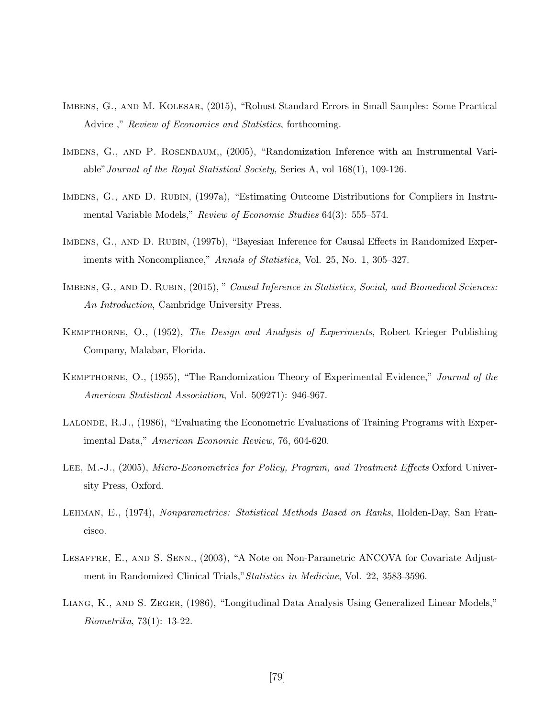- Imbens, G., and M. Kolesar, (2015), "Robust Standard Errors in Small Samples: Some Practical Advice ," Review of Economics and Statistics, forthcoming.
- IMBENS, G., AND P. ROSENBAUM,,  $(2005)$ , "Randomization Inference with an Instrumental Variable"Journal of the Royal Statistical Society, Series A, vol 168(1), 109-126.
- Imbens, G., and D. Rubin, (1997a), "Estimating Outcome Distributions for Compliers in Instrumental Variable Models," Review of Economic Studies 64(3): 555–574.
- IMBENS, G., AND D. RUBIN, (1997b), "Bayesian Inference for Causal Effects in Randomized Experiments with Noncompliance," Annals of Statistics, Vol. 25, No. 1, 305–327.
- IMBENS, G., AND D. RUBIN,  $(2015)$ , " Causal Inference in Statistics, Social, and Biomedical Sciences: An Introduction, Cambridge University Press.
- KEMPTHORNE, O., (1952), The Design and Analysis of Experiments, Robert Krieger Publishing Company, Malabar, Florida.
- KEMPTHORNE, O., (1955), "The Randomization Theory of Experimental Evidence," Journal of the American Statistical Association, Vol. 509271): 946-967.
- Lalonde, R.J., (1986), "Evaluating the Econometric Evaluations of Training Programs with Experimental Data," American Economic Review, 76, 604-620.
- LEE, M.-J., (2005), Micro-Econometrics for Policy, Program, and Treatment Effects Oxford University Press, Oxford.
- LEHMAN, E., (1974), Nonparametrics: Statistical Methods Based on Ranks, Holden-Day, San Francisco.
- Lesaffre, E., and S. Senn., (2003), "A Note on Non-Parametric ANCOVA for Covariate Adjustment in Randomized Clinical Trials,"Statistics in Medicine, Vol. 22, 3583-3596.
- Liang, K., and S. Zeger, (1986), "Longitudinal Data Analysis Using Generalized Linear Models," Biometrika, 73(1): 13-22.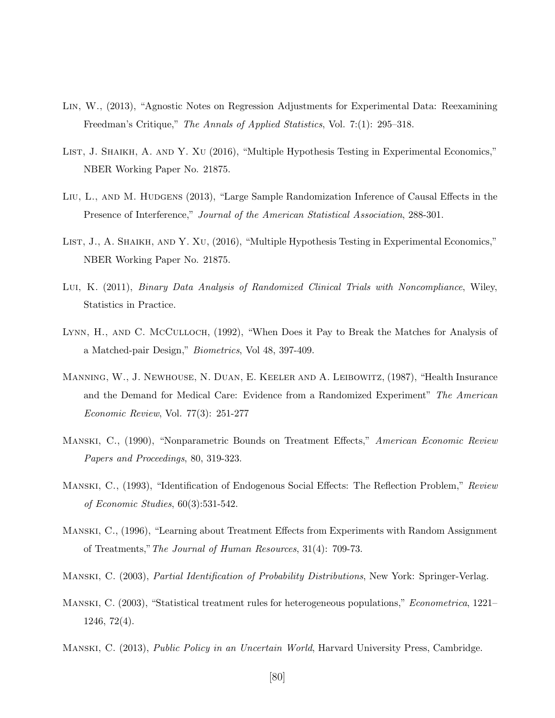- Lin, W., (2013), "Agnostic Notes on Regression Adjustments for Experimental Data: Reexamining Freedman's Critique," The Annals of Applied Statistics, Vol. 7:(1): 295–318.
- LIST, J. SHAIKH, A. AND Y. XU (2016), "Multiple Hypothesis Testing in Experimental Economics," NBER Working Paper No. 21875.
- LIU, L., AND M. HUDGENS (2013), "Large Sample Randomization Inference of Causal Effects in the Presence of Interference," Journal of the American Statistical Association, 288-301.
- LIST, J., A. SHAIKH, AND Y. XU, (2016), "Multiple Hypothesis Testing in Experimental Economics," NBER Working Paper No. 21875.
- Lui, K. (2011), Binary Data Analysis of Randomized Clinical Trials with Noncompliance, Wiley, Statistics in Practice.
- LYNN, H., AND C. McCULLOCH, (1992), "When Does it Pay to Break the Matches for Analysis of a Matched-pair Design," Biometrics, Vol 48, 397-409.
- Manning, W., J. Newhouse, N. Duan, E. Keeler and A. Leibowitz, (1987), "Health Insurance and the Demand for Medical Care: Evidence from a Randomized Experiment" The American Economic Review, Vol. 77(3): 251-277
- MANSKI, C., (1990), "Nonparametric Bounds on Treatment Effects," American Economic Review Papers and Proceedings, 80, 319-323.
- MANSKI, C., (1993), "Identification of Endogenous Social Effects: The Reflection Problem," Review of Economic Studies, 60(3):531-542.
- Manski, C., (1996), "Learning about Treatment Effects from Experiments with Random Assignment of Treatments,"The Journal of Human Resources, 31(4): 709-73.
- MANSKI, C. (2003), *Partial Identification of Probability Distributions*, New York: Springer-Verlag.
- MANSKI, C. (2003), "Statistical treatment rules for heterogeneous populations," *Econometrica*, 1221– 1246, 72(4).
- MANSKI, C. (2013), *Public Policy in an Uncertain World*, Harvard University Press, Cambridge.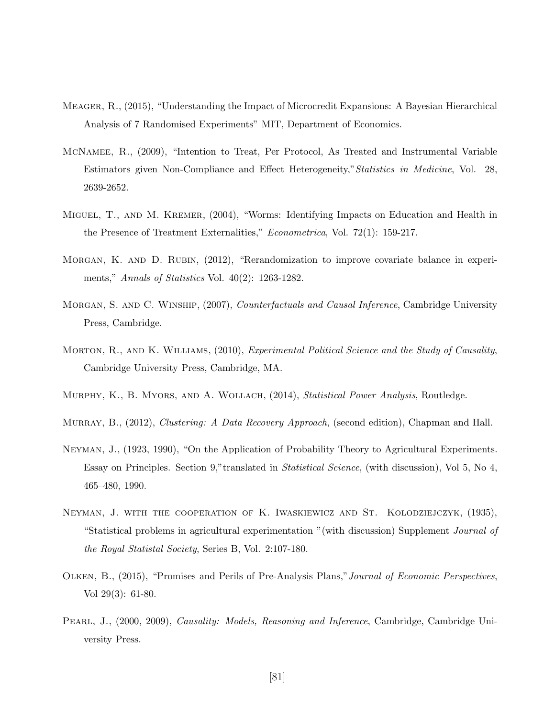- Meager, R., (2015), "Understanding the Impact of Microcredit Expansions: A Bayesian Hierarchical Analysis of 7 Randomised Experiments" MIT, Department of Economics.
- McNamee, R., (2009), "Intention to Treat, Per Protocol, As Treated and Instrumental Variable Estimators given Non-Compliance and Effect Heterogeneity,"Statistics in Medicine, Vol. 28, 2639-2652.
- Miguel, T., and M. Kremer, (2004), "Worms: Identifying Impacts on Education and Health in the Presence of Treatment Externalities," Econometrica, Vol. 72(1): 159-217.
- Morgan, K. and D. Rubin, (2012), "Rerandomization to improve covariate balance in experiments," Annals of Statistics Vol. 40(2): 1263-1282.
- MORGAN, S. AND C. WINSHIP, (2007), Counterfactuals and Causal Inference, Cambridge University Press, Cambridge.
- MORTON, R., AND K. WILLIAMS, (2010), *Experimental Political Science and the Study of Causality*, Cambridge University Press, Cambridge, MA.
- MURPHY, K., B. MYORS, AND A. WOLLACH, (2014), Statistical Power Analysis, Routledge.
- MURRAY, B., (2012), Clustering: A Data Recovery Approach, (second edition), Chapman and Hall.
- Neyman, J., (1923, 1990), "On the Application of Probability Theory to Agricultural Experiments. Essay on Principles. Section 9,"translated in Statistical Science, (with discussion), Vol 5, No 4, 465–480, 1990.
- Neyman, J. with the cooperation of K. Iwaskiewicz and St. Kolodziejczyk, (1935), "Statistical problems in agricultural experimentation "(with discussion) Supplement Journal of the Royal Statistal Society, Series B, Vol. 2:107-180.
- Olken, B., (2015), "Promises and Perils of Pre-Analysis Plans,"Journal of Economic Perspectives, Vol 29(3): 61-80.
- PEARL, J., (2000, 2009), *Causality: Models, Reasoning and Inference*, Cambridge, Cambridge University Press.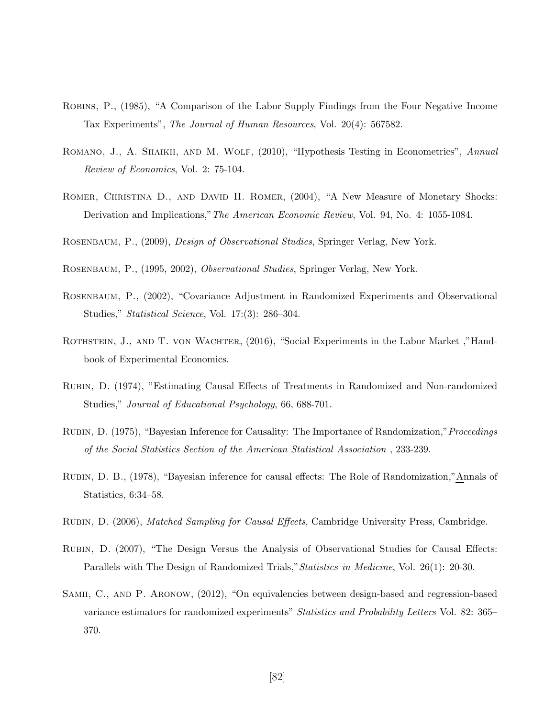- Robins, P., (1985), "A Comparison of the Labor Supply Findings from the Four Negative Income Tax Experiments", The Journal of Human Resources, Vol. 20(4): 567582.
- ROMANO, J., A. SHAIKH, AND M. WOLF, (2010), "Hypothesis Testing in Econometrics", Annual Review of Economics, Vol. 2: 75-104.
- ROMER, CHRISTINA D., AND DAVID H. ROMER,  $(2004)$ , "A New Measure of Monetary Shocks: Derivation and Implications,"The American Economic Review, Vol. 94, No. 4: 1055-1084.
- Rosenbaum, P., (2009), Design of Observational Studies, Springer Verlag, New York.
- Rosenbaum, P., (1995, 2002), Observational Studies, Springer Verlag, New York.
- Rosenbaum, P., (2002), "Covariance Adjustment in Randomized Experiments and Observational Studies," Statistical Science, Vol. 17:(3): 286–304.
- ROTHSTEIN, J., AND T. VON WACHTER, (2016), "Social Experiments in the Labor Market ,"Handbook of Experimental Economics.
- Rubin, D. (1974), "Estimating Causal Effects of Treatments in Randomized and Non-randomized Studies," Journal of Educational Psychology, 66, 688-701.
- Rubin, D. (1975), "Bayesian Inference for Causality: The Importance of Randomization,"Proceedings of the Social Statistics Section of the American Statistical Association , 233-239.
- Rubin, D. B., (1978), "Bayesian inference for causal effects: The Role of Randomization,"Annals of Statistics, 6:34–58.
- RUBIN, D. (2006), *Matched Sampling for Causal Effects*, Cambridge University Press, Cambridge.
- Rubin, D. (2007), "The Design Versus the Analysis of Observational Studies for Causal Effects: Parallels with The Design of Randomized Trials,"Statistics in Medicine, Vol. 26(1): 20-30.
- SAMII, C., AND P. ARONOW, (2012), "On equivalencies between design-based and regression-based variance estimators for randomized experiments" Statistics and Probability Letters Vol. 82: 365– 370.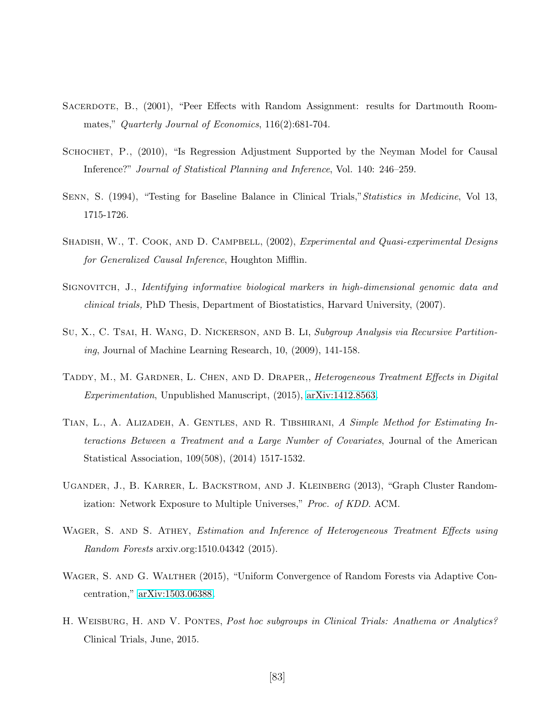- SACERDOTE, B., (2001), "Peer Effects with Random Assignment: results for Dartmouth Roommates," Quarterly Journal of Economics, 116(2):681-704.
- SCHOCHET, P., (2010), "Is Regression Adjustment Supported by the Neyman Model for Causal Inference?" Journal of Statistical Planning and Inference, Vol. 140: 246–259.
- Senn, S. (1994), "Testing for Baseline Balance in Clinical Trials,"Statistics in Medicine, Vol 13, 1715-1726.
- SHADISH, W., T. COOK, AND D. CAMPBELL, (2002), *Experimental and Quasi-experimental Designs* for Generalized Causal Inference, Houghton Mifflin.
- SIGNOVITCH, J., Identifying informative biological markers in high-dimensional genomic data and clinical trials, PhD Thesis, Department of Biostatistics, Harvard University, (2007).
- Su, X., C. Tsai, H. WANG, D. Nickerson, AND B. Li, Subgroup Analysis via Recursive Partitioning, Journal of Machine Learning Research, 10, (2009), 141-158.
- TADDY, M., M. GARDNER, L. CHEN, AND D. DRAPER,, *Heterogeneous Treatment Effects in Digital* Experimentation, Unpublished Manuscript, (2015), [arXiv:1412.8563.](http://arxiv.org/abs/1412.8563)
- TIAN, L., A. ALIZADEH, A. GENTLES, AND R. TIBSHIRANI, A Simple Method for Estimating Interactions Between a Treatment and a Large Number of Covariates, Journal of the American Statistical Association, 109(508), (2014) 1517-1532.
- UGANDER, J., B. KARRER, L. BACKSTROM, AND J. KLEINBERG (2013), "Graph Cluster Randomization: Network Exposure to Multiple Universes," Proc. of KDD. ACM.
- WAGER, S. AND S. ATHEY, Estimation and Inference of Heterogeneous Treatment Effects using Random Forests arxiv.org:1510.04342 (2015).
- WAGER, S. AND G. WALTHER (2015), "Uniform Convergence of Random Forests via Adaptive Concentration," [arXiv:1503.06388.](http://arxiv.org/abs/1503.06388)
- H. WEISBURG, H. AND V. PONTES, Post hoc subgroups in Clinical Trials: Anathema or Analytics? Clinical Trials, June, 2015.